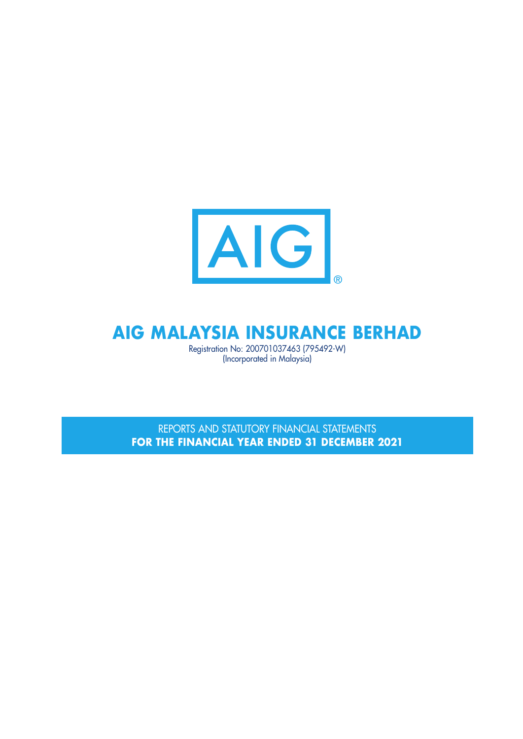

## **AIG MALAYSIA INSURANCE BERHAD**

Registration No: 200701037463 (795492-W) (Incorporated in Malaysia)

REPORTS AND STATUTORY FINANCIAL STATEMENTS **FOR THE FINANCIAL YEAR ENDED 31 DECEMBER 2021**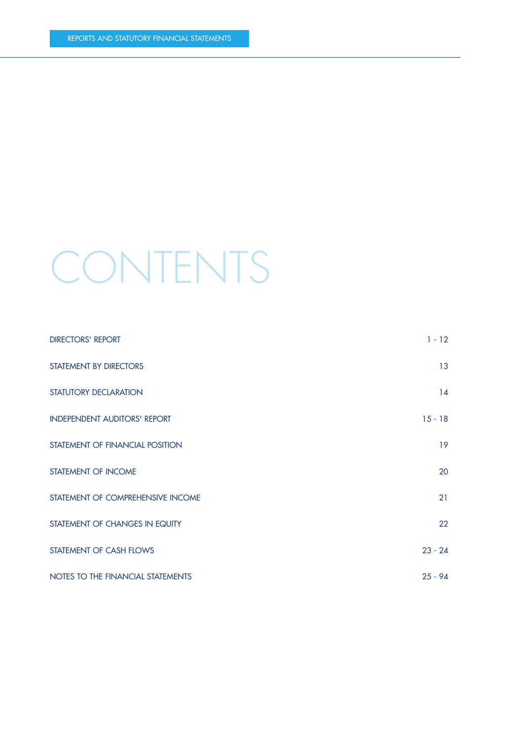# CONTENTS

| <b>DIRECTORS' REPORT</b>            | $1 - 12$  |
|-------------------------------------|-----------|
| STATEMENT BY DIRECTORS              | 13        |
| STATUTORY DECLARATION               | 14        |
| <b>INDEPENDENT AUDITORS' REPORT</b> | $15 - 18$ |
| STATEMENT OF FINANCIAL POSITION     | 19        |
| STATEMENT OF INCOME                 | 20        |
| STATEMENT OF COMPREHENSIVE INCOME   | 21        |
| STATEMENT OF CHANGES IN EQUITY      | 22        |
| STATEMENT OF CASH FLOWS             | $23 - 24$ |
| NOTES TO THE FINANCIAL STATEMENTS   | $25 - 94$ |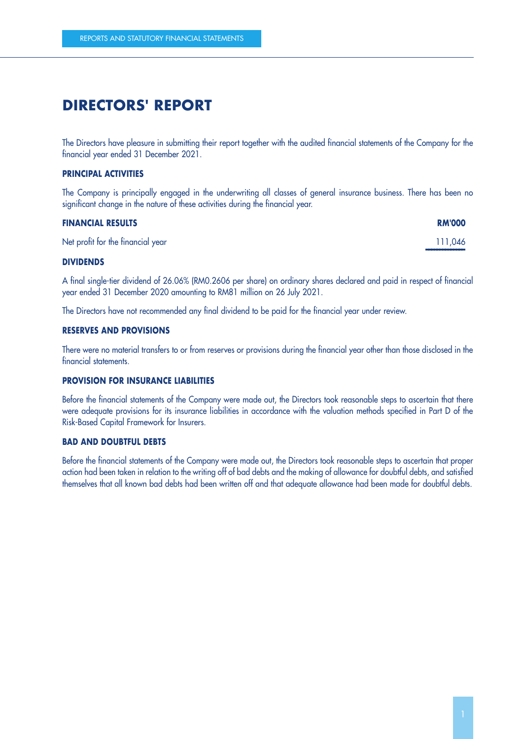### **DIRECTORS' REPORT**

The Directors have pleasure in submitting their report together with the audited financial statements of the Company for the financial year ended 31 December 2021.

#### **PRINCIPAL ACTIVITIES**

The Company is principally engaged in the underwriting all classes of general insurance business. There has been no significant change in the nature of these activities during the financial year.

| <b>FINANCIAL RESULTS</b>          | <b>RM'000</b> |
|-----------------------------------|---------------|
| Net profit for the financial year | 111,046       |
| _ _ __ __ __ __ _                 |               |

#### **DIVIDENDS**

A final single-tier dividend of 26.06% (RM0.2606 per share) on ordinary shares declared and paid in respect of financial year ended 31 December 2020 amounting to RM81 million on 26 July 2021.

The Directors have not recommended any final dividend to be paid for the financial year under review.

#### **RESERVES AND PROVISIONS**

There were no material transfers to or from reserves or provisions during the financial year other than those disclosed in the financial statements.

#### **PROVISION FOR INSURANCE LIABILITIES**

Before the financial statements of the Company were made out, the Directors took reasonable steps to ascertain that there were adequate provisions for its insurance liabilities in accordance with the valuation methods specified in Part D of the Risk-Based Capital Framework for Insurers.

#### **BAD AND DOUBTFUL DEBTS**

Before the financial statements of the Company were made out, the Directors took reasonable steps to ascertain that proper action had been taken in relation to the writing off of bad debts and the making of allowance for doubtful debts, and satisfied themselves that all known bad debts had been written off and that adequate allowance had been made for doubtful debts.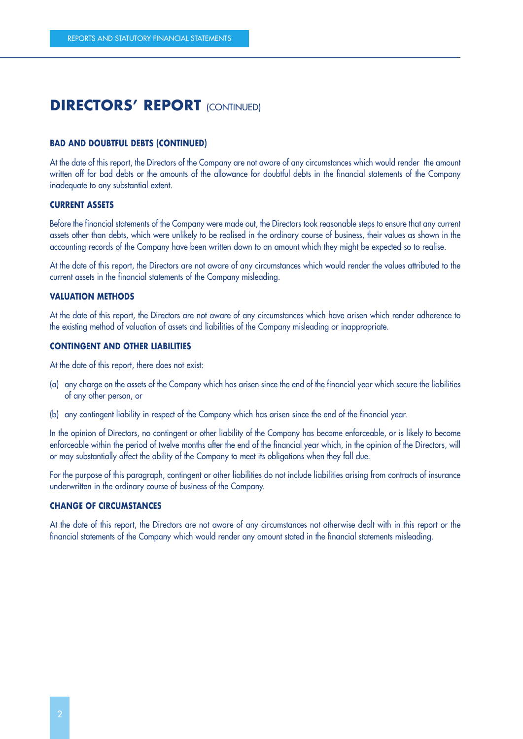#### **BAD AND DOUBTFUL DEBTS (CONTINUED)**

At the date of this report, the Directors of the Company are not aware of any circumstances which would render the amount written off for bad debts or the amounts of the allowance for doubtful debts in the financial statements of the Company inadequate to any substantial extent.

#### **CURRENT ASSETS**

Before the financial statements of the Company were made out, the Directors took reasonable steps to ensure that any current assets other than debts, which were unlikely to be realised in the ordinary course of business, their values as shown in the accounting records of the Company have been written down to an amount which they might be expected so to realise.

At the date of this report, the Directors are not aware of any circumstances which would render the values attributed to the current assets in the financial statements of the Company misleading.

#### **VALUATION METHODS**

At the date of this report, the Directors are not aware of any circumstances which have arisen which render adherence to the existing method of valuation of assets and liabilities of the Company misleading or inappropriate.

#### **CONTINGENT AND OTHER LIABILITIES**

At the date of this report, there does not exist:

- (a) any charge on the assets of the Company which has arisen since the end of the financial year which secure the liabilities of any other person, or
- (b) any contingent liability in respect of the Company which has arisen since the end of the financial year.

In the opinion of Directors, no contingent or other liability of the Company has become enforceable, or is likely to become enforceable within the period of twelve months after the end of the financial year which, in the opinion of the Directors, will or may substantially affect the ability of the Company to meet its obligations when they fall due.

For the purpose of this paragraph, contingent or other liabilities do not include liabilities arising from contracts of insurance underwritten in the ordinary course of business of the Company.

#### **CHANGE OF CIRCUMSTANCES**

At the date of this report, the Directors are not aware of any circumstances not otherwise dealt with in this report or the financial statements of the Company which would render any amount stated in the financial statements misleading.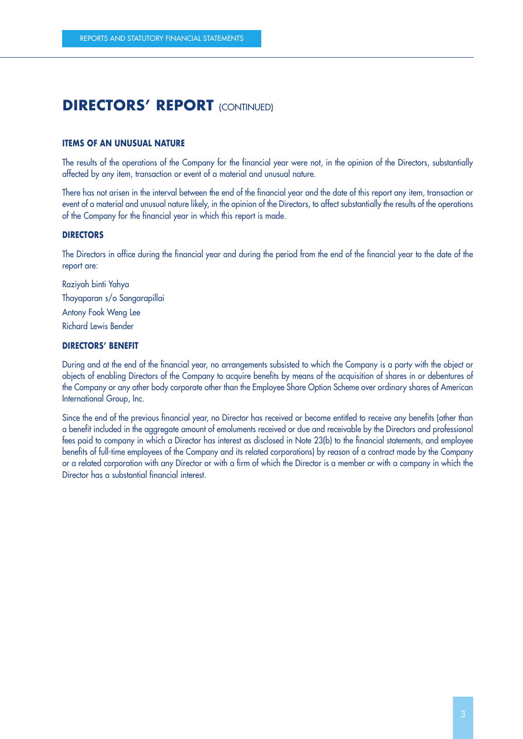#### **ITEMS OF AN UNUSUAL NATURE**

The results of the operations of the Company for the financial year were not, in the opinion of the Directors, substantially affected by any item, transaction or event of a material and unusual nature.

There has not arisen in the interval between the end of the financial year and the date of this report any item, transaction or event of a material and unusual nature likely, in the opinion of the Directors, to affect substantially the results of the operations of the Company for the financial year in which this report is made.

#### **DIRECTORS**

The Directors in office during the financial year and during the period from the end of the financial year to the date of the report are:

Raziyah binti Yahya Thayaparan s/o Sangarapillai Antony Fook Weng Lee Richard Lewis Bender

#### **DIRECTORS' BENEFIT**

During and at the end of the financial year, no arrangements subsisted to which the Company is a party with the object or objects of enabling Directors of the Company to acquire benefits by means of the acquisition of shares in or debentures of the Company or any other body corporate other than the Employee Share Option Scheme over ordinary shares of American International Group, Inc.

Since the end of the previous financial year, no Director has received or become entitled to receive any benefits (other than a benefit included in the aggregate amount of emoluments received or due and receivable by the Directors and professional fees paid to company in which a Director has interest as disclosed in Note 23(b) to the financial statements, and employee benefits of full-time employees of the Company and its related corporations) by reason of a contract made by the Company or a related corporation with any Director or with a firm of which the Director is a member or with a company in which the Director has a substantial financial interest.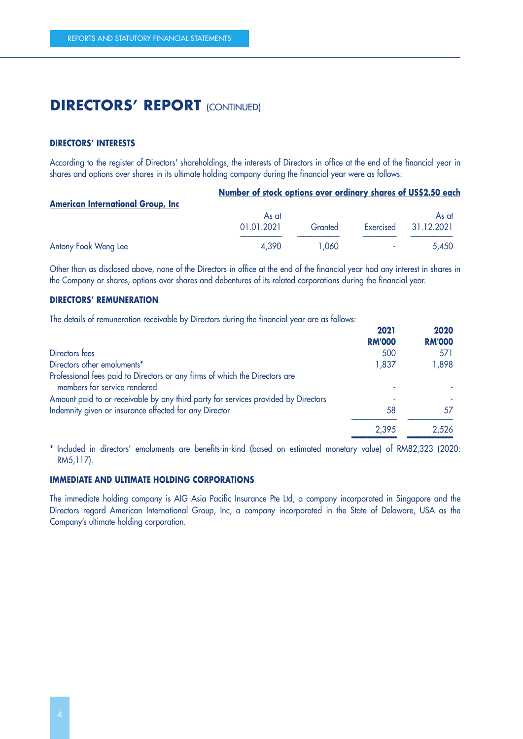#### **DIRECTORS' INTERESTS**

According to the register of Directors' shareholdings, the interests of Directors in office at the end of the financial year in shares and options over shares in its ultimate holding company during the financial year were as follows:

÷.

Ù.

| <b>American International Group, Inc.</b> | Number of stock options over ordinary shares of US\$2.50 each |         |           |            |
|-------------------------------------------|---------------------------------------------------------------|---------|-----------|------------|
|                                           | As at                                                         |         |           | As at      |
|                                           | 01.01.2021                                                    | Granted | Exercised | 31.12.2021 |
| Antony Fook Weng Lee                      | 4.390                                                         | 1.060   |           | 5.450      |

Other than as disclosed above, none of the Directors in office at the end of the financial year had any interest in shares in the Company or shares, options over shares and debentures of its related corporations during the financial year.

#### **DIRECTORS' REMUNERATION**

The details of remuneration receivable by Directors during the financial year are as follows:

| 2021          | 2020          |
|---------------|---------------|
| <b>RM'000</b> | <b>RM'000</b> |
| 500           | 571           |
| 1,837         | 1,898         |
|               |               |
|               |               |
| 58            | 57            |
| 2,395         | 2,526         |
|               |               |

 –––––––––––––––– –––––––––––––––– \* Included in directors' emoluments are benefits-in-kind (based on estimated monetary value) of RM82,323 (2020: RM5,117).

#### **IMMEDIATE AND ULTIMATE HOLDING CORPORATIONS**

The immediate holding company is AIG Asia Pacific Insurance Pte Ltd, a company incorporated in Singapore and the Directors regard American International Group, Inc, a company incorporated in the State of Delaware, USA as the Company's ultimate holding corporation.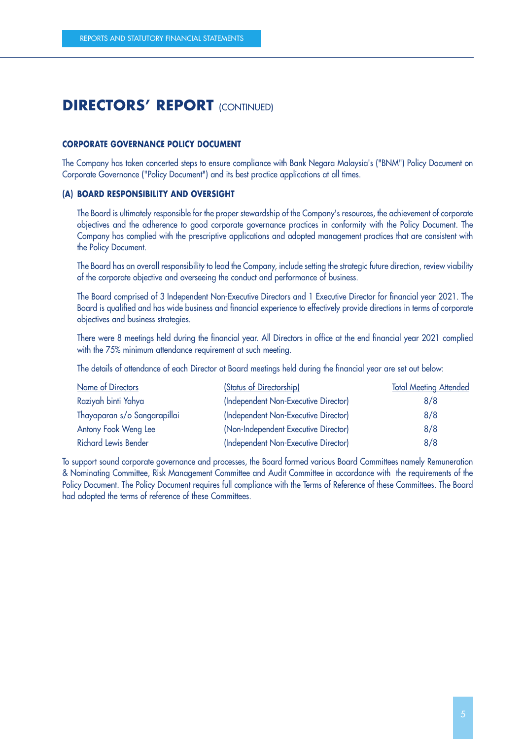#### **CORPORATE GOVERNANCE POLICY DOCUMENT**

The Company has taken concerted steps to ensure compliance with Bank Negara Malaysia's ("BNM") Policy Document on Corporate Governance ("Policy Document") and its best practice applications at all times.

#### **(A) BOARD RESPONSIBILITY AND OVERSIGHT**

The Board is ultimately responsible for the proper stewardship of the Company's resources, the achievement of corporate objectives and the adherence to good corporate governance practices in conformity with the Policy Document. The Company has complied with the prescriptive applications and adopted management practices that are consistent with the Policy Document.

The Board has an overall responsibility to lead the Company, include setting the strategic future direction, review viability of the corporate objective and overseeing the conduct and performance of business.

The Board comprised of 3 Independent Non-Executive Directors and 1 Executive Director for financial year 2021. The Board is qualified and has wide business and financial experience to effectively provide directions in terms of corporate objectives and business strategies.

There were 8 meetings held during the financial year. All Directors in office at the end financial year 2021 complied with the 75% minimum attendance requirement at such meeting.

The details of attendance of each Director at Board meetings held during the financial year are set out below:

| Name of Directors            | (Status of Directorship)             | <b>Total Meeting Attended</b> |
|------------------------------|--------------------------------------|-------------------------------|
| Raziyah binti Yahya          | (Independent Non-Executive Director) | 8/8                           |
| Thayaparan s/o Sangarapillai | (Independent Non-Executive Director) | 8/8                           |
| Antony Fook Weng Lee         | (Non-Independent Executive Director) | 8/8                           |
| <b>Richard Lewis Bender</b>  | (Independent Non-Executive Director) | 8/8                           |

To support sound corporate governance and processes, the Board formed various Board Committees namely Remuneration & Nominating Committee, Risk Management Committee and Audit Committee in accordance with the requirements of the Policy Document. The Policy Document requires full compliance with the Terms of Reference of these Committees. The Board had adopted the terms of reference of these Committees.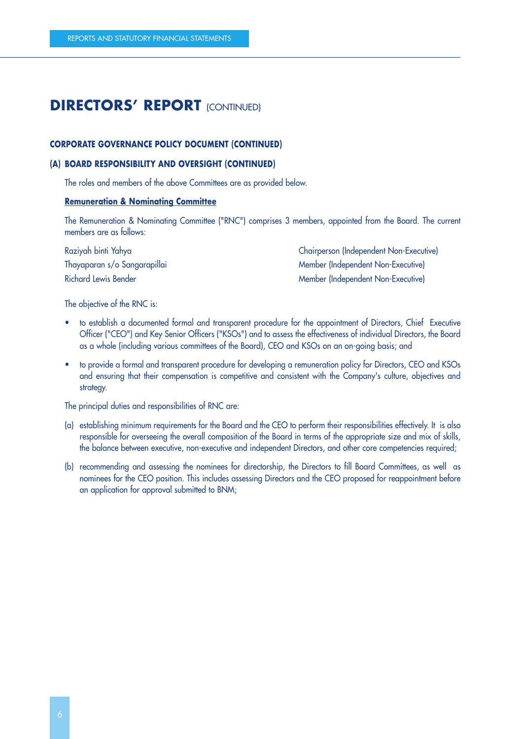#### **CORPORATE GOVERNANCE POLICY DOCUMENT (CONTINUED)**

#### **(A) BOARD RESPONSIBILITY AND OVERSIGHT (CONTINUED)**

The roles and members of the above Committees are as provided below.

#### **Remuneration & Nominating Committee**

The Remuneration & Nominating Committee ("RNC") comprises 3 members, appointed from the Board. The current members are as follows:

Raziyah binti Yahya Chairperson (Independent Non-Executive) Thayaparan s/o Sangarapillai eta alikuwa mwaka wa Member (Independent Non-Executive) Richard Lewis Bender Member (Independent Non-Executive)

The objective of the RNC is:

- to establish a documented formal and transparent procedure for the appointment of Directors, Chief Executive Officer ("CEO") and Key Senior Officers ("KSOs") and to assess the effectiveness of individual Directors, the Board as a whole (including various committees of the Board), CEO and KSOs on an on-going basis; and
- to provide a formal and transparent procedure for developing a remuneration policy for Directors, CEO and KSOs and ensuring that their compensation is competitive and consistent with the Company's culture, objectives and strategy.

The principal duties and responsibilities of RNC are:

- (a) establishing minimum requirements for the Board and the CEO to perform their responsibilities effectively. It is also responsible for overseeing the overall composition of the Board in terms of the appropriate size and mix of skills, the balance between executive, non-executive and independent Directors, and other core competencies required;
- (b) recommending and assessing the nominees for directorship, the Directors to fill Board Committees, as well as nominees for the CEO position. This includes assessing Directors and the CEO proposed for reappointment before an application for approval submitted to BNM;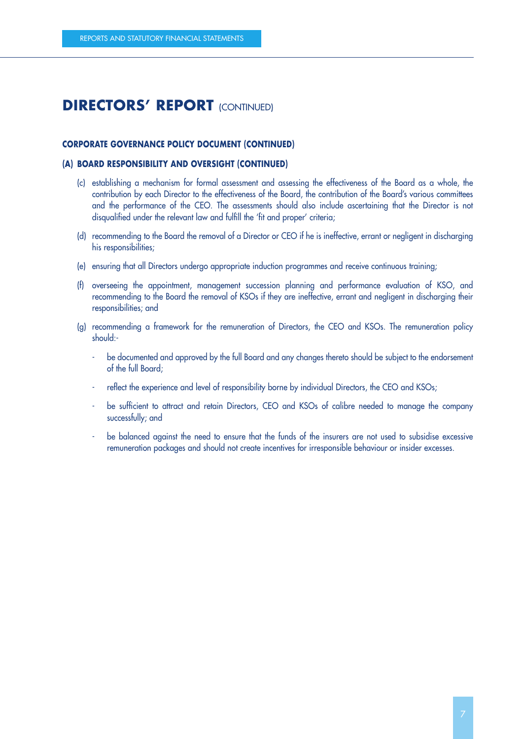#### **CORPORATE GOVERNANCE POLICY DOCUMENT (CONTINUED)**

#### **(A) BOARD RESPONSIBILITY AND OVERSIGHT (CONTINUED)**

- (c) establishing a mechanism for formal assessment and assessing the effectiveness of the Board as a whole, the contribution by each Director to the effectiveness of the Board, the contribution of the Board's various committees and the performance of the CEO. The assessments should also include ascertaining that the Director is not disqualified under the relevant law and fulfill the 'fit and proper' criteria;
- (d) recommending to the Board the removal of a Director or CEO if he is ineffective, errant or negligent in discharging his responsibilities;
- (e) ensuring that all Directors undergo appropriate induction programmes and receive continuous training;
- (f) overseeing the appointment, management succession planning and performance evaluation of KSO, and recommending to the Board the removal of KSOs if they are ineffective, errant and negligent in discharging their responsibilities; and
- (g) recommending a framework for the remuneration of Directors, the CEO and KSOs. The remuneration policy should:
	- be documented and approved by the full Board and any changes thereto should be subject to the endorsement of the full Board;
	- reflect the experience and level of responsibility borne by individual Directors, the CEO and KSOs;
	- be sufficient to attract and retain Directors, CEO and KSOs of calibre needed to manage the company successfully; and
	- be balanced against the need to ensure that the funds of the insurers are not used to subsidise excessive remuneration packages and should not create incentives for irresponsible behaviour or insider excesses.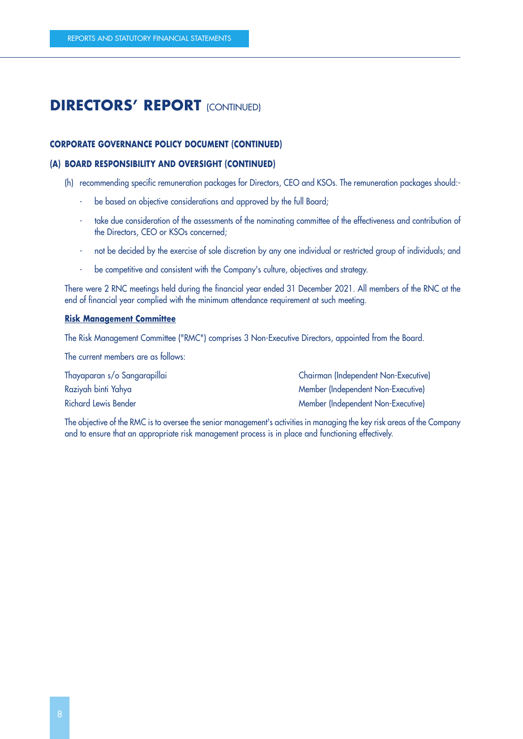#### **CORPORATE GOVERNANCE POLICY DOCUMENT (CONTINUED)**

#### **(A) BOARD RESPONSIBILITY AND OVERSIGHT (CONTINUED)**

- (h) recommending specific remuneration packages for Directors, CEO and KSOs. The remuneration packages should:
	- be based on objective considerations and approved by the full Board;
	- take due consideration of the assessments of the nominating committee of the effectiveness and contribution of the Directors, CEO or KSOs concerned;
	- not be decided by the exercise of sole discretion by any one individual or restricted group of individuals; and
	- be competitive and consistent with the Company's culture, objectives and strategy.

There were 2 RNC meetings held during the financial year ended 31 December 2021. All members of the RNC at the end of financial year complied with the minimum attendance requirement at such meeting.

#### **Risk Management Committee**

The Risk Management Committee ("RMC") comprises 3 Non-Executive Directors, appointed from the Board.

The current members are as follows:

Thayaparan s/o Sangarapillai Chairman (Independent Non-Executive) Raziyah binti Yahya Member (Independent Non-Executive) Richard Lewis Bender Member (Independent Non-Executive)

The objective of the RMC is to oversee the senior management's activities in managing the key risk areas of the Company and to ensure that an appropriate risk management process is in place and functioning effectively.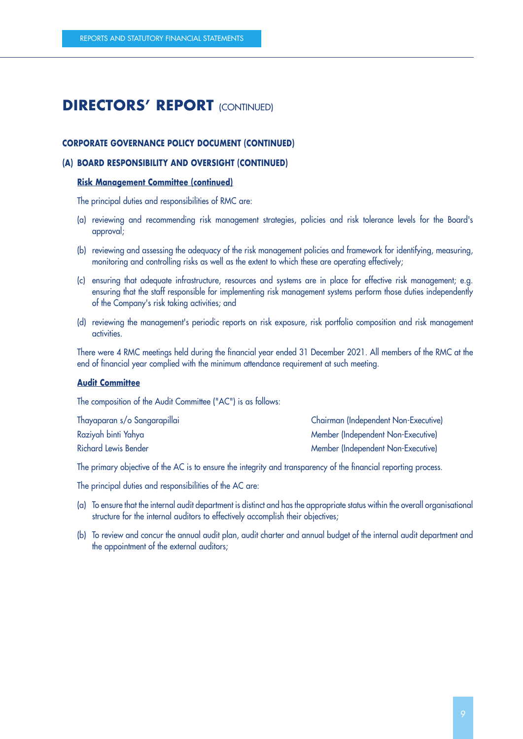#### **CORPORATE GOVERNANCE POLICY DOCUMENT (CONTINUED)**

#### **(A) BOARD RESPONSIBILITY AND OVERSIGHT (CONTINUED)**

#### **Risk Management Committee (continued)**

The principal duties and responsibilities of RMC are:

- (a) reviewing and recommending risk management strategies, policies and risk tolerance levels for the Board's approval;
- (b) reviewing and assessing the adequacy of the risk management policies and framework for identifying, measuring, monitoring and controlling risks as well as the extent to which these are operating effectively;
- (c) ensuring that adequate infrastructure, resources and systems are in place for effective risk management; e.g. ensuring that the staff responsible for implementing risk management systems perform those duties independently of the Company's risk taking activities; and
- (d) reviewing the management's periodic reports on risk exposure, risk portfolio composition and risk management activities.

There were 4 RMC meetings held during the financial year ended 31 December 2021. All members of the RMC at the end of financial year complied with the minimum attendance requirement at such meeting.

#### **Audit Committee**

The composition of the Audit Committee ("AC") is as follows:

| Thayaparan s/o Sangarapillai | Chairman (Independent Non-Executive) |
|------------------------------|--------------------------------------|
| Raziyah binti Yahya          | Member (Independent Non-Executive)   |
| Richard Lewis Bender         | Member (Independent Non-Executive)   |

The primary objective of the AC is to ensure the integrity and transparency of the financial reporting process.

The principal duties and responsibilities of the AC are:

- (a) To ensure that the internal audit department is distinct and has the appropriate status within the overall organisational structure for the internal auditors to effectively accomplish their objectives;
- (b) To review and concur the annual audit plan, audit charter and annual budget of the internal audit department and the appointment of the external auditors;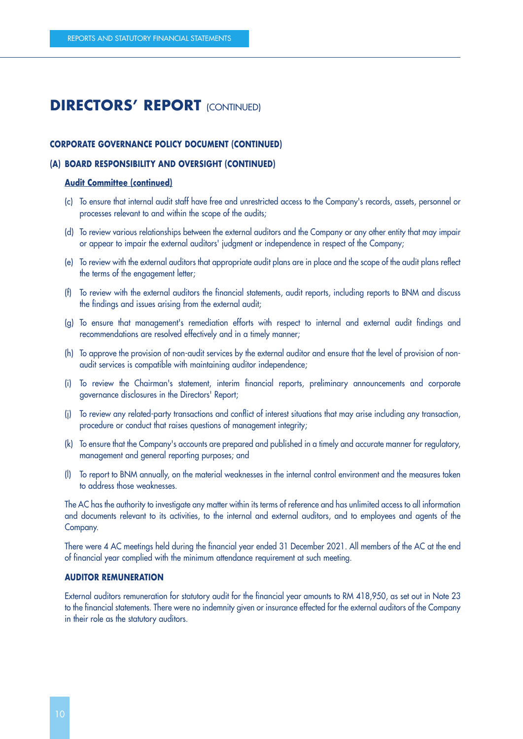#### **CORPORATE GOVERNANCE POLICY DOCUMENT (CONTINUED)**

#### **(A) BOARD RESPONSIBILITY AND OVERSIGHT (CONTINUED)**

#### **Audit Committee (continued)**

- (c) To ensure that internal audit staff have free and unrestricted access to the Company's records, assets, personnel or processes relevant to and within the scope of the audits;
- (d) To review various relationships between the external auditors and the Company or any other entity that may impair or appear to impair the external auditors' judgment or independence in respect of the Company;
- (e) To review with the external auditors that appropriate audit plans are in place and the scope of the audit plans reflect the terms of the engagement letter;
- (f) To review with the external auditors the financial statements, audit reports, including reports to BNM and discuss the findings and issues arising from the external audit;
- (g) To ensure that management's remediation efforts with respect to internal and external audit findings and recommendations are resolved effectively and in a timely manner;
- (h) To approve the provision of non-audit services by the external auditor and ensure that the level of provision of nonaudit services is compatible with maintaining auditor independence;
- (i) To review the Chairman's statement, interim financial reports, preliminary announcements and corporate governance disclosures in the Directors' Report;
- (j) To review any related-party transactions and conflict of interest situations that may arise including any transaction, procedure or conduct that raises questions of management integrity;
- (k) To ensure that the Company's accounts are prepared and published in a timely and accurate manner for regulatory, management and general reporting purposes; and
- (l) To report to BNM annually, on the material weaknesses in the internal control environment and the measures taken to address those weaknesses.

The AC has the authority to investigate any matter within its terms of reference and has unlimited access to all information and documents relevant to its activities, to the internal and external auditors, and to employees and agents of the Company.

There were 4 AC meetings held during the financial year ended 31 December 2021. All members of the AC at the end of financial year complied with the minimum attendance requirement at such meeting.

#### **AUDITOR REMUNERATION**

External auditors remuneration for statutory audit for the financial year amounts to RM 418,950, as set out in Note 23 to the financial statements. There were no indemnity given or insurance effected for the external auditors of the Company in their role as the statutory auditors.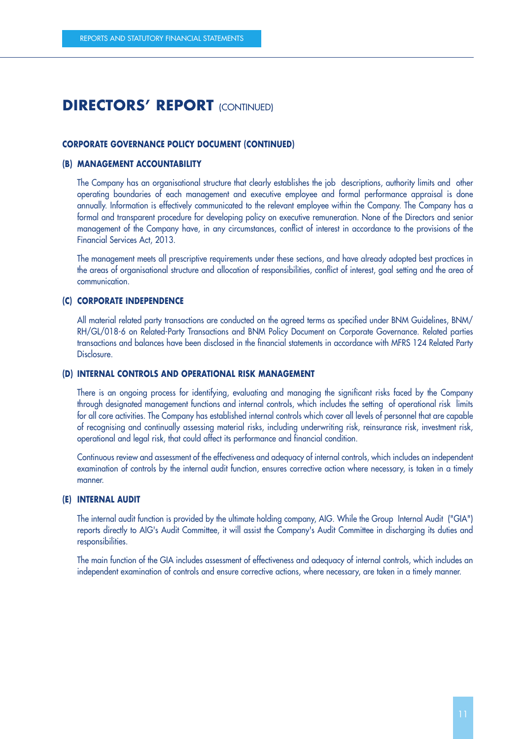#### **CORPORATE GOVERNANCE POLICY DOCUMENT (CONTINUED)**

#### **(B) MANAGEMENT ACCOUNTABILITY**

The Company has an organisational structure that clearly establishes the job descriptions, authority limits and other operating boundaries of each management and executive employee and formal performance appraisal is done annually. Information is effectively communicated to the relevant employee within the Company. The Company has a formal and transparent procedure for developing policy on executive remuneration. None of the Directors and senior management of the Company have, in any circumstances, conflict of interest in accordance to the provisions of the Financial Services Act, 2013.

The management meets all prescriptive requirements under these sections, and have already adopted best practices in the areas of organisational structure and allocation of responsibilities, conflict of interest, goal setting and the area of communication.

#### **(C) CORPORATE INDEPENDENCE**

All material related party transactions are conducted on the agreed terms as specified under BNM Guidelines, BNM/ RH/GL/018-6 on Related-Party Transactions and BNM Policy Document on Corporate Governance. Related parties transactions and balances have been disclosed in the financial statements in accordance with MFRS 124 Related Party Disclosure.

#### **(D) INTERNAL CONTROLS AND OPERATIONAL RISK MANAGEMENT**

There is an ongoing process for identifying, evaluating and managing the significant risks faced by the Company through designated management functions and internal controls, which includes the setting of operational risk limits for all core activities. The Company has established internal controls which cover all levels of personnel that are capable of recognising and continually assessing material risks, including underwriting risk, reinsurance risk, investment risk, operational and legal risk, that could affect its performance and financial condition.

Continuous review and assessment of the effectiveness and adequacy of internal controls, which includes an independent examination of controls by the internal audit function, ensures corrective action where necessary, is taken in a timely manner.

#### **(E) INTERNAL AUDIT**

The internal audit function is provided by the ultimate holding company, AIG. While the Group Internal Audit ("GIA") reports directly to AIG's Audit Committee, it will assist the Company's Audit Committee in discharging its duties and responsibilities.

The main function of the GIA includes assessment of effectiveness and adequacy of internal controls, which includes an independent examination of controls and ensure corrective actions, where necessary, are taken in a timely manner.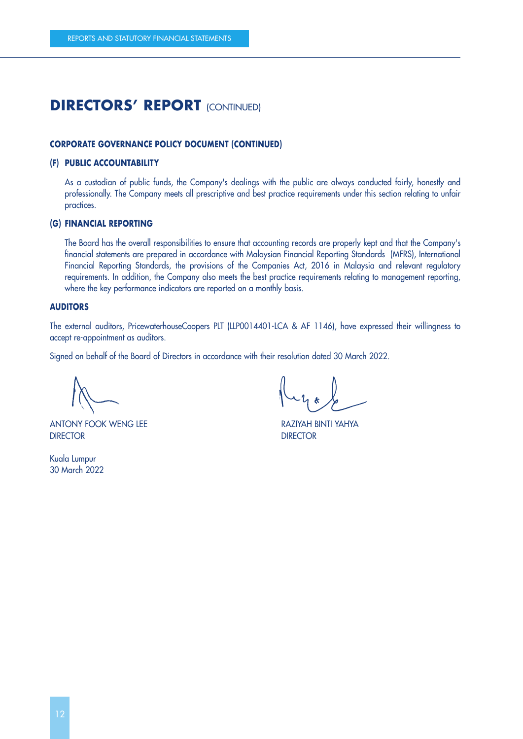#### **CORPORATE GOVERNANCE POLICY DOCUMENT (CONTINUED)**

#### **(F) PUBLIC ACCOUNTABILITY**

As a custodian of public funds, the Company's dealings with the public are always conducted fairly, honestly and professionally. The Company meets all prescriptive and best practice requirements under this section relating to unfair practices.

#### **(G) FINANCIAL REPORTING**

The Board has the overall responsibilities to ensure that accounting records are properly kept and that the Company's financial statements are prepared in accordance with Malaysian Financial Reporting Standards (MFRS), International Financial Reporting Standards, the provisions of the Companies Act, 2016 in Malaysia and relevant regulatory requirements. In addition, the Company also meets the best practice requirements relating to management reporting, where the key performance indicators are reported on a monthly basis.

#### **AUDITORS**

The external auditors, PricewaterhouseCoopers PLT (LLP0014401-LCA & AF 1146), have expressed their willingness to accept re-appointment as auditors.

Signed on behalf of the Board of Directors in accordance with their resolution dated 30 March 2022.

ANTONY FOOK WENG LEE RAZIYAH BINTI YAHYA DIRECTOR DIRECTOR

Kuala Lumpur 30 March 2022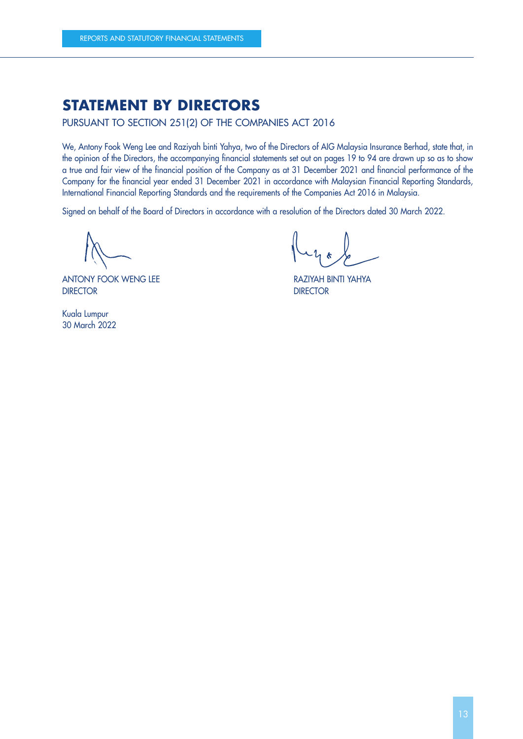### **STATEMENT BY DIRECTORS**

PURSUANT TO SECTION 251(2) OF THE COMPANIES ACT 2016

We, Antony Fook Weng Lee and Raziyah binti Yahya, two of the Directors of AIG Malaysia Insurance Berhad, state that, in the opinion of the Directors, the accompanying financial statements set out on pages 19 to 94 are drawn up so as to show a true and fair view of the financial position of the Company as at 31 December 2021 and financial performance of the Company for the financial year ended 31 December 2021 in accordance with Malaysian Financial Reporting Standards, International Financial Reporting Standards and the requirements of the Companies Act 2016 in Malaysia.

Signed on behalf of the Board of Directors in accordance with a resolution of the Directors dated 30 March 2022.

ANTONY FOOK WENG LEE RAZIYAH BINTI YAHYA DIRECTOR DIRECTOR

Kuala Lumpur 30 March 2022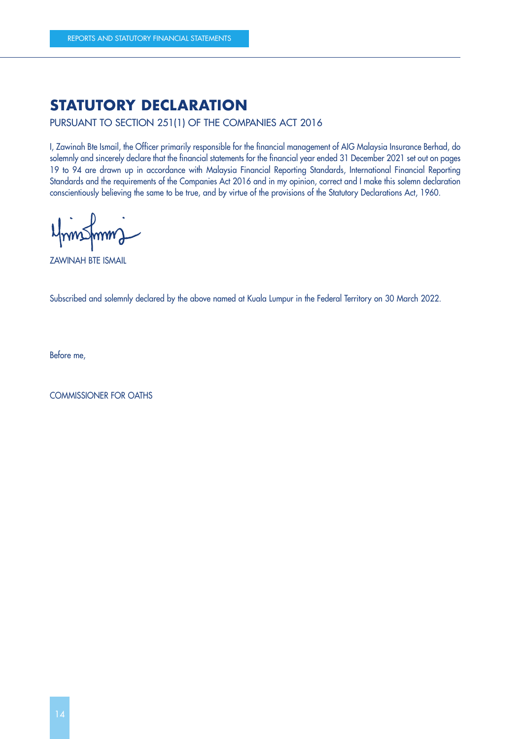### **STATUTORY DECLARATION**

PURSUANT TO SECTION 251(1) OF THE COMPANIES ACT 2016

I, Zawinah Bte Ismail, the Officer primarily responsible for the financial management of AIG Malaysia Insurance Berhad, do solemnly and sincerely declare that the financial statements for the financial year ended 31 December 2021 set out on pages 19 to 94 are drawn up in accordance with Malaysia Financial Reporting Standards, International Financial Reporting Standards and the requirements of the Companies Act 2016 and in my opinion, correct and I make this solemn declaration conscientiously believing the same to be true, and by virtue of the provisions of the Statutory Declarations Act, 1960.

ZAWINAH BTE ISMAIL

Subscribed and solemnly declared by the above named at Kuala Lumpur in the Federal Territory on 30 March 2022.

Before me,

COMMISSIONER FOR OATHS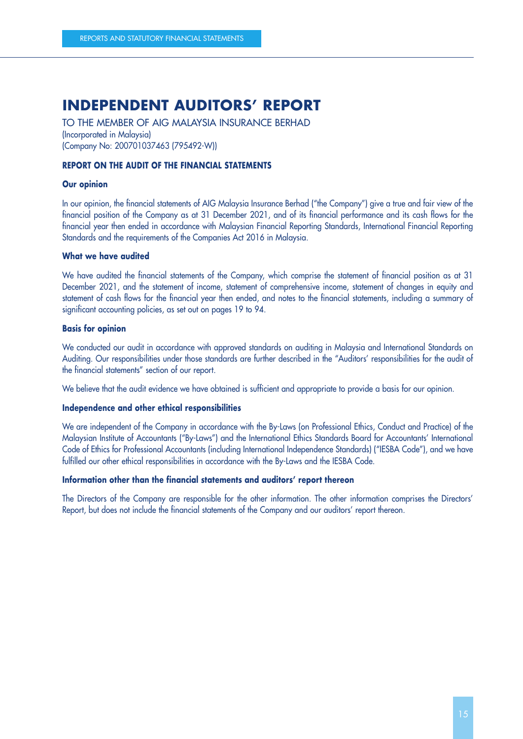TO THE MEMBER OF AIG MALAYSIA INSURANCE BERHAD (Incorporated in Malaysia) (Company No: 200701037463 (795492-W))

#### **REPORT ON THE AUDIT OF THE FINANCIAL STATEMENTS**

#### **Our opinion**

In our opinion, the financial statements of AIG Malaysia Insurance Berhad ("the Company") give a true and fair view of the financial position of the Company as at 31 December 2021, and of its financial performance and its cash flows for the financial year then ended in accordance with Malaysian Financial Reporting Standards, International Financial Reporting Standards and the requirements of the Companies Act 2016 in Malaysia.

#### **What we have audited**

We have audited the financial statements of the Company, which comprise the statement of financial position as at 31 December 2021, and the statement of income, statement of comprehensive income, statement of changes in equity and statement of cash flows for the financial year then ended, and notes to the financial statements, including a summary of significant accounting policies, as set out on pages 19 to 94.

#### **Basis for opinion**

We conducted our audit in accordance with approved standards on auditing in Malaysia and International Standards on Auditing. Our responsibilities under those standards are further described in the "Auditors' responsibilities for the audit of the financial statements" section of our report.

We believe that the audit evidence we have obtained is sufficient and appropriate to provide a basis for our opinion.

#### **Independence and other ethical responsibilities**

We are independent of the Company in accordance with the By-Laws (on Professional Ethics, Conduct and Practice) of the Malaysian Institute of Accountants ("By-Laws") and the International Ethics Standards Board for Accountants' International Code of Ethics for Professional Accountants (including International Independence Standards) ("IESBA Code"), and we have fulfilled our other ethical responsibilities in accordance with the By-Laws and the IESBA Code.

#### **Information other than the financial statements and auditors' report thereon**

The Directors of the Company are responsible for the other information. The other information comprises the Directors' Report, but does not include the financial statements of the Company and our auditors' report thereon.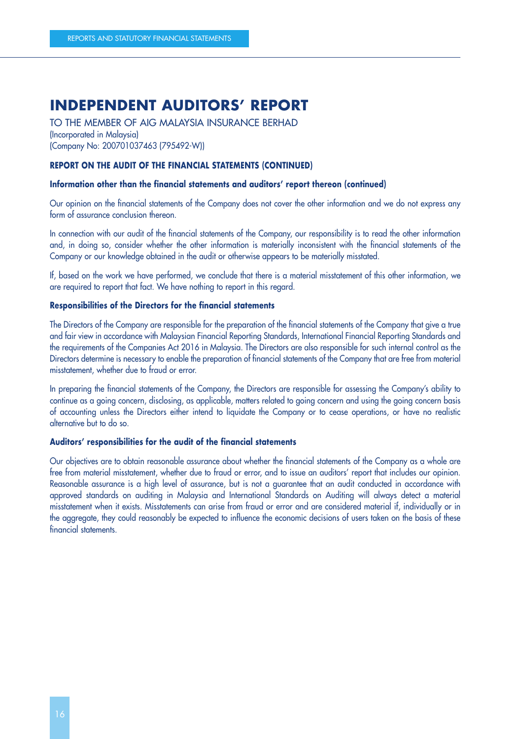TO THE MEMBER OF AIG MALAYSIA INSURANCE BERHAD (Incorporated in Malaysia) (Company No: 200701037463 (795492-W))

#### **REPORT ON THE AUDIT OF THE FINANCIAL STATEMENTS (CONTINUED)**

#### **Information other than the financial statements and auditors' report thereon (continued)**

Our opinion on the financial statements of the Company does not cover the other information and we do not express any form of assurance conclusion thereon.

In connection with our audit of the financial statements of the Company, our responsibility is to read the other information and, in doing so, consider whether the other information is materially inconsistent with the financial statements of the Company or our knowledge obtained in the audit or otherwise appears to be materially misstated.

If, based on the work we have performed, we conclude that there is a material misstatement of this other information, we are required to report that fact. We have nothing to report in this regard.

#### **Responsibilities of the Directors for the financial statements**

The Directors of the Company are responsible for the preparation of the financial statements of the Company that give a true and fair view in accordance with Malaysian Financial Reporting Standards, International Financial Reporting Standards and the requirements of the Companies Act 2016 in Malaysia. The Directors are also responsible for such internal control as the Directors determine is necessary to enable the preparation of financial statements of the Company that are free from material misstatement, whether due to fraud or error.

In preparing the financial statements of the Company, the Directors are responsible for assessing the Company's ability to continue as a going concern, disclosing, as applicable, matters related to going concern and using the going concern basis of accounting unless the Directors either intend to liquidate the Company or to cease operations, or have no realistic alternative but to do so.

#### **Auditors' responsibilities for the audit of the financial statements**

Our objectives are to obtain reasonable assurance about whether the financial statements of the Company as a whole are free from material misstatement, whether due to fraud or error, and to issue an auditors' report that includes our opinion. Reasonable assurance is a high level of assurance, but is not a guarantee that an audit conducted in accordance with approved standards on auditing in Malaysia and International Standards on Auditing will always detect a material misstatement when it exists. Misstatements can arise from fraud or error and are considered material if, individually or in the aggregate, they could reasonably be expected to influence the economic decisions of users taken on the basis of these financial statements.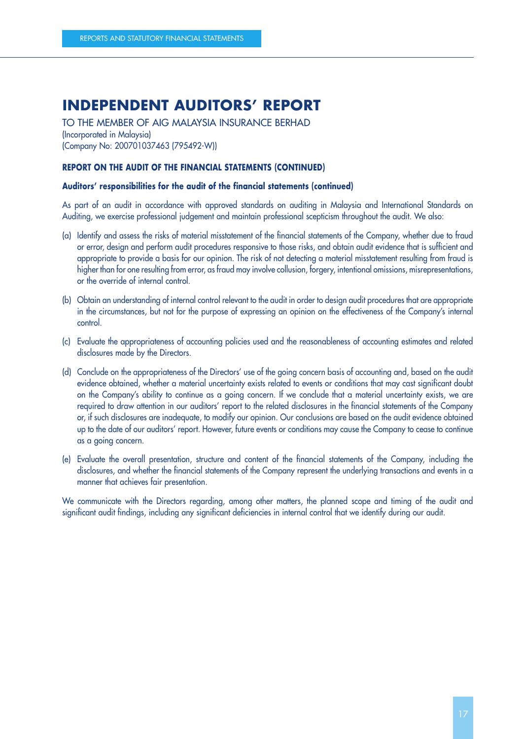TO THE MEMBER OF AIG MALAYSIA INSURANCE BERHAD (Incorporated in Malaysia) (Company No: 200701037463 (795492-W))

#### **REPORT ON THE AUDIT OF THE FINANCIAL STATEMENTS (CONTINUED)**

#### **Auditors' responsibilities for the audit of the financial statements (continued)**

As part of an audit in accordance with approved standards on auditing in Malaysia and International Standards on Auditing, we exercise professional judgement and maintain professional scepticism throughout the audit. We also:

- (a) Identify and assess the risks of material misstatement of the financial statements of the Company, whether due to fraud or error, design and perform audit procedures responsive to those risks, and obtain audit evidence that is sufficient and appropriate to provide a basis for our opinion. The risk of not detecting a material misstatement resulting from fraud is higher than for one resulting from error, as fraud may involve collusion, forgery, intentional omissions, misrepresentations, or the override of internal control.
- (b) Obtain an understanding of internal control relevant to the audit in order to design audit procedures that are appropriate in the circumstances, but not for the purpose of expressing an opinion on the effectiveness of the Company's internal control.
- (c) Evaluate the appropriateness of accounting policies used and the reasonableness of accounting estimates and related disclosures made by the Directors.
- (d) Conclude on the appropriateness of the Directors' use of the going concern basis of accounting and, based on the audit evidence obtained, whether a material uncertainty exists related to events or conditions that may cast significant doubt on the Company's ability to continue as a going concern. If we conclude that a material uncertainty exists, we are required to draw attention in our auditors' report to the related disclosures in the financial statements of the Company or, if such disclosures are inadequate, to modify our opinion. Our conclusions are based on the audit evidence obtained up to the date of our auditors' report. However, future events or conditions may cause the Company to cease to continue as a going concern.
- (e) Evaluate the overall presentation, structure and content of the financial statements of the Company, including the disclosures, and whether the financial statements of the Company represent the underlying transactions and events in a manner that achieves fair presentation.

We communicate with the Directors regarding, among other matters, the planned scope and timing of the audit and significant audit findings, including any significant deficiencies in internal control that we identify during our audit.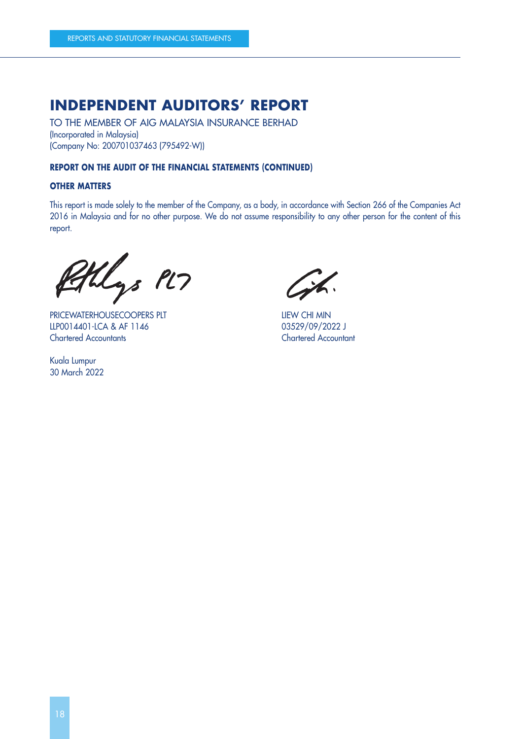TO THE MEMBER OF AIG MALAYSIA INSURANCE BERHAD (Incorporated in Malaysia) (Company No: 200701037463 (795492-W))

#### **REPORT ON THE AUDIT OF THE FINANCIAL STATEMENTS (CONTINUED)**

#### **OTHER MATTERS**

This report is made solely to the member of the Company, as a body, in accordance with Section 266 of the Companies Act 2016 in Malaysia and for no other purpose. We do not assume responsibility to any other person for the content of this report.

thlys PL7

PRICEWATERHOUSECOOPERS PLT **EXAMPLE AND RELEASE AND RELEASE PLT** LLP0014401-LCA & AF 1146 03529/09/2022 J Chartered Accountants Chartered Accountant

Kuala Lumpur 30 March 2022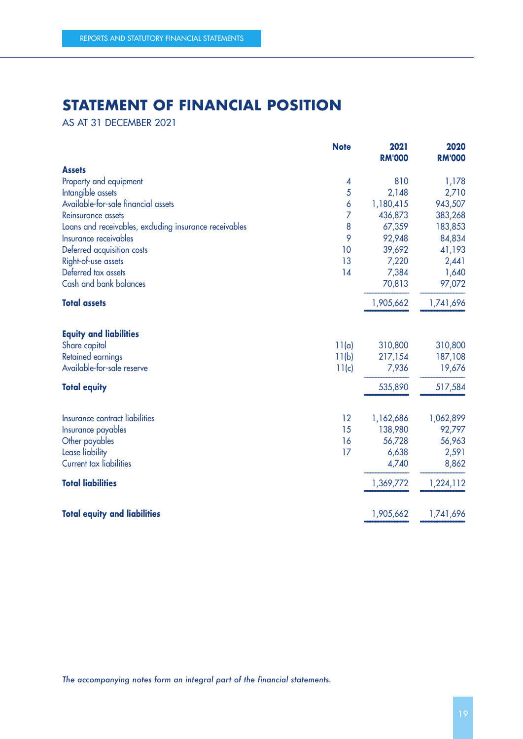### **STATEMENT OF FINANCIAL POSITION**

AS AT 31 DECEMBER 2021

|                                                        | <b>Note</b> | 2021<br><b>RM'000</b> | 2020<br><b>RM'000</b> |
|--------------------------------------------------------|-------------|-----------------------|-----------------------|
| <b>Assets</b>                                          |             |                       |                       |
| Property and equipment                                 | 4           | 810                   | 1,178                 |
| Intangible assets                                      | 5           | 2,148                 | 2,710                 |
| Available-for-sale financial assets                    | 6           | 1,180,415             | 943,507               |
| Reinsurance assets                                     | 7           | 436,873               | 383,268               |
| Loans and receivables, excluding insurance receivables | 8           | 67,359                | 183,853               |
| Insurance receivables                                  | 9           | 92,948                | 84,834                |
| Deferred acquisition costs                             | 10          | 39,692                | 41,193                |
| Right-of-use assets                                    | 13          | 7,220                 | 2,441                 |
| Deferred tax assets                                    | 14          | 7,384                 | 1,640                 |
| Cash and bank balances                                 |             | 70,813                | 97,072                |
| <b>Total assets</b>                                    |             | 1,905,662             | 1,741,696             |
| <b>Equity and liabilities</b>                          |             |                       |                       |
| Share capital                                          | 11(a)       | 310,800               | 310,800               |
| Retained earnings                                      | 11(b)       | 217,154               | 187,108               |
| Available-for-sale reserve                             | 11(c)       | 7,936                 | 19,676                |
| <b>Total equity</b>                                    |             | 535,890               | 517,584               |
| Insurance contract liabilities                         | 12          | 1,162,686             | 1,062,899             |
| Insurance payables                                     | 15          | 138,980               | 92,797                |
| Other payables                                         | 16          | 56,728                | 56,963                |
| Lease liability                                        | 17          | 6,638                 | 2,591                 |
| <b>Current tax liabilities</b>                         |             | 4,740                 | 8,862                 |
| <b>Total liabilities</b>                               |             | 1,369,772             | 1,224,112             |
| <b>Total equity and liabilities</b>                    |             | 1,905,662             | 1,741,696             |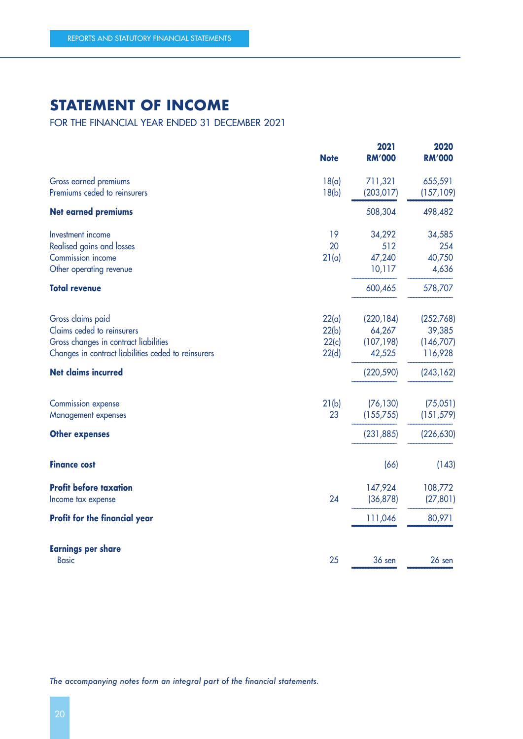### **STATEMENT OF INCOME**

FOR THE FINANCIAL YEAR ENDED 31 DECEMBER 2021

|                                                                                                                                                 | <b>Note</b>                      | 2021<br><b>RM'000</b>                        | 2020<br><b>RM'000</b>                       |
|-------------------------------------------------------------------------------------------------------------------------------------------------|----------------------------------|----------------------------------------------|---------------------------------------------|
| Gross earned premiums<br>Premiums ceded to reinsurers                                                                                           | 18(a)<br>18(b)                   | 711,321<br>(203, 017)                        | 655,591<br>(157, 109)                       |
| <b>Net earned premiums</b>                                                                                                                      |                                  | 508,304                                      | 498,482                                     |
| Investment income<br>Realised gains and losses<br>Commission income<br>Other operating revenue                                                  | 19<br>20<br>21(a)                | 34,292<br>512<br>47,240<br>10,117            | 34,585<br>254<br>40,750<br>4,636            |
| <b>Total revenue</b>                                                                                                                            |                                  | 600,465                                      | 578,707                                     |
| Gross claims paid<br>Claims ceded to reinsurers<br>Gross changes in contract liabilities<br>Changes in contract liabilities ceded to reinsurers | 22(a)<br>22(b)<br>22(c)<br>22(d) | (220, 184)<br>64,267<br>(107, 198)<br>42,525 | (252,768)<br>39,385<br>(146,707)<br>116,928 |
| <b>Net claims incurred</b>                                                                                                                      |                                  | (220, 590)                                   | (243, 162)                                  |
| <b>Commission expense</b><br>Management expenses<br><b>Other expenses</b>                                                                       | 21(b)<br>23                      | (76, 130)<br>(155, 755)<br>(231, 885)        | (75,051)<br>(151, 579)<br>(226, 630)        |
| <b>Finance cost</b>                                                                                                                             |                                  | (66)                                         | (143)                                       |
| <b>Profit before taxation</b><br>Income tax expense                                                                                             | 24                               | 147,924<br>(36, 878)                         | 108,772<br>(27, 801)                        |
| <b>Profit for the financial year</b>                                                                                                            |                                  | 111,046                                      | 80,971                                      |
| <b>Earnings per share</b><br><b>Basic</b>                                                                                                       | 25                               | 36 sen                                       | 26 sen                                      |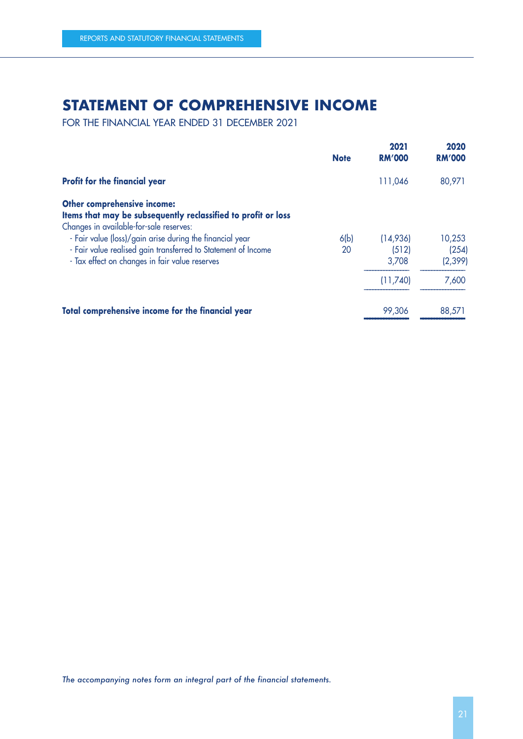### **STATEMENT OF COMPREHENSIVE INCOME**

FOR THE FINANCIAL YEAR ENDED 31 DECEMBER 2021

|                                                                                                                                                                                                            | <b>Note</b> | 2021<br><b>RM'000</b> | 2020<br><b>RM'000</b> |
|------------------------------------------------------------------------------------------------------------------------------------------------------------------------------------------------------------|-------------|-----------------------|-----------------------|
| <b>Profit for the financial year</b>                                                                                                                                                                       |             | 111,046               | 80,971                |
| <b>Other comprehensive income:</b><br>Items that may be subsequently reclassified to profit or loss<br>Changes in available-for-sale reserves:<br>- Fair value (loss)/gain arise during the financial year | 6(b)        | (14,936)              | 10,253                |
| - Fair value realised gain transferred to Statement of Income<br>- Tax effect on changes in fair value reserves                                                                                            | 20          | (512)<br>3,708        | (254)<br>(2, 399)     |
|                                                                                                                                                                                                            |             | (11,740)              | 7,600                 |
| Total comprehensive income for the financial year                                                                                                                                                          |             | 99,306                | 88,571                |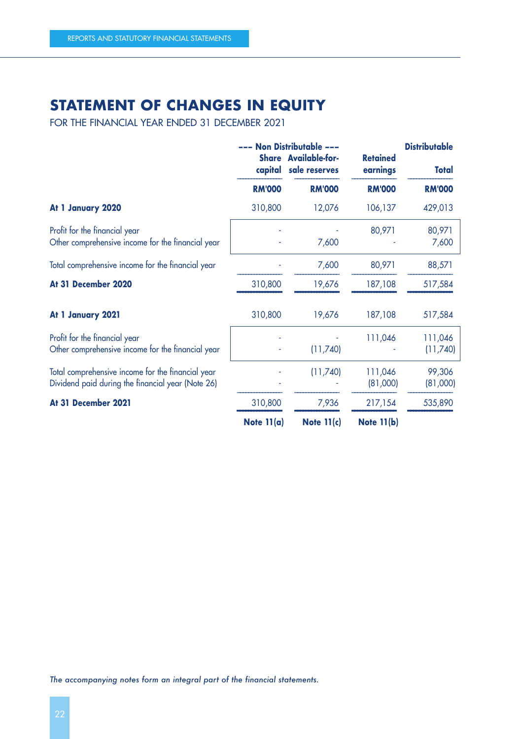### **STATEMENT OF CHANGES IN EQUITY**

FOR THE FINANCIAL YEAR ENDED 31 DECEMBER 2021

|                                                                                                        | --- Non Distributable ---<br><b>Share Available-for-</b><br>capital sale reserves |               | <b>Retained</b><br>earnings | <b>Distributable</b><br><b>Total</b> |
|--------------------------------------------------------------------------------------------------------|-----------------------------------------------------------------------------------|---------------|-----------------------------|--------------------------------------|
|                                                                                                        | <b>RM'000</b>                                                                     | <b>RM'000</b> | <b>RM'000</b>               | <b>RM'000</b>                        |
| At 1 January 2020                                                                                      | 310,800                                                                           | 12,076        | 106,137                     | 429,013                              |
| Profit for the financial year<br>Other comprehensive income for the financial year                     |                                                                                   | 7,600         | 80,971                      | 80,971<br>7,600                      |
| Total comprehensive income for the financial year                                                      |                                                                                   | 7,600         | 80,971                      | 88,571                               |
| At 31 December 2020                                                                                    | 310,800                                                                           | 19,676        | 187,108                     | 517,584                              |
| At 1 January 2021                                                                                      | 310,800                                                                           | 19,676        | 187,108                     | 517,584                              |
| Profit for the financial year<br>Other comprehensive income for the financial year                     |                                                                                   | (11,740)      | 111,046                     | 111,046<br>(11,740)                  |
| Total comprehensive income for the financial year<br>Dividend paid during the financial year (Note 26) |                                                                                   | (11,740)      | 111,046<br>(81,000)         | 99,306<br>(81,000)                   |
| At 31 December 2021                                                                                    | 310,800                                                                           | 7,936         | 217,154                     | 535,890                              |
|                                                                                                        | Note $11(a)$                                                                      | Note $11(c)$  | <b>Note 11(b)</b>           |                                      |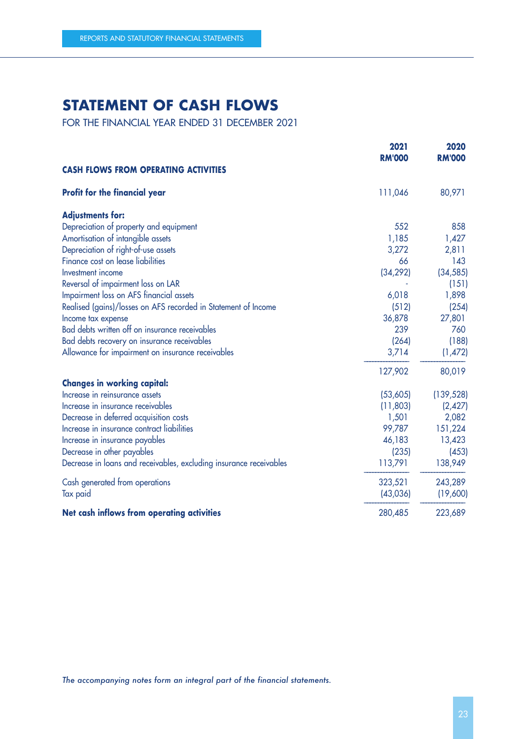### **STATEMENT OF CASH FLOWS**

FOR THE FINANCIAL YEAR ENDED 31 DECEMBER 2021

|                                                                    | 2021<br><b>RM'000</b> | 2020<br><b>RM'000</b> |
|--------------------------------------------------------------------|-----------------------|-----------------------|
| <b>CASH FLOWS FROM OPERATING ACTIVITIES</b>                        |                       |                       |
| <b>Profit for the financial year</b>                               | 111,046               | 80,971                |
| <b>Adjustments for:</b>                                            |                       |                       |
| Depreciation of property and equipment                             | 552                   | 858                   |
| Amortisation of intangible assets                                  | 1,185                 | 1,427                 |
| Depreciation of right-of-use assets                                | 3,272                 | 2,811                 |
| Finance cost on lease liabilities                                  | 66                    | 143                   |
| Investment income                                                  | (34, 292)             | (34, 585)             |
| Reversal of impairment loss on LAR                                 |                       | (151)                 |
| Impairment loss on AFS financial assets                            | 6,018                 | 1,898                 |
| Realised (gains)/losses on AFS recorded in Statement of Income     | (512)                 | (254)                 |
| Income tax expense                                                 | 36,878                | 27,801                |
| Bad debts written off on insurance receivables                     | 239                   | 760                   |
| Bad debts recovery on insurance receivables                        | (264)                 | (188)                 |
| Allowance for impairment on insurance receivables                  | 3,714                 | (1,472)               |
|                                                                    | 127,902               | 80,019                |
| <b>Changes in working capital:</b>                                 |                       |                       |
| Increase in reinsurance assets                                     | (53,605)              | (139, 528)            |
| Increase in insurance receivables                                  | (11,803)              | (2, 427)              |
| Decrease in deferred acquisition costs                             | 1,501                 | 2,082                 |
| Increase in insurance contract liabilities                         | 99,787                | 151,224               |
| Increase in insurance payables                                     | 46,183                | 13,423                |
| Decrease in other payables                                         | (235)                 | (453)                 |
| Decrease in loans and receivables, excluding insurance receivables | 113,791               | 138,949               |
| Cash generated from operations                                     | 323,521               | 243,289               |
| Tax paid                                                           | (43,036)              | (19,600)              |
| Net cash inflows from operating activities                         | 280,485               | 223,689               |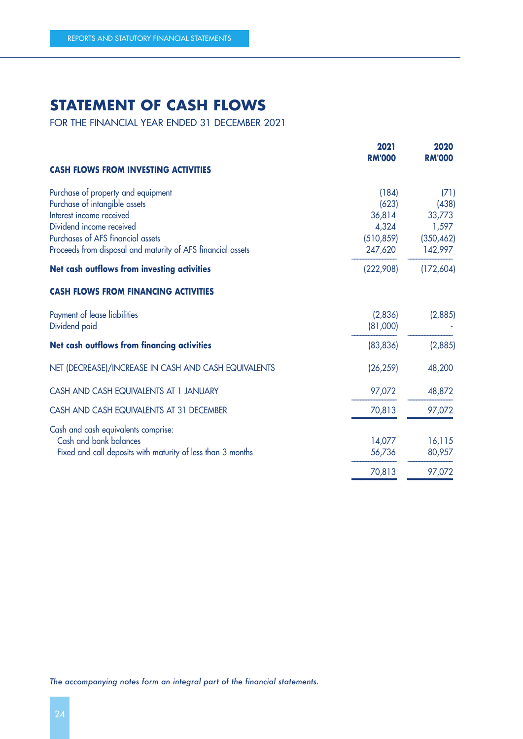### **STATEMENT OF CASH FLOWS**

FOR THE FINANCIAL YEAR ENDED 31 DECEMBER 2021

|                                                             | 2021<br><b>RM'000</b> | 2020<br><b>RM'000</b> |
|-------------------------------------------------------------|-----------------------|-----------------------|
| <b>CASH FLOWS FROM INVESTING ACTIVITIES</b>                 |                       |                       |
| Purchase of property and equipment                          | (184)                 | (71)                  |
| Purchase of intangible assets                               | (623)                 | (438)                 |
| Interest income received                                    | 36,814                | 33,773                |
| Dividend income received                                    | 4,324                 | 1,597                 |
| Purchases of AFS financial assets                           | (510, 859)            | (350, 462)            |
| Proceeds from disposal and maturity of AFS financial assets | 247,620               | 142,997               |
| Net cash outflows from investing activities                 | (222,908)             | (172, 604)            |
| <b>CASH FLOWS FROM FINANCING ACTIVITIES</b>                 |                       |                       |
| Payment of lease liabilities                                | (2,836)               | (2,885)               |
| Dividend paid                                               | (81,000)              |                       |
| Net cash outflows from financing activities                 | (83, 836)             | (2,885)               |
| NET (DECREASE)/INCREASE IN CASH AND CASH EQUIVALENTS        | (26, 259)             | 48,200                |
| CASH AND CASH EQUIVALENTS AT 1 JANUARY                      | 97,072                | 48,872                |
| CASH AND CASH EQUIVALENTS AT 31 DECEMBER                    | 70,813                | 97,072                |
| Cash and cash equivalents comprise:                         |                       |                       |
| Cash and bank balances                                      | 14,077                | 16,115                |
| Fixed and call deposits with maturity of less than 3 months | 56,736                | 80,957                |
|                                                             | 70,813                | 97,072                |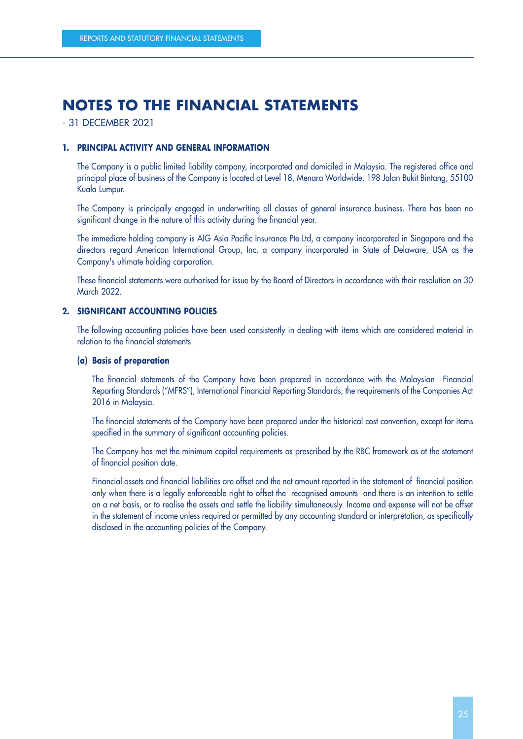- 31 DECEMBER 2021

#### **1. PRINCIPAL ACTIVITY AND GENERAL INFORMATION**

The Company is a public limited liability company, incorporated and domiciled in Malaysia. The registered office and principal place of business of the Company is located at Level 18, Menara Worldwide, 198 Jalan Bukit Bintang, 55100 Kuala Lumpur.

The Company is principally engaged in underwriting all classes of general insurance business. There has been no significant change in the nature of this activity during the financial year.

The immediate holding company is AIG Asia Pacific Insurance Pte Ltd, a company incorporated in Singapore and the directors regard American International Group, Inc, a company incorporated in State of Delaware, USA as the Company's ultimate holding corporation.

These financial statements were authorised for issue by the Board of Directors in accordance with their resolution on 30 March 2022.

#### **2. SIGNIFICANT ACCOUNTING POLICIES**

The following accounting policies have been used consistently in dealing with items which are considered material in relation to the financial statements.

#### **(a) Basis of preparation**

The financial statements of the Company have been prepared in accordance with the Malaysian Financial Reporting Standards ("MFRS"), International Financial Reporting Standards, the requirements of the Companies Act 2016 in Malaysia.

The financial statements of the Company have been prepared under the historical cost convention, except for items specified in the summary of significant accounting policies.

The Company has met the minimum capital requirements as prescribed by the RBC framework as at the statement of financial position date.

Financial assets and financial liabilities are offset and the net amount reported in the statement of financial position only when there is a legally enforceable right to offset the recognised amounts and there is an intention to settle on a net basis, or to realise the assets and settle the liability simultaneously. Income and expense will not be offset in the statement of income unless required or permitted by any accounting standard or interpretation, as specifically disclosed in the accounting policies of the Company.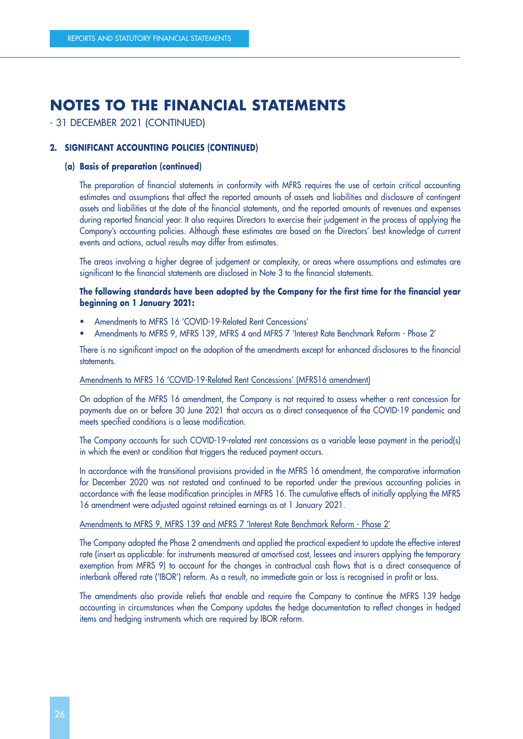#### - 31 DECEMBER 2021 (CONTINUED)

#### **2. SIGNIFICANT ACCOUNTING POLICIES (CONTINUED)**

#### **(a) Basis of preparation (continued)**

The preparation of financial statements in conformity with MFRS requires the use of certain critical accounting estimates and assumptions that affect the reported amounts of assets and liabilities and disclosure of contingent assets and liabilities at the date of the financial statements, and the reported amounts of revenues and expenses during reported financial year. It also requires Directors to exercise their judgement in the process of applying the Company's accounting policies. Although these estimates are based on the Directors' best knowledge of current events and actions, actual results may differ from estimates.

The areas involving a higher degree of judgement or complexity, or areas where assumptions and estimates are significant to the financial statements are disclosed in Note 3 to the financial statements.

#### **The following standards have been adopted by the Company for the first time for the financial year beginning on 1 January 2021:**

- Amendments to MFRS 16 'COVID-19-Related Rent Concessions'
- Amendments to MFRS 9, MFRS 139, MFRS 4 and MFRS 7 'Interest Rate Benchmark Reform Phase 2'

There is no significant impact on the adoption of the amendments except for enhanced disclosures to the financial statements.

#### Amendments to MFRS 16 'COVID-19-Related Rent Concessions' (MFRS16 amendment)

On adoption of the MFRS 16 amendment, the Company is not required to assess whether a rent concession for payments due on or before 30 June 2021 that occurs as a direct consequence of the COVID-19 pandemic and meets specified conditions is a lease modification.

The Company accounts for such COVID-19-related rent concessions as a variable lease payment in the period(s) in which the event or condition that triggers the reduced payment occurs.

In accordance with the transitional provisions provided in the MFRS 16 amendment, the comparative information for December 2020 was not restated and continued to be reported under the previous accounting policies in accordance with the lease modification principles in MFRS 16. The cumulative effects of initially applying the MFRS 16 amendment were adjusted against retained earnings as at 1 January 2021.

#### Amendments to MFRS 9, MFRS 139 and MFRS 7 'Interest Rate Benchmark Reform - Phase 2'

The Company adopted the Phase 2 amendments and applied the practical expedient to update the effective interest rate (insert as applicable: for instruments measured at amortised cost, lessees and insurers applying the temporary exemption from MFRS 9) to account for the changes in contractual cash flows that is a direct consequence of interbank offered rate ('IBOR') reform. As a result, no immediate gain or loss is recognised in profit or loss.

The amendments also provide reliefs that enable and require the Company to continue the MFRS 139 hedge accounting in circumstances when the Company updates the hedge documentation to reflect changes in hedged items and hedging instruments which are required by IBOR reform.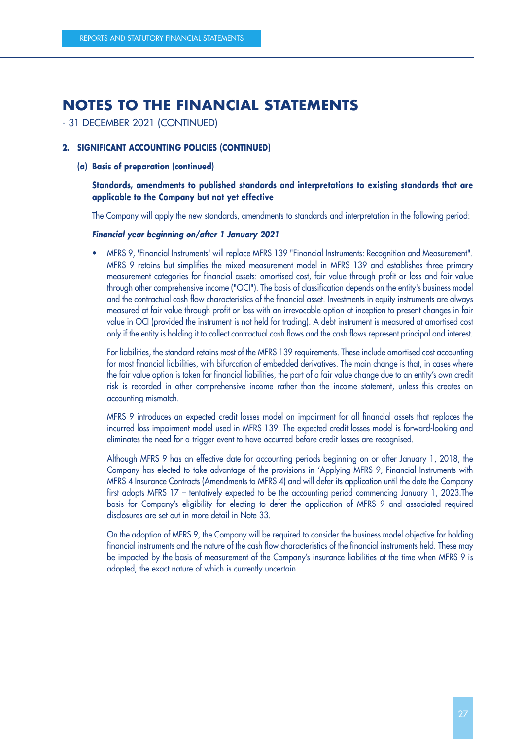- 31 DECEMBER 2021 (CONTINUED)

#### **2. SIGNIFICANT ACCOUNTING POLICIES (CONTINUED)**

#### **(a) Basis of preparation (continued)**

#### **Standards, amendments to published standards and interpretations to existing standards that are applicable to the Company but not yet effective**

The Company will apply the new standards, amendments to standards and interpretation in the following period:

#### **Financial year beginning on/after 1 January 2021**

• MFRS 9, 'Financial Instruments' will replace MFRS 139 "Financial Instruments: Recognition and Measurement". MFRS 9 retains but simplifies the mixed measurement model in MFRS 139 and establishes three primary measurement categories for financial assets: amortised cost, fair value through profit or loss and fair value through other comprehensive income ("OCI"). The basis of classification depends on the entity's business model and the contractual cash flow characteristics of the financial asset. Investments in equity instruments are always measured at fair value through profit or loss with an irrevocable option at inception to present changes in fair value in OCI (provided the instrument is not held for trading). A debt instrument is measured at amortised cost only if the entity is holding it to collect contractual cash flows and the cash flows represent principal and interest.

For liabilities, the standard retains most of the MFRS 139 requirements. These include amortised cost accounting for most financial liabilities, with bifurcation of embedded derivatives. The main change is that, in cases where the fair value option is taken for financial liabilities, the part of a fair value change due to an entity's own credit risk is recorded in other comprehensive income rather than the income statement, unless this creates an accounting mismatch.

MFRS 9 introduces an expected credit losses model on impairment for all financial assets that replaces the incurred loss impairment model used in MFRS 139. The expected credit losses model is forward-looking and eliminates the need for a trigger event to have occurred before credit losses are recognised.

Although MFRS 9 has an effective date for accounting periods beginning on or after January 1, 2018, the Company has elected to take advantage of the provisions in 'Applying MFRS 9, Financial Instruments with MFRS 4 Insurance Contracts (Amendments to MFRS 4) and will defer its application until the date the Company first adopts MFRS 17 – tentatively expected to be the accounting period commencing January 1, 2023.The basis for Company's eligibility for electing to defer the application of MFRS 9 and associated required disclosures are set out in more detail in Note 33.

On the adoption of MFRS 9, the Company will be required to consider the business model objective for holding financial instruments and the nature of the cash flow characteristics of the financial instruments held. These may be impacted by the basis of measurement of the Company's insurance liabilities at the time when MFRS 9 is adopted, the exact nature of which is currently uncertain.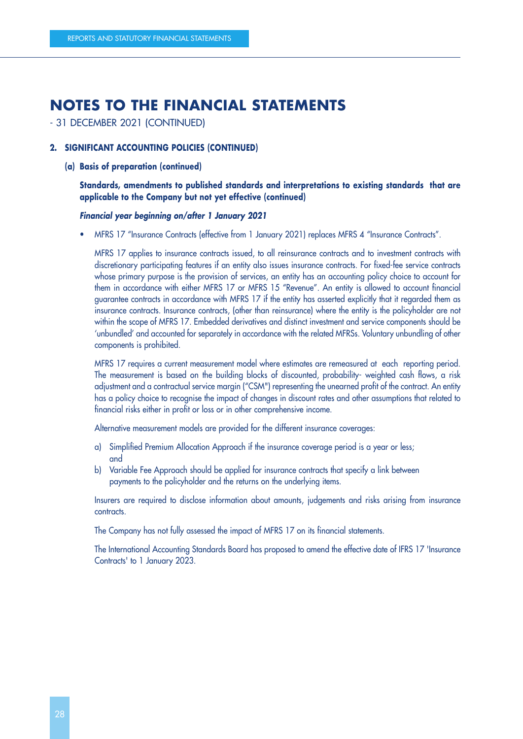- 31 DECEMBER 2021 (CONTINUED)

#### **2. SIGNIFICANT ACCOUNTING POLICIES (CONTINUED)**

**(a) Basis of preparation (continued)**

#### **Standards, amendments to published standards and interpretations to existing standards that are applicable to the Company but not yet effective (continued)**

#### **Financial year beginning on/after 1 January 2021**

• MFRS 17 "Insurance Contracts (effective from 1 January 2021) replaces MFRS 4 "Insurance Contracts".

MFRS 17 applies to insurance contracts issued, to all reinsurance contracts and to investment contracts with discretionary participating features if an entity also issues insurance contracts. For fixed-fee service contracts whose primary purpose is the provision of services, an entity has an accounting policy choice to account for them in accordance with either MFRS 17 or MFRS 15 "Revenue". An entity is allowed to account financial guarantee contracts in accordance with MFRS 17 if the entity has asserted explicitly that it regarded them as insurance contracts. Insurance contracts, (other than reinsurance) where the entity is the policyholder are not within the scope of MFRS 17. Embedded derivatives and distinct investment and service components should be 'unbundled' and accounted for separately in accordance with the related MFRSs. Voluntary unbundling of other components is prohibited.

MFRS 17 requires a current measurement model where estimates are remeasured at each reporting period. The measurement is based on the building blocks of discounted, probability- weighted cash flows, a risk adjustment and a contractual service margin ("CSM") representing the unearned profit of the contract. An entity has a policy choice to recognise the impact of changes in discount rates and other assumptions that related to financial risks either in profit or loss or in other comprehensive income.

Alternative measurement models are provided for the different insurance coverages:

- a) Simplified Premium Allocation Approach if the insurance coverage period is a year or less; and
- b) Variable Fee Approach should be applied for insurance contracts that specify a link between payments to the policyholder and the returns on the underlying items.

Insurers are required to disclose information about amounts, judgements and risks arising from insurance contracts.

The Company has not fully assessed the impact of MFRS 17 on its financial statements.

The International Accounting Standards Board has proposed to amend the effective date of IFRS 17 'Insurance Contracts' to 1 January 2023.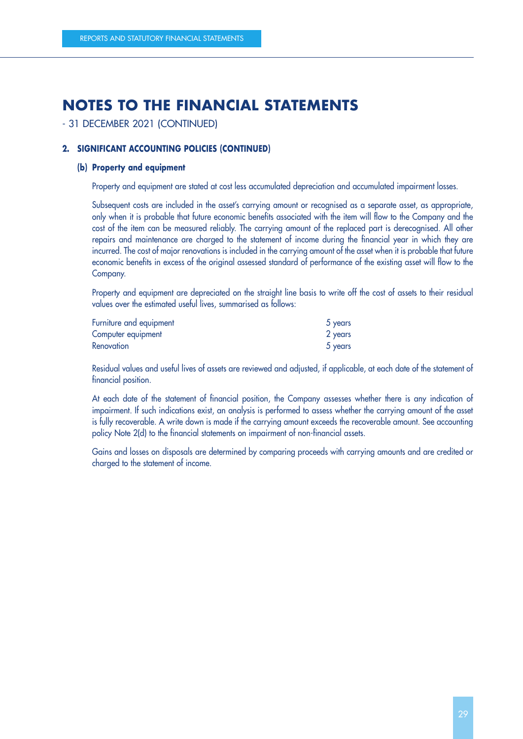#### - 31 DECEMBER 2021 (CONTINUED)

#### **2. SIGNIFICANT ACCOUNTING POLICIES (CONTINUED)**

#### **(b) Property and equipment**

Property and equipment are stated at cost less accumulated depreciation and accumulated impairment losses.

Subsequent costs are included in the asset's carrying amount or recognised as a separate asset, as appropriate, only when it is probable that future economic benefits associated with the item will flow to the Company and the cost of the item can be measured reliably. The carrying amount of the replaced part is derecognised. All other repairs and maintenance are charged to the statement of income during the financial year in which they are incurred. The cost of major renovations is included in the carrying amount of the asset when it is probable that future economic benefits in excess of the original assessed standard of performance of the existing asset will flow to the Company.

Property and equipment are depreciated on the straight line basis to write off the cost of assets to their residual values over the estimated useful lives, summarised as follows:

| Furniture and equipment | 5 years |
|-------------------------|---------|
| Computer equipment      | 2 years |
| <b>Renovation</b>       | 5 years |

Residual values and useful lives of assets are reviewed and adjusted, if applicable, at each date of the statement of financial position.

At each date of the statement of financial position, the Company assesses whether there is any indication of impairment. If such indications exist, an analysis is performed to assess whether the carrying amount of the asset is fully recoverable. A write down is made if the carrying amount exceeds the recoverable amount. See accounting policy Note 2(d) to the financial statements on impairment of non-financial assets.

Gains and losses on disposals are determined by comparing proceeds with carrying amounts and are credited or charged to the statement of income.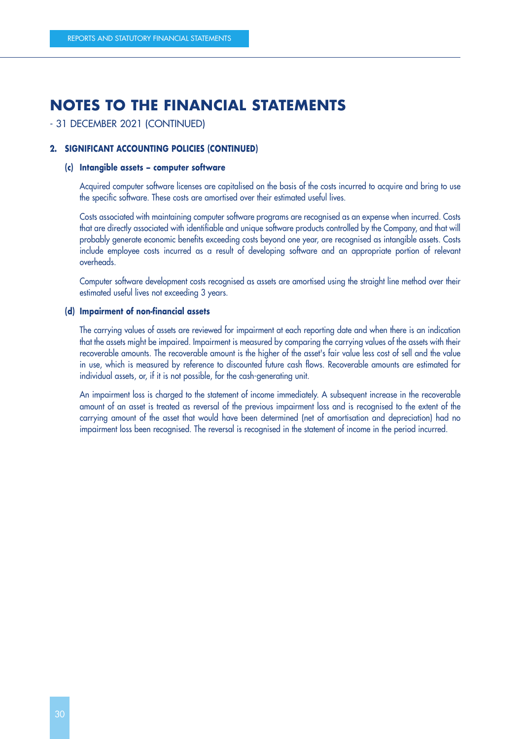#### - 31 DECEMBER 2021 (CONTINUED)

#### **2. SIGNIFICANT ACCOUNTING POLICIES (CONTINUED)**

#### **(c) Intangible assets – computer software**

Acquired computer software licenses are capitalised on the basis of the costs incurred to acquire and bring to use the specific software. These costs are amortised over their estimated useful lives.

Costs associated with maintaining computer software programs are recognised as an expense when incurred. Costs that are directly associated with identifiable and unique software products controlled by the Company, and that will probably generate economic benefits exceeding costs beyond one year, are recognised as intangible assets. Costs include employee costs incurred as a result of developing software and an appropriate portion of relevant overheads.

Computer software development costs recognised as assets are amortised using the straight line method over their estimated useful lives not exceeding 3 years.

#### **(d) Impairment of non-financial assets**

The carrying values of assets are reviewed for impairment at each reporting date and when there is an indication that the assets might be impaired. Impairment is measured by comparing the carrying values of the assets with their recoverable amounts. The recoverable amount is the higher of the asset's fair value less cost of sell and the value in use, which is measured by reference to discounted future cash flows. Recoverable amounts are estimated for individual assets, or, if it is not possible, for the cash-generating unit.

An impairment loss is charged to the statement of income immediately. A subsequent increase in the recoverable amount of an asset is treated as reversal of the previous impairment loss and is recognised to the extent of the carrying amount of the asset that would have been determined (net of amortisation and depreciation) had no impairment loss been recognised. The reversal is recognised in the statement of income in the period incurred.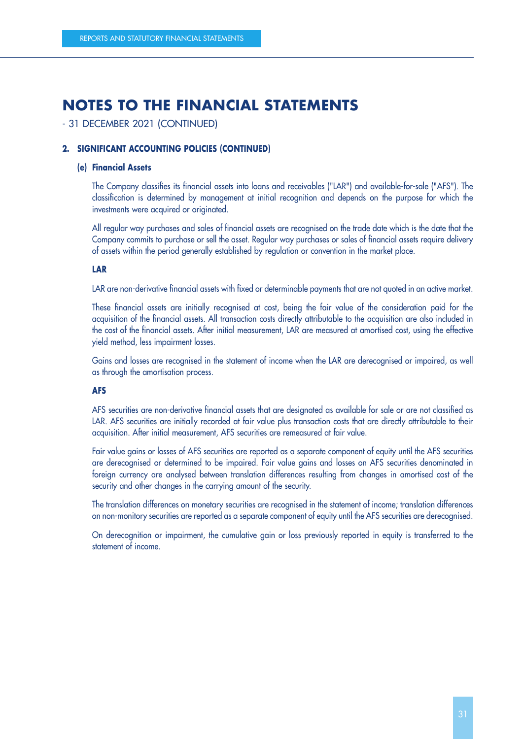#### - 31 DECEMBER 2021 (CONTINUED)

#### **2. SIGNIFICANT ACCOUNTING POLICIES (CONTINUED)**

#### **(e) Financial Assets**

The Company classifies its financial assets into loans and receivables ("LAR") and available-for-sale ("AFS"). The classification is determined by management at initial recognition and depends on the purpose for which the investments were acquired or originated.

All regular way purchases and sales of financial assets are recognised on the trade date which is the date that the Company commits to purchase or sell the asset. Regular way purchases or sales of financial assets require delivery of assets within the period generally established by regulation or convention in the market place.

#### **LAR**

LAR are non-derivative financial assets with fixed or determinable payments that are not quoted in an active market.

These financial assets are initially recognised at cost, being the fair value of the consideration paid for the acquisition of the financial assets. All transaction costs directly attributable to the acquisition are also included in the cost of the financial assets. After initial measurement, LAR are measured at amortised cost, using the effective yield method, less impairment losses.

Gains and losses are recognised in the statement of income when the LAR are derecognised or impaired, as well as through the amortisation process.

#### **AFS**

AFS securities are non-derivative financial assets that are designated as available for sale or are not classified as LAR. AFS securities are initially recorded at fair value plus transaction costs that are directly attributable to their acquisition. After initial measurement, AFS securities are remeasured at fair value.

Fair value gains or losses of AFS securities are reported as a separate component of equity until the AFS securities are derecognised or determined to be impaired. Fair value gains and losses on AFS securities denominated in foreign currency are analysed between translation differences resulting from changes in amortised cost of the security and other changes in the carrying amount of the security.

The translation differences on monetary securities are recognised in the statement of income; translation differences on non-monitory securities are reported as a separate component of equity until the AFS securities are derecognised.

On derecognition or impairment, the cumulative gain or loss previously reported in equity is transferred to the statement of income.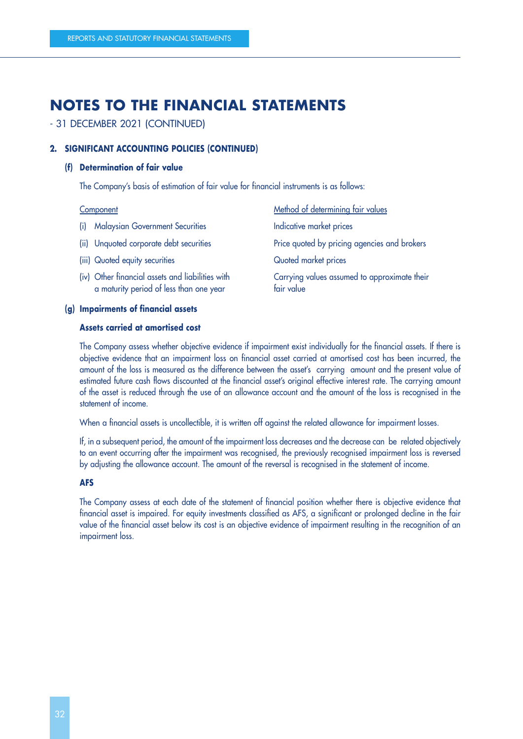#### - 31 DECEMBER 2021 (CONTINUED)

#### **2. SIGNIFICANT ACCOUNTING POLICIES (CONTINUED)**

#### **(f) Determination of fair value**

The Company's basis of estimation of fair value for financial instruments is as follows:

- (i) Malaysian Government Securities Indicative market prices
- 
- (iii) Quoted equity securities Quoted market prices
- (iv) Other financial assets and liabilities with a maturity period of less than one year
- Component Component Component Component Component Component Component Component Component Component Component Component Component Component Component Component Component Component Component Component Component Component Co (ii) Unquoted corporate debt securities Price quoted by pricing agencies and brokers Carrying values assumed to approximate their fair value

#### **(g) Impairments of financial assets**

#### **Assets carried at amortised cost**

The Company assess whether objective evidence if impairment exist individually for the financial assets. If there is objective evidence that an impairment loss on financial asset carried at amortised cost has been incurred, the amount of the loss is measured as the difference between the asset's carrying amount and the present value of estimated future cash flows discounted at the financial asset's original effective interest rate. The carrying amount of the asset is reduced through the use of an allowance account and the amount of the loss is recognised in the statement of income.

When a financial assets is uncollectible, it is written off against the related allowance for impairment losses.

If, in a subsequent period, the amount of the impairment loss decreases and the decrease can be related objectively to an event occurring after the impairment was recognised, the previously recognised impairment loss is reversed by adjusting the allowance account. The amount of the reversal is recognised in the statement of income.

#### **AFS**

The Company assess at each date of the statement of financial position whether there is objective evidence that financial asset is impaired. For equity investments classified as AFS, a significant or prolonged decline in the fair value of the financial asset below its cost is an objective evidence of impairment resulting in the recognition of an impairment loss.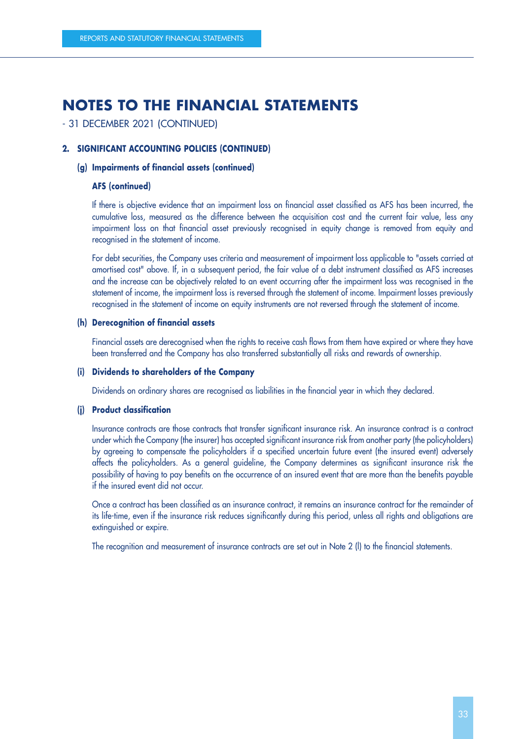### - 31 DECEMBER 2021 (CONTINUED)

#### **2. SIGNIFICANT ACCOUNTING POLICIES (CONTINUED)**

#### **(g) Impairments of financial assets (continued)**

#### **AFS (continued)**

If there is objective evidence that an impairment loss on financial asset classified as AFS has been incurred, the cumulative loss, measured as the difference between the acquisition cost and the current fair value, less any impairment loss on that financial asset previously recognised in equity change is removed from equity and recognised in the statement of income.

For debt securities, the Company uses criteria and measurement of impairment loss applicable to "assets carried at amortised cost" above. If, in a subsequent period, the fair value of a debt instrument classified as AFS increases and the increase can be objectively related to an event occurring after the impairment loss was recognised in the statement of income, the impairment loss is reversed through the statement of income. Impairment losses previously recognised in the statement of income on equity instruments are not reversed through the statement of income.

#### **(h) Derecognition of financial assets**

Financial assets are derecognised when the rights to receive cash flows from them have expired or where they have been transferred and the Company has also transferred substantially all risks and rewards of ownership.

#### **(i) Dividends to shareholders of the Company**

Dividends on ordinary shares are recognised as liabilities in the financial year in which they declared.

#### **(j) Product classification**

Insurance contracts are those contracts that transfer significant insurance risk. An insurance contract is a contract under which the Company (the insurer) has accepted significant insurance risk from another party (the policyholders) by agreeing to compensate the policyholders if a specified uncertain future event (the insured event) adversely affects the policyholders. As a general guideline, the Company determines as significant insurance risk the possibility of having to pay benefits on the occurrence of an insured event that are more than the benefits payable if the insured event did not occur.

Once a contract has been classified as an insurance contract, it remains an insurance contract for the remainder of its life-time, even if the insurance risk reduces significantly during this period, unless all rights and obligations are extinguished or expire.

The recognition and measurement of insurance contracts are set out in Note 2 (l) to the financial statements.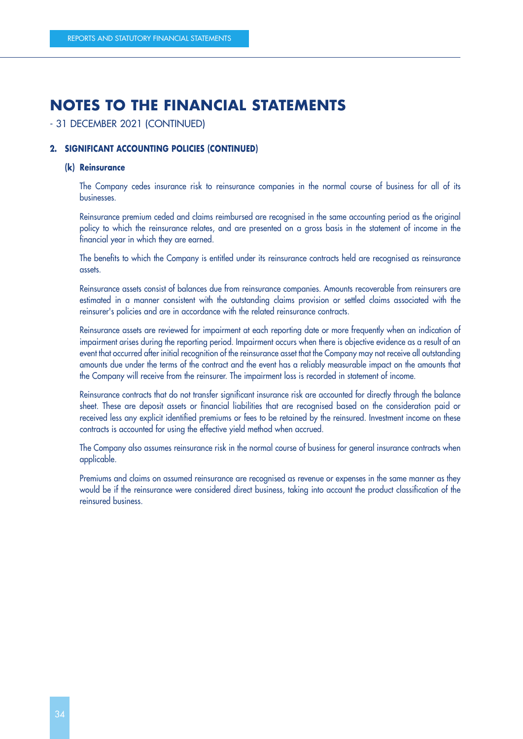#### - 31 DECEMBER 2021 (CONTINUED)

#### **2. SIGNIFICANT ACCOUNTING POLICIES (CONTINUED)**

#### **(k) Reinsurance**

The Company cedes insurance risk to reinsurance companies in the normal course of business for all of its businesses.

Reinsurance premium ceded and claims reimbursed are recognised in the same accounting period as the original policy to which the reinsurance relates, and are presented on a gross basis in the statement of income in the financial year in which they are earned.

The benefits to which the Company is entitled under its reinsurance contracts held are recognised as reinsurance assets.

Reinsurance assets consist of balances due from reinsurance companies. Amounts recoverable from reinsurers are estimated in a manner consistent with the outstanding claims provision or settled claims associated with the reinsurer's policies and are in accordance with the related reinsurance contracts.

Reinsurance assets are reviewed for impairment at each reporting date or more frequently when an indication of impairment arises during the reporting period. Impairment occurs when there is objective evidence as a result of an event that occurred after initial recognition of the reinsurance asset that the Company may not receive all outstanding amounts due under the terms of the contract and the event has a reliably measurable impact on the amounts that the Company will receive from the reinsurer. The impairment loss is recorded in statement of income.

Reinsurance contracts that do not transfer significant insurance risk are accounted for directly through the balance sheet. These are deposit assets or financial liabilities that are recognised based on the consideration paid or received less any explicit identified premiums or fees to be retained by the reinsured. Investment income on these contracts is accounted for using the effective yield method when accrued.

The Company also assumes reinsurance risk in the normal course of business for general insurance contracts when applicable.

Premiums and claims on assumed reinsurance are recognised as revenue or expenses in the same manner as they would be if the reinsurance were considered direct business, taking into account the product classification of the reinsured business.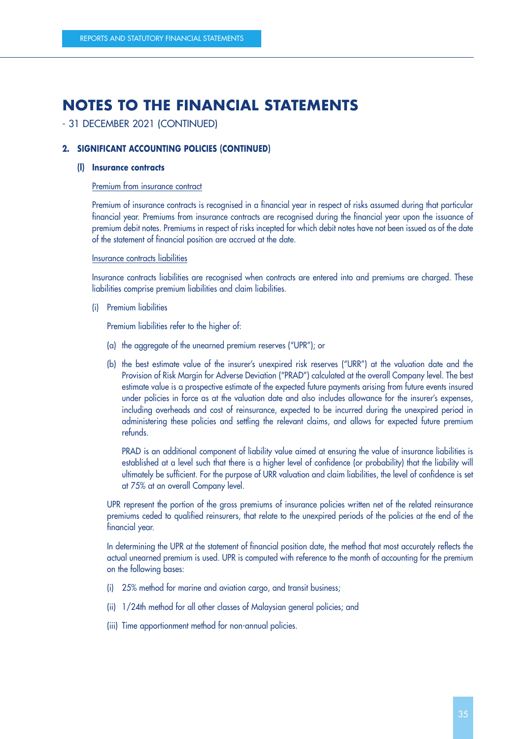## - 31 DECEMBER 2021 (CONTINUED)

## **2. SIGNIFICANT ACCOUNTING POLICIES (CONTINUED)**

### **(l) Insurance contracts**

#### Premium from insurance contract

Premium of insurance contracts is recognised in a financial year in respect of risks assumed during that particular financial year. Premiums from insurance contracts are recognised during the financial year upon the issuance of premium debit notes. Premiums in respect of risks incepted for which debit notes have not been issued as of the date of the statement of financial position are accrued at the date.

#### Insurance contracts liabilities

Insurance contracts liabilities are recognised when contracts are entered into and premiums are charged. These liabilities comprise premium liabilities and claim liabilities.

(i) Premium liabilities

Premium liabilities refer to the higher of:

- (a) the aggregate of the unearned premium reserves ("UPR"); or
- (b) the best estimate value of the insurer's unexpired risk reserves ("URR") at the valuation date and the Provision of Risk Margin for Adverse Deviation ("PRAD") calculated at the overall Company level. The best estimate value is a prospective estimate of the expected future payments arising from future events insured under policies in force as at the valuation date and also includes allowance for the insurer's expenses, including overheads and cost of reinsurance, expected to be incurred during the unexpired period in administering these policies and settling the relevant claims, and allows for expected future premium refunds.

PRAD is an additional component of liability value aimed at ensuring the value of insurance liabilities is established at a level such that there is a higher level of confidence (or probability) that the liability will ultimately be sufficient. For the purpose of URR valuation and claim liabilities, the level of confidence is set at 75% at an overall Company level.

UPR represent the portion of the gross premiums of insurance policies written net of the related reinsurance premiums ceded to qualified reinsurers, that relate to the unexpired periods of the policies at the end of the financial year.

In determining the UPR at the statement of financial position date, the method that most accurately reflects the actual unearned premium is used. UPR is computed with reference to the month of accounting for the premium on the following bases:

- (i) 25% method for marine and aviation cargo, and transit business;
- (ii) 1/24th method for all other classes of Malaysian general policies; and
- (iii) Time apportionment method for non-annual policies.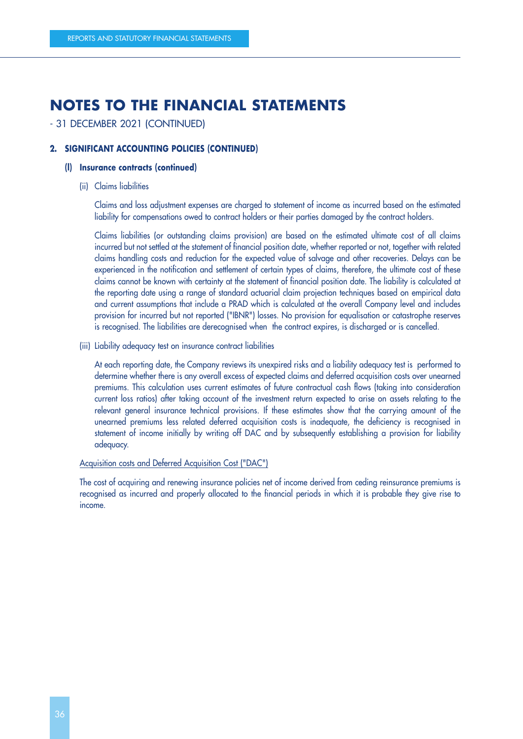# - 31 DECEMBER 2021 (CONTINUED)

## **2. SIGNIFICANT ACCOUNTING POLICIES (CONTINUED)**

### **(l) Insurance contracts (continued)**

(ii) Claims liabilities

Claims and loss adjustment expenses are charged to statement of income as incurred based on the estimated liability for compensations owed to contract holders or their parties damaged by the contract holders.

Claims liabilities (or outstanding claims provision) are based on the estimated ultimate cost of all claims incurred but not settled at the statement of financial position date, whether reported or not, together with related claims handling costs and reduction for the expected value of salvage and other recoveries. Delays can be experienced in the notification and settlement of certain types of claims, therefore, the ultimate cost of these claims cannot be known with certainty at the statement of financial position date. The liability is calculated at the reporting date using a range of standard actuarial claim projection techniques based on empirical data and current assumptions that include a PRAD which is calculated at the overall Company level and includes provision for incurred but not reported ("IBNR") losses. No provision for equalisation or catastrophe reserves is recognised. The liabilities are derecognised when the contract expires, is discharged or is cancelled.

(iii) Liability adequacy test on insurance contract liabilities

At each reporting date, the Company reviews its unexpired risks and a liability adequacy test is performed to determine whether there is any overall excess of expected claims and deferred acquisition costs over unearned premiums. This calculation uses current estimates of future contractual cash flows (taking into consideration current loss ratios) after taking account of the investment return expected to arise on assets relating to the relevant general insurance technical provisions. If these estimates show that the carrying amount of the unearned premiums less related deferred acquisition costs is inadequate, the deficiency is recognised in statement of income initially by writing off DAC and by subsequently establishing a provision for liability adequacy.

### Acquisition costs and Deferred Acquisition Cost ("DAC")

The cost of acquiring and renewing insurance policies net of income derived from ceding reinsurance premiums is recognised as incurred and properly allocated to the financial periods in which it is probable they give rise to income.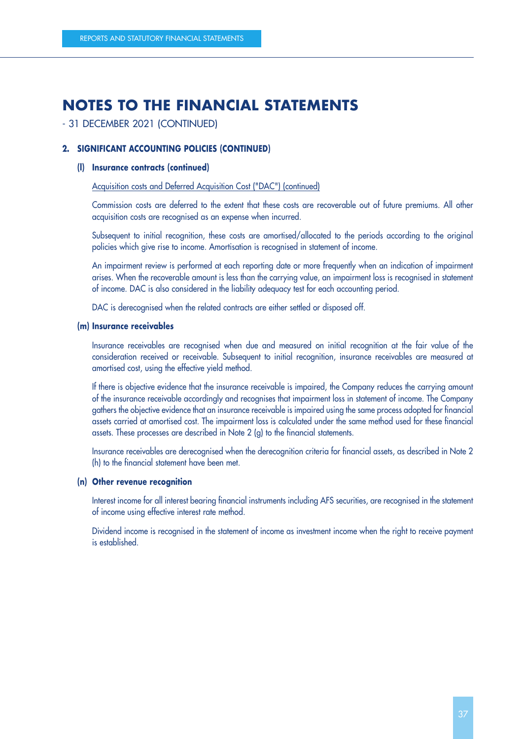## - 31 DECEMBER 2021 (CONTINUED)

### **2. SIGNIFICANT ACCOUNTING POLICIES (CONTINUED)**

### **(l) Insurance contracts (continued)**

### Acquisition costs and Deferred Acquisition Cost ("DAC") (continued)

Commission costs are deferred to the extent that these costs are recoverable out of future premiums. All other acquisition costs are recognised as an expense when incurred.

Subsequent to initial recognition, these costs are amortised/allocated to the periods according to the original policies which give rise to income. Amortisation is recognised in statement of income.

An impairment review is performed at each reporting date or more frequently when an indication of impairment arises. When the recoverable amount is less than the carrying value, an impairment loss is recognised in statement of income. DAC is also considered in the liability adequacy test for each accounting period.

DAC is derecognised when the related contracts are either settled or disposed off.

#### **(m) Insurance receivables**

Insurance receivables are recognised when due and measured on initial recognition at the fair value of the consideration received or receivable. Subsequent to initial recognition, insurance receivables are measured at amortised cost, using the effective yield method.

If there is objective evidence that the insurance receivable is impaired, the Company reduces the carrying amount of the insurance receivable accordingly and recognises that impairment loss in statement of income. The Company gathers the objective evidence that an insurance receivable is impaired using the same process adopted for financial assets carried at amortised cost. The impairment loss is calculated under the same method used for these financial assets. These processes are described in Note 2 (g) to the financial statements.

Insurance receivables are derecognised when the derecognition criteria for financial assets, as described in Note 2 (h) to the financial statement have been met.

#### **(n) Other revenue recognition**

Interest income for all interest bearing financial instruments including AFS securities, are recognised in the statement of income using effective interest rate method.

Dividend income is recognised in the statement of income as investment income when the right to receive payment is established.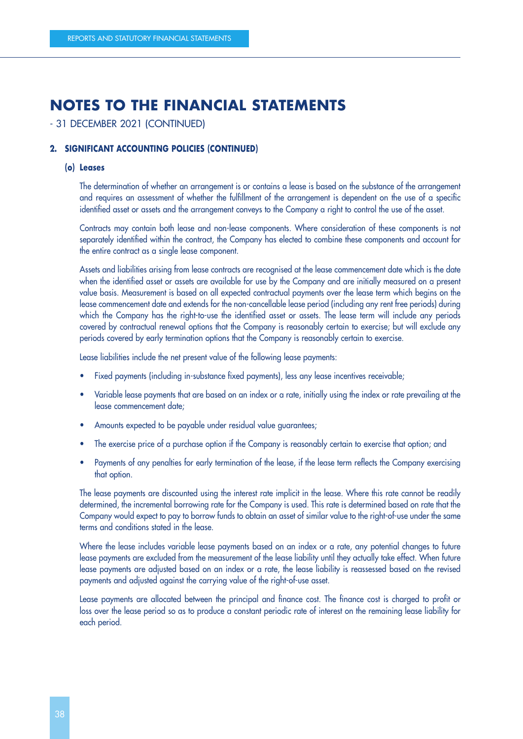# - 31 DECEMBER 2021 (CONTINUED)

## **2. SIGNIFICANT ACCOUNTING POLICIES (CONTINUED)**

### **(o) Leases**

The determination of whether an arrangement is or contains a lease is based on the substance of the arrangement and requires an assessment of whether the fulfillment of the arrangement is dependent on the use of a specific identified asset or assets and the arrangement conveys to the Company a right to control the use of the asset.

Contracts may contain both lease and non-lease components. Where consideration of these components is not separately identified within the contract, the Company has elected to combine these components and account for the entire contract as a single lease component.

Assets and liabilities arising from lease contracts are recognised at the lease commencement date which is the date when the identified asset or assets are available for use by the Company and are initially measured on a present value basis. Measurement is based on all expected contractual payments over the lease term which begins on the lease commencement date and extends for the non-cancellable lease period (including any rent free periods) during which the Company has the right-to-use the identified asset or assets. The lease term will include any periods covered by contractual renewal options that the Company is reasonably certain to exercise; but will exclude any periods covered by early termination options that the Company is reasonably certain to exercise.

Lease liabilities include the net present value of the following lease payments:

- Fixed payments (including in-substance fixed payments), less any lease incentives receivable;
- Variable lease payments that are based on an index or a rate, initially using the index or rate prevailing at the lease commencement date;
- Amounts expected to be payable under residual value guarantees;
- The exercise price of a purchase option if the Company is reasonably certain to exercise that option; and
- Payments of any penalties for early termination of the lease, if the lease term reflects the Company exercising that option.

The lease payments are discounted using the interest rate implicit in the lease. Where this rate cannot be readily determined, the incremental borrowing rate for the Company is used. This rate is determined based on rate that the Company would expect to pay to borrow funds to obtain an asset of similar value to the right-of-use under the same terms and conditions stated in the lease.

Where the lease includes variable lease payments based on an index or a rate, any potential changes to future lease payments are excluded from the measurement of the lease liability until they actually take effect. When future lease payments are adjusted based on an index or a rate, the lease liability is reassessed based on the revised payments and adjusted against the carrying value of the right-of-use asset.

Lease payments are allocated between the principal and finance cost. The finance cost is charged to profit or loss over the lease period so as to produce a constant periodic rate of interest on the remaining lease liability for each period.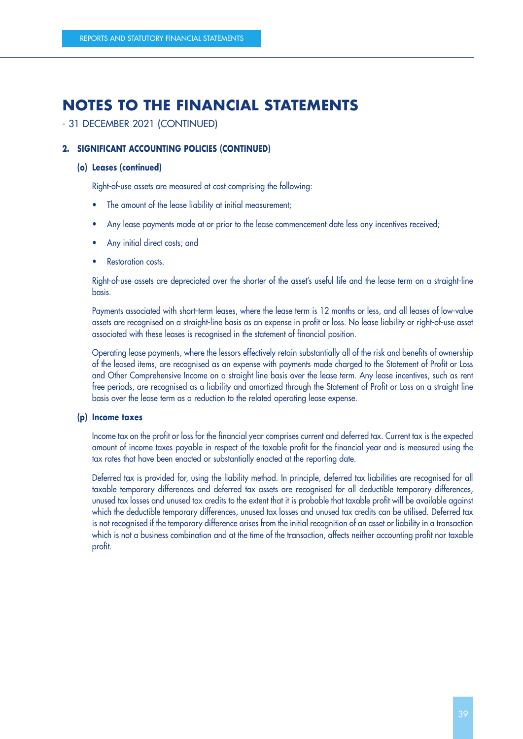- 31 DECEMBER 2021 (CONTINUED)

## **2. SIGNIFICANT ACCOUNTING POLICIES (CONTINUED)**

## **(o) Leases (continued)**

Right-of-use assets are measured at cost comprising the following:

- The amount of the lease liability at initial measurement;
- Any lease payments made at or prior to the lease commencement date less any incentives received;
- Any initial direct costs; and
- Restoration costs.

Right-of-use assets are depreciated over the shorter of the asset's useful life and the lease term on a straight-line basis.

Payments associated with short-term leases, where the lease term is 12 months or less, and all leases of low-value assets are recognised on a straight-line basis as an expense in profit or loss. No lease liability or right-of-use asset associated with these leases is recognised in the statement of financial position.

Operating lease payments, where the lessors effectively retain substantially all of the risk and benefits of ownership of the leased items, are recognised as an expense with payments made charged to the Statement of Profit or Loss and Other Comprehensive Income on a straight line basis over the lease term. Any lease incentives, such as rent free periods, are recognised as a liability and amortized through the Statement of Profit or Loss on a straight line basis over the lease term as a reduction to the related operating lease expense.

## **(p) Income taxes**

Income tax on the profit or loss for the financial year comprises current and deferred tax. Current tax is the expected amount of income taxes payable in respect of the taxable profit for the financial year and is measured using the tax rates that have been enacted or substantially enacted at the reporting date.

Deferred tax is provided for, using the liability method. In principle, deferred tax liabilities are recognised for all taxable temporary differences and deferred tax assets are recognised for all deductible temporary differences, unused tax losses and unused tax credits to the extent that it is probable that taxable profit will be available against which the deductible temporary differences, unused tax losses and unused tax credits can be utilised. Deferred tax is not recognised if the temporary difference arises from the initial recognition of an asset or liability in a transaction which is not a business combination and at the time of the transaction, affects neither accounting profit nor taxable profit.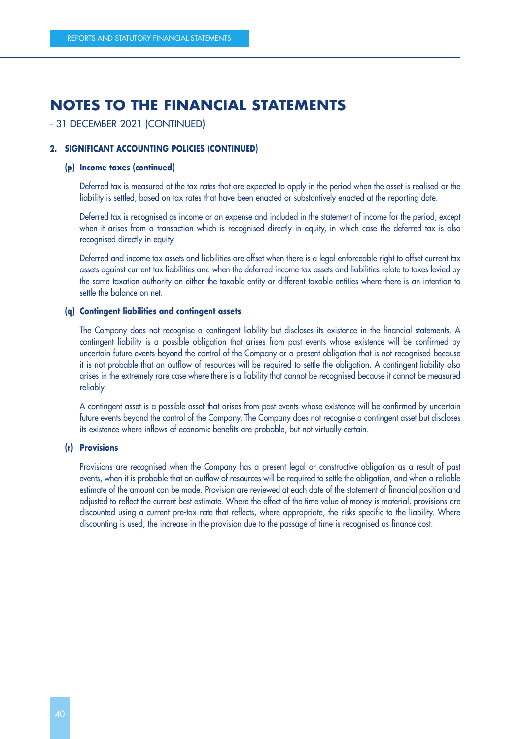## - 31 DECEMBER 2021 (CONTINUED)

## **2. SIGNIFICANT ACCOUNTING POLICIES (CONTINUED)**

### **(p) Income taxes (continued)**

Deferred tax is measured at the tax rates that are expected to apply in the period when the asset is realised or the liability is settled, based on tax rates that have been enacted or substantively enacted at the reporting date.

Deferred tax is recognised as income or an expense and included in the statement of income for the period, except when it arises from a transaction which is recognised directly in equity, in which case the deferred tax is also recognised directly in equity.

Deferred and income tax assets and liabilities are offset when there is a legal enforceable right to offset current tax assets against current tax liabilities and when the deferred income tax assets and liabilities relate to taxes levied by the same taxation authority on either the taxable entity or different taxable entities where there is an intention to settle the balance on net.

### **(q) Contingent liabilities and contingent assets**

The Company does not recognise a contingent liability but discloses its existence in the financial statements. A contingent liability is a possible obligation that arises from past events whose existence will be confirmed by uncertain future events beyond the control of the Company or a present obligation that is not recognised because it is not probable that an outflow of resources will be required to settle the obligation. A contingent liability also arises in the extremely rare case where there is a liability that cannot be recognised because it cannot be measured reliably.

A contingent asset is a possible asset that arises from past events whose existence will be confirmed by uncertain future events beyond the control of the Company. The Company does not recognise a contingent asset but discloses its existence where inflows of economic benefits are probable, but not virtually certain.

### **(r) Provisions**

Provisions are recognised when the Company has a present legal or constructive obligation as a result of past events, when it is probable that an outflow of resources will be required to settle the obligation, and when a reliable estimate of the amount can be made. Provision are reviewed at each date of the statement of financial position and adjusted to reflect the current best estimate. Where the effect of the time value of money is material, provisions are discounted using a current pre-tax rate that reflects, where appropriate, the risks specific to the liability. Where discounting is used, the increase in the provision due to the passage of time is recognised as finance cost.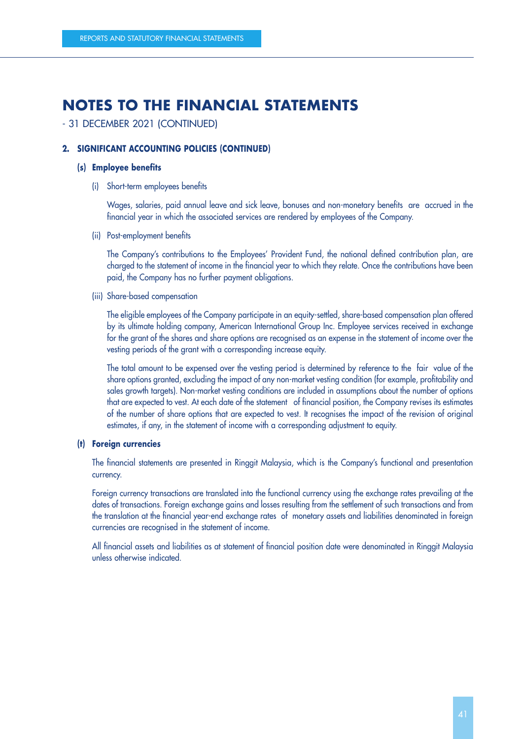# - 31 DECEMBER 2021 (CONTINUED)

## **2. SIGNIFICANT ACCOUNTING POLICIES (CONTINUED)**

### **(s) Employee benefits**

(i) Short-term employees benefits

Wages, salaries, paid annual leave and sick leave, bonuses and non-monetary benefits are accrued in the financial year in which the associated services are rendered by employees of the Company.

(ii) Post-employment benefits

The Company's contributions to the Employees' Provident Fund, the national defined contribution plan, are charged to the statement of income in the financial year to which they relate. Once the contributions have been paid, the Company has no further payment obligations.

## (iii) Share-based compensation

The eligible employees of the Company participate in an equity-settled, share-based compensation plan offered by its ultimate holding company, American International Group Inc. Employee services received in exchange for the grant of the shares and share options are recognised as an expense in the statement of income over the vesting periods of the grant with a corresponding increase equity.

The total amount to be expensed over the vesting period is determined by reference to the fair value of the share options granted, excluding the impact of any non-market vesting condition (for example, profitability and sales growth targets). Non-market vesting conditions are included in assumptions about the number of options that are expected to vest. At each date of the statement of financial position, the Company revises its estimates of the number of share options that are expected to vest. It recognises the impact of the revision of original estimates, if any, in the statement of income with a corresponding adjustment to equity.

## **(t) Foreign currencies**

The financial statements are presented in Ringgit Malaysia, which is the Company's functional and presentation currency.

Foreign currency transactions are translated into the functional currency using the exchange rates prevailing at the dates of transactions. Foreign exchange gains and losses resulting from the settlement of such transactions and from the translation at the financial year-end exchange rates of monetary assets and liabilities denominated in foreign currencies are recognised in the statement of income.

All financial assets and liabilities as at statement of financial position date were denominated in Ringgit Malaysia unless otherwise indicated.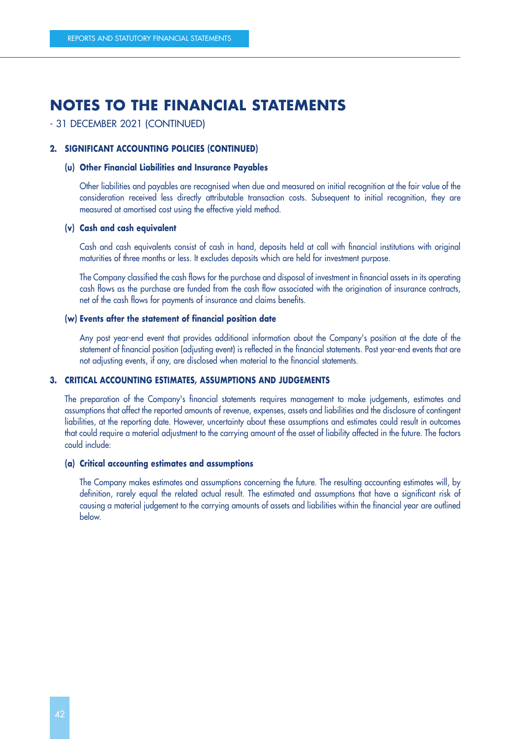## - 31 DECEMBER 2021 (CONTINUED)

## **2. SIGNIFICANT ACCOUNTING POLICIES (CONTINUED)**

### **(u) Other Financial Liabilities and Insurance Payables**

Other liabilities and payables are recognised when due and measured on initial recognition at the fair value of the consideration received less directly attributable transaction costs. Subsequent to initial recognition, they are measured at amortised cost using the effective yield method.

### **(v) Cash and cash equivalent**

Cash and cash equivalents consist of cash in hand, deposits held at call with financial institutions with original maturities of three months or less. It excludes deposits which are held for investment purpose.

The Company classified the cash flows for the purchase and disposal of investment in financial assets in its operating cash flows as the purchase are funded from the cash flow associated with the origination of insurance contracts, net of the cash flows for payments of insurance and claims benefits.

#### **(w) Events after the statement of financial position date**

Any post year-end event that provides additional information about the Company's position at the date of the statement of financial position (adjusting event) is reflected in the financial statements. Post year-end events that are not adjusting events, if any, are disclosed when material to the financial statements.

### **3. CRITICAL ACCOUNTING ESTIMATES, ASSUMPTIONS AND JUDGEMENTS**

The preparation of the Company's financial statements requires management to make judgements, estimates and assumptions that affect the reported amounts of revenue, expenses, assets and liabilities and the disclosure of contingent liabilities, at the reporting date. However, uncertainty about these assumptions and estimates could result in outcomes that could require a material adjustment to the carrying amount of the asset of liability affected in the future. The factors could include:

#### **(a) Critical accounting estimates and assumptions**

The Company makes estimates and assumptions concerning the future. The resulting accounting estimates will, by definition, rarely equal the related actual result. The estimated and assumptions that have a significant risk of causing a material judgement to the carrying amounts of assets and liabilities within the financial year are outlined below.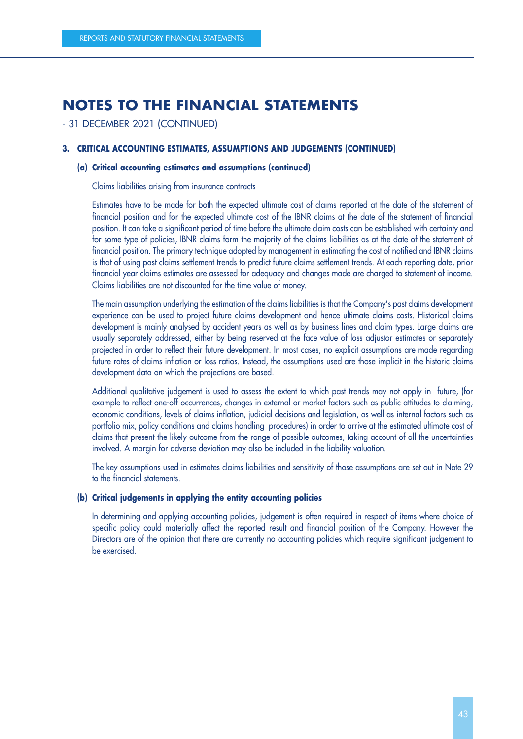- 31 DECEMBER 2021 (CONTINUED)

## **3. CRITICAL ACCOUNTING ESTIMATES, ASSUMPTIONS AND JUDGEMENTS (CONTINUED)**

### **(a) Critical accounting estimates and assumptions (continued)**

#### Claims liabilities arising from insurance contracts

Estimates have to be made for both the expected ultimate cost of claims reported at the date of the statement of financial position and for the expected ultimate cost of the IBNR claims at the date of the statement of financial position. It can take a significant period of time before the ultimate claim costs can be established with certainty and for some type of policies, IBNR claims form the majority of the claims liabilities as at the date of the statement of financial position. The primary technique adopted by management in estimating the cost of notified and IBNR claims is that of using past claims settlement trends to predict future claims settlement trends. At each reporting date, prior financial year claims estimates are assessed for adequacy and changes made are charged to statement of income. Claims liabilities are not discounted for the time value of money.

The main assumption underlying the estimation of the claims liabilities is that the Company's past claims development experience can be used to project future claims development and hence ultimate claims costs. Historical claims development is mainly analysed by accident years as well as by business lines and claim types. Large claims are usually separately addressed, either by being reserved at the face value of loss adjustor estimates or separately projected in order to reflect their future development. In most cases, no explicit assumptions are made regarding future rates of claims inflation or loss ratios. Instead, the assumptions used are those implicit in the historic claims development data on which the projections are based.

Additional qualitative judgement is used to assess the extent to which past trends may not apply in future, (for example to reflect one-off occurrences, changes in external or market factors such as public attitudes to claiming, economic conditions, levels of claims inflation, judicial decisions and legislation, as well as internal factors such as portfolio mix, policy conditions and claims handling procedures) in order to arrive at the estimated ultimate cost of claims that present the likely outcome from the range of possible outcomes, taking account of all the uncertainties involved. A margin for adverse deviation may also be included in the liability valuation.

The key assumptions used in estimates claims liabilities and sensitivity of those assumptions are set out in Note 29 to the financial statements.

#### **(b) Critical judgements in applying the entity accounting policies**

In determining and applying accounting policies, judgement is often required in respect of items where choice of specific policy could materially affect the reported result and financial position of the Company. However the Directors are of the opinion that there are currently no accounting policies which require significant judgement to be exercised.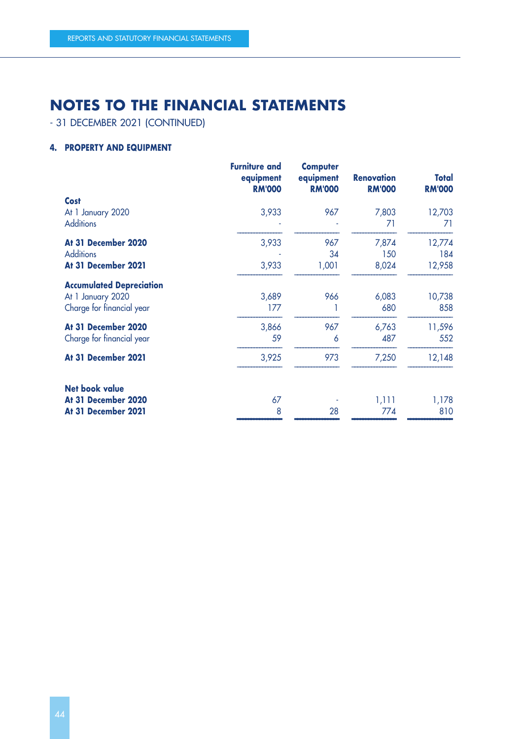- 31 DECEMBER 2021 (CONTINUED)

# **4. PROPERTY AND EQUIPMENT**

|                                 | <b>Furniture and</b><br>equipment<br><b>RM'000</b> | <b>Computer</b><br>equipment<br><b>RM'000</b> | <b>Renovation</b><br><b>RM'000</b> | Total<br><b>RM'000</b> |
|---------------------------------|----------------------------------------------------|-----------------------------------------------|------------------------------------|------------------------|
| <b>Cost</b>                     |                                                    |                                               |                                    |                        |
| At 1 January 2020               | 3,933                                              | 967                                           | 7,803                              | 12,703                 |
| <b>Additions</b>                |                                                    |                                               | 71                                 | 71                     |
| At 31 December 2020             | 3,933                                              | 967                                           | 7,874                              | 12,774                 |
| <b>Additions</b>                |                                                    | 34                                            | 150                                | 184                    |
| At 31 December 2021             | 3,933                                              | 1,001                                         | 8,024                              | 12,958                 |
| <b>Accumulated Depreciation</b> |                                                    |                                               |                                    |                        |
| At 1 January 2020               | 3,689                                              | 966                                           | 6,083                              | 10,738                 |
| Charge for financial year       | 177                                                |                                               | 680                                | 858                    |
| At 31 December 2020             | 3,866                                              | 967                                           | 6,763                              | 11,596                 |
| Charge for financial year       | 59                                                 | 6                                             | 487                                | 552                    |
| At 31 December 2021             | 3,925                                              | 973                                           | 7,250                              | 12,148                 |
| <b>Net book value</b>           |                                                    |                                               |                                    |                        |
| At 31 December 2020             | 67                                                 |                                               | 1,111                              | 1,178                  |
| At 31 December 2021             | 8                                                  | 28                                            | 774                                | 810                    |
|                                 |                                                    |                                               |                                    |                        |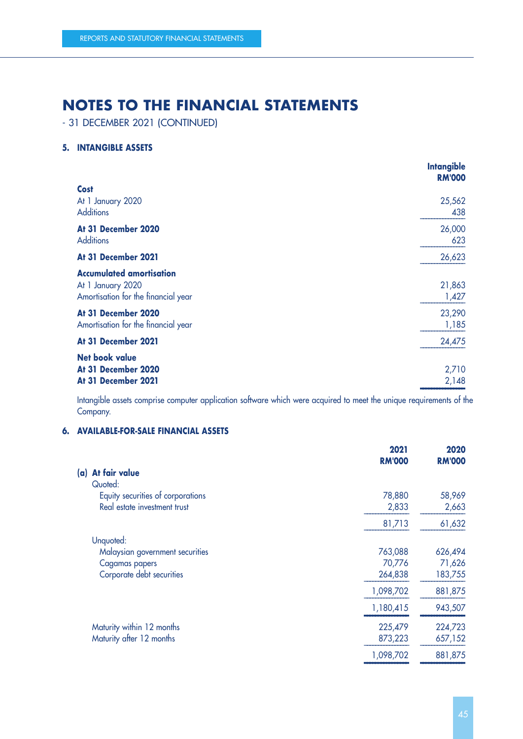- 31 DECEMBER 2021 (CONTINUED)

## **5. INTANGIBLE ASSETS**

|                                                                                             | <b>Intangible</b><br><b>RM'000</b> |
|---------------------------------------------------------------------------------------------|------------------------------------|
| <b>Cost</b><br>At 1 January 2020                                                            | 25,562                             |
| <b>Additions</b>                                                                            | 438                                |
| At 31 December 2020<br><b>Additions</b>                                                     | 26,000<br>623                      |
| At 31 December 2021                                                                         | 26,623                             |
| <b>Accumulated amortisation</b><br>At 1 January 2020<br>Amortisation for the financial year | 21,863<br>1,427                    |
| At 31 December 2020<br>Amortisation for the financial year                                  | 23,290<br>1,185                    |
| At 31 December 2021                                                                         | 24,475                             |
| <b>Net book value</b><br>At 31 December 2020<br>At 31 December 2021                         | 2,710<br>2,148                     |

Intangible assets comprise computer application software which were acquired to meet the unique requirements of the Company.

## **6. AVAILABLE-FOR-SALE FINANCIAL ASSETS**

|                                   | 2021<br><b>RM'000</b> | 2020          |
|-----------------------------------|-----------------------|---------------|
| At fair value<br>(a)              |                       | <b>RM'000</b> |
| Quoted:                           |                       |               |
| Equity securities of corporations | 78,880                | 58,969        |
| Real estate investment trust      | 2,833                 | 2,663         |
|                                   | 81,713                | 61,632        |
| Unquoted:                         |                       |               |
| Malaysian government securities   | 763,088               | 626,494       |
| Cagamas papers                    | 70,776                | 71,626        |
| Corporate debt securities         | 264,838               | 183,755       |
|                                   | 1,098,702             | 881,875       |
|                                   | 1,180,415             | 943,507       |
| Maturity within 12 months         | 225,479               | 224,723       |
| Maturity after 12 months          | 873,223               | 657,152       |
|                                   | 1,098,702             | 881,875       |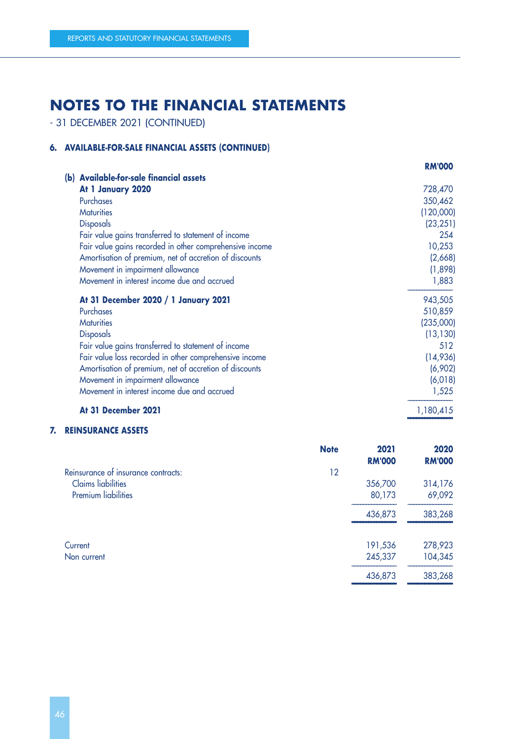- 31 DECEMBER 2021 (CONTINUED)

# **6. AVAILABLE-FOR-SALE FINANCIAL ASSETS (CONTINUED)**

|                                                         | <b>RM'000</b> |
|---------------------------------------------------------|---------------|
| (b) Available-for-sale financial assets                 |               |
| At 1 January 2020                                       | 728,470       |
| <b>Purchases</b>                                        | 350,462       |
| <b>Maturities</b>                                       | (120,000)     |
| <b>Disposals</b>                                        | (23, 251)     |
| Fair value gains transferred to statement of income     | 254           |
| Fair value gains recorded in other comprehensive income | 10,253        |
| Amortisation of premium, net of accretion of discounts  | (2,668)       |
| Movement in impairment allowance                        | (1,898)       |
| Movement in interest income due and accrued             | 1,883         |
| At 31 December 2020 / 1 January 2021                    | 943,505       |
| <b>Purchases</b>                                        | 510,859       |
| <b>Maturities</b>                                       | (235,000)     |
| <b>Disposals</b>                                        | (13, 130)     |
| Fair value gains transferred to statement of income     | 512           |
| Fair value loss recorded in other comprehensive income  | (14,936)      |
| Amortisation of premium, net of accretion of discounts  | (6,902)       |
| Movement in impairment allowance                        | (6,018)       |
| Movement in interest income due and accrued             | 1,525         |
| At 31 December 2021                                     | 1,180,415     |

#### –––––––––––––––– **7. REINSURANCE ASSETS**

|                                     | <b>Note</b> | 2021<br><b>RM'000</b> | 2020<br><b>RM'000</b> |
|-------------------------------------|-------------|-----------------------|-----------------------|
| Reinsurance of insurance contracts: | 12          |                       |                       |
| <b>Claims</b> liabilities           |             | 356,700               | 314,176               |
| <b>Premium liabilities</b>          |             | 80,173                | 69,092                |
|                                     |             | 436,873               | 383,268               |
| Current                             |             | 191,536               | 278,923               |
| Non current                         |             | 245,337               | 104,345               |
|                                     |             | 436,873               | 383,268               |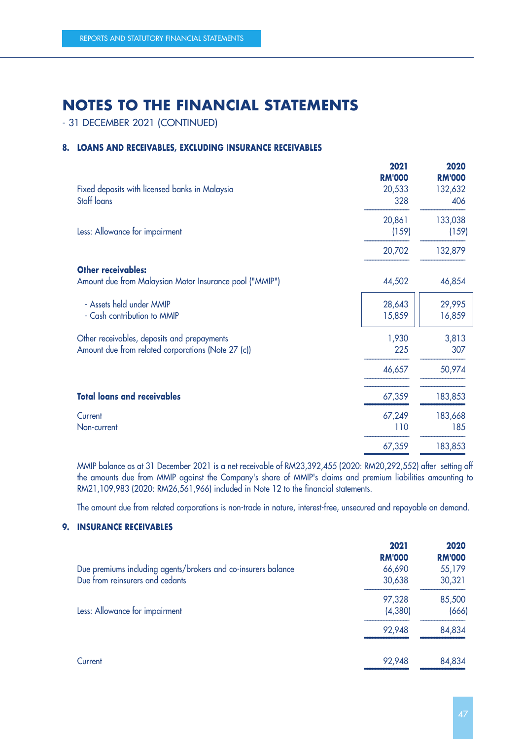- 31 DECEMBER 2021 (CONTINUED)

## **8. LOANS AND RECEIVABLES, EXCLUDING INSURANCE RECEIVABLES**

| Fixed deposits with licensed banks in Malaysia<br>Staff loans                                     | 2021<br><b>RM'000</b><br>20,533<br>328 | 2020<br><b>RM'000</b><br>132,632<br>406 |
|---------------------------------------------------------------------------------------------------|----------------------------------------|-----------------------------------------|
| Less: Allowance for impairment                                                                    | 20,861<br>(159)                        | 133,038<br>(159)                        |
|                                                                                                   | 20,702                                 | 132,879                                 |
| <b>Other receivables:</b><br>Amount due from Malaysian Motor Insurance pool ("MMIP")              | 44,502                                 | 46,854                                  |
| - Assets held under MMIP<br>- Cash contribution to MMIP                                           | 28,643<br>15,859                       | 29,995<br>16,859                        |
| Other receivables, deposits and prepayments<br>Amount due from related corporations (Note 27 (c)) | 1,930<br>225                           | 3,813<br>307                            |
|                                                                                                   | 46,657                                 | 50,974                                  |
| <b>Total loans and receivables</b>                                                                | 67,359                                 | 183,853                                 |
| Current<br>Non-current                                                                            | 67,249<br>110                          | 183,668<br>185                          |
|                                                                                                   | 67,359                                 | 183,853                                 |

MMIP balance as at 31 December 2021 is a net receivable of RM23,392,455 (2020: RM20,292,552) after setting off the amounts due from MMIP against the Company's share of MMIP's claims and premium liabilities amounting to RM21,109,983 (2020: RM26,561,966) included in Note 12 to the financial statements.

The amount due from related corporations is non-trade in nature, interest-free, unsecured and repayable on demand.

## **9. INSURANCE RECEIVABLES**

|                                                               | 2021<br><b>RM'000</b> | 2020<br><b>RM'000</b> |
|---------------------------------------------------------------|-----------------------|-----------------------|
| Due premiums including agents/brokers and co-insurers balance | 66,690                | 55,179                |
| Due from reinsurers and cedants                               | 30,638                | 30,321                |
|                                                               | 97,328                | 85,500                |
| Less: Allowance for impairment                                | (4,380)               | (666)                 |
|                                                               | 92,948                | 84,834                |
| Current                                                       | 92,948                | 84,834                |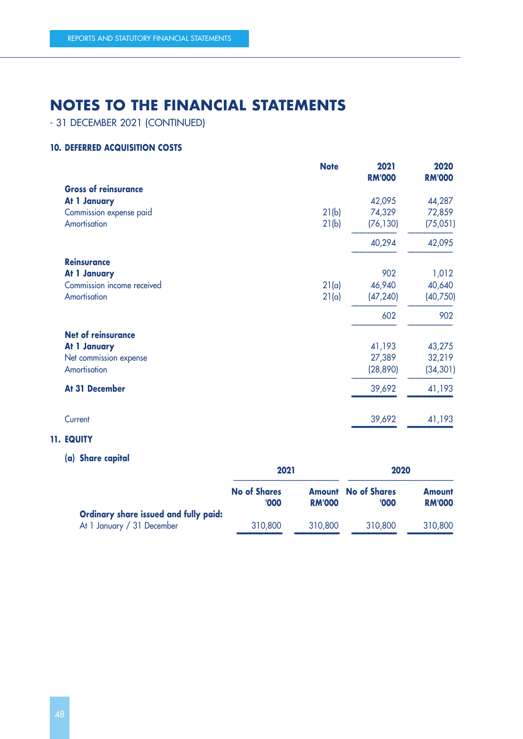- 31 DECEMBER 2021 (CONTINUED)

## **10. DEFERRED ACQUISITION COSTS**

|                             | <b>Note</b> | 2021<br><b>RM'000</b> | 2020<br><b>RM'000</b> |
|-----------------------------|-------------|-----------------------|-----------------------|
| <b>Gross of reinsurance</b> |             |                       |                       |
| At 1 January                |             | 42,095                | 44,287                |
| Commission expense paid     | 21(b)       | 74,329                | 72,859                |
| Amortisation                | 21(b)       | (76, 130)             | (75,051)              |
|                             |             | 40,294                | 42,095                |
| <b>Reinsurance</b>          |             |                       |                       |
| At 1 January                |             | 902                   | 1,012                 |
| Commission income received  | 21(a)       | 46,940                | 40,640                |
| Amortisation                | 21(a)       | (47, 240)             | (40, 750)             |
|                             |             | 602                   | 902                   |
| <b>Net of reinsurance</b>   |             |                       |                       |
| At 1 January                |             | 41,193                | 43,275                |
| Net commission expense      |             | 27,389                | 32,219                |
| Amortisation                |             | (28, 890)             | (34, 301)             |
| At 31 December              |             | 39,692                | 41,193                |
| Current                     |             | 39,692                | 41,193                |
|                             |             |                       |                       |

## **11. EQUITY**

# **(a) Share capital**

|                                       | 2021                        |               | 2020                                |                                |
|---------------------------------------|-----------------------------|---------------|-------------------------------------|--------------------------------|
|                                       | <b>No of Shares</b><br>'000 | <b>RM'000</b> | <b>Amount</b> No of Shares<br>'000' | <b>Amount</b><br><b>RM'000</b> |
| Ordinary share issued and fully paid: |                             |               |                                     |                                |
| At 1 January / 31 December            | 310,800                     | 310,800       | 310,800                             | 310,800                        |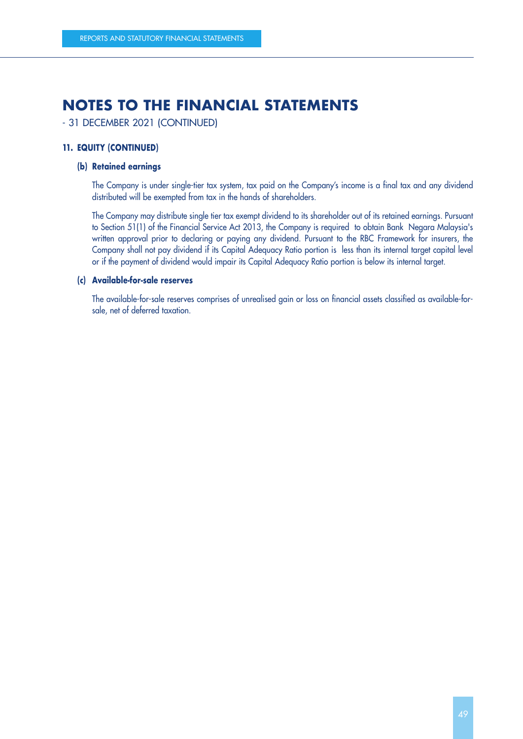- 31 DECEMBER 2021 (CONTINUED)

## **11. EQUITY (CONTINUED)**

### **(b) Retained earnings**

The Company is under single-tier tax system, tax paid on the Company's income is a final tax and any dividend distributed will be exempted from tax in the hands of shareholders.

The Company may distribute single tier tax exempt dividend to its shareholder out of its retained earnings. Pursuant to Section 51(1) of the Financial Service Act 2013, the Company is required to obtain Bank Negara Malaysia's written approval prior to declaring or paying any dividend. Pursuant to the RBC Framework for insurers, the Company shall not pay dividend if its Capital Adequacy Ratio portion is less than its internal target capital level or if the payment of dividend would impair its Capital Adequacy Ratio portion is below its internal target.

## **(c) Available-for-sale reserves**

The available-for-sale reserves comprises of unrealised gain or loss on financial assets classified as available-forsale, net of deferred taxation.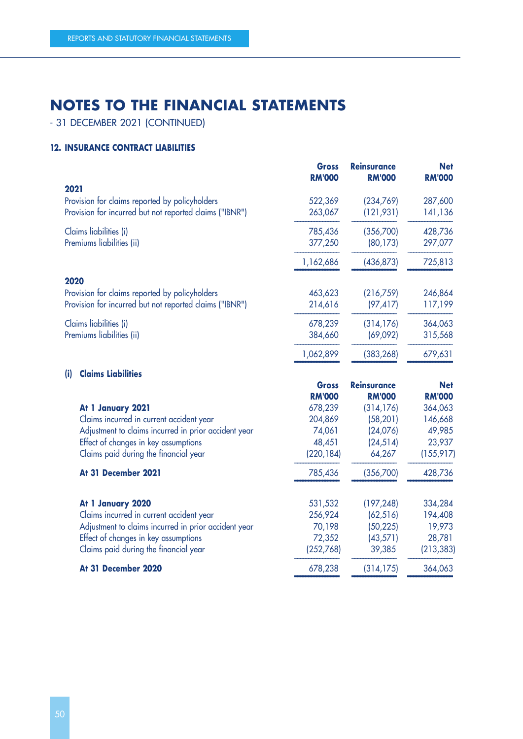- 31 DECEMBER 2021 (CONTINUED)

## **12. INSURANCE CONTRACT LIABILITIES**

|                                                         | <b>Gross</b><br><b>RM'000</b> | <b>Reinsurance</b><br><b>RM'000</b> | <b>Net</b><br><b>RM'000</b> |
|---------------------------------------------------------|-------------------------------|-------------------------------------|-----------------------------|
| 2021                                                    |                               |                                     |                             |
| Provision for claims reported by policyholders          | 522,369                       | (234,769)                           | 287,600                     |
| Provision for incurred but not reported claims ("IBNR") | 263,067                       | (121, 931)                          | 141,136                     |
| Claims liabilities (i)                                  | 785,436                       | (356,700)                           | 428,736                     |
| Premiums liabilities (ii)                               | 377,250                       | (80, 173)                           | 297,077                     |
|                                                         | 1,162,686                     | (436, 873)                          | 725,813                     |
| 2020                                                    |                               |                                     |                             |
| Provision for claims reported by policyholders          | 463,623                       | (216,759)                           | 246,864                     |
| Provision for incurred but not reported claims ("IBNR") | 214,616                       | (97, 417)                           | 117,199                     |
| Claims liabilities (i)                                  | 678,239                       | (314, 176)                          | 364,063                     |
| Premiums liabilities (ii)                               | 384,660                       | (69,092)                            | 315,568                     |
|                                                         | 1,062,899                     | (383, 268)                          | 679,631                     |

–––––––––––––––– –––––––––––––––– ––––––––––––––––

|                                                      | <b>Gross</b>              | <b>Reinsurance</b> | <b>Net</b>    |
|------------------------------------------------------|---------------------------|--------------------|---------------|
|                                                      | <b>RM'000</b>             | <b>RM'000</b>      | <b>RM'000</b> |
| At 1 January 2021                                    | 678,239                   | (314, 176)         | 364,063       |
| Claims incurred in current accident year             | 204,869                   | (58, 201)          | 146,668       |
| Adjustment to claims incurred in prior accident year | 74,061                    | (24,076)           | 49,985        |
| Effect of changes in key assumptions                 | 48,451                    | (24, 514)          | 23,937        |
| Claims paid during the financial year                | (220, 184)                | 64,267             | (155, 917)    |
| At 31 December 2021                                  | 785,436                   | (356, 700)         | 428,736       |
| At 1 January 2020                                    | 531,532                   | (197, 248)         | 334,284       |
| Claims incurred in current accident year             | 256,924                   | (62, 516)          | 194,408       |
| Adjustment to claims incurred in prior accident year | 70,198                    | (50, 225)          | 19,973        |
| Effect of changes in key assumptions                 | 72,352                    | (43, 571)          | 28,781        |
| Claims paid during the financial year                | (252,768)                 | 39,385             | (213, 383)    |
| At 31 December 2020                                  | 678,238                   | (314,175)          | 364,063       |
|                                                      | <b>Claims Liabilities</b> |                    |               |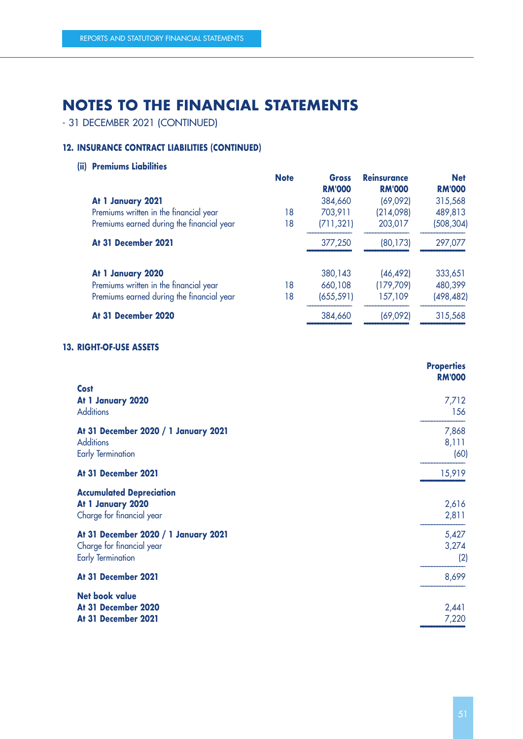- 31 DECEMBER 2021 (CONTINUED)

# **12. INSURANCE CONTRACT LIABILITIES (CONTINUED)**

**(ii) Premiums Liabilities**

|                                           | <b>Note</b> | Gross         | <b>Reinsurance</b> | <b>Net</b>    |
|-------------------------------------------|-------------|---------------|--------------------|---------------|
|                                           |             | <b>RM'000</b> | <b>RM'000</b>      | <b>RM'000</b> |
| At 1 January 2021                         |             | 384,660       | (69,092)           | 315,568       |
| Premiums written in the financial year    | 18          | 703,911       | (214,098)          | 489,813       |
| Premiums earned during the financial year | 18          | (711, 321)    | 203,017            | (508, 304)    |
| At 31 December 2021                       |             | 377,250       | (80, 173)          | 297,077       |
| At 1 January 2020                         |             | 380,143       | (46, 492)          | 333,651       |
| Premiums written in the financial year    | 18          | 660,108       | (179, 709)         | 480,399       |
| Premiums earned during the financial year | 18          | (655, 591)    | 157,109            | (498,482)     |
| At 31 December 2020                       |             | 384,660       | (69,092)           | 315,568       |
|                                           |             |               |                    |               |

### **13. RIGHT-OF-USE ASSETS**

|                                                                                               | <b>Properties</b><br><b>RM'000</b> |
|-----------------------------------------------------------------------------------------------|------------------------------------|
| <b>Cost</b><br>At 1 January 2020<br><b>Additions</b>                                          | 7,712<br>156                       |
| At 31 December 2020 / 1 January 2021<br><b>Additions</b><br><b>Early Termination</b>          | 7,868<br>8,111<br>(60)             |
| At 31 December 2021                                                                           | 15,919                             |
| <b>Accumulated Depreciation</b><br>At 1 January 2020<br>Charge for financial year             | 2,616<br>2,811                     |
| At 31 December 2020 / 1 January 2021<br>Charge for financial year<br><b>Early Termination</b> | 5,427<br>3,274<br>(2)              |
| At 31 December 2021                                                                           | 8,699                              |
| <b>Net book value</b><br>At 31 December 2020<br>At 31 December 2021                           | 2,441<br>7,220                     |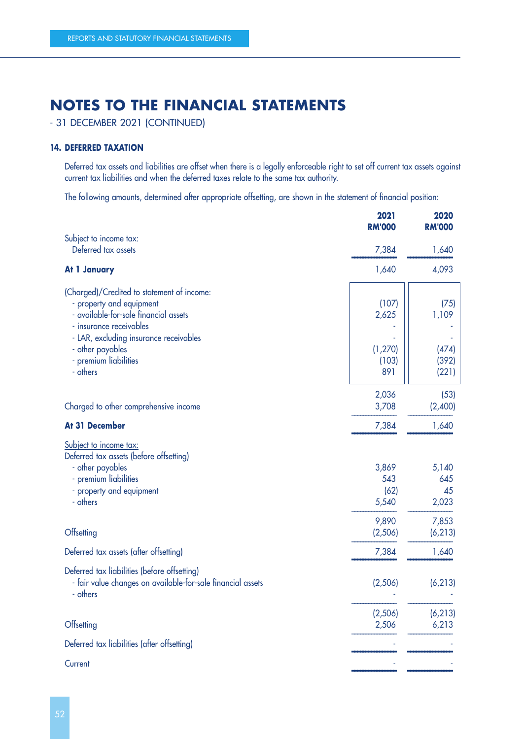- 31 DECEMBER 2021 (CONTINUED)

## **14. DEFERRED TAXATION**

Deferred tax assets and liabilities are offset when there is a legally enforceable right to set off current tax assets against current tax liabilities and when the deferred taxes relate to the same tax authority.

The following amounts, determined after appropriate offsetting, are shown in the statement of financial position:

|                                                             | 2021<br><b>RM'000</b> | 2020<br><b>RM'000</b> |
|-------------------------------------------------------------|-----------------------|-----------------------|
| Subject to income tax:                                      |                       |                       |
| Deferred tax assets                                         | 7,384                 | 1,640                 |
| At 1 January                                                | 1,640                 | 4,093                 |
| (Charged)/Credited to statement of income:                  |                       |                       |
| - property and equipment                                    | (107)                 | (75)                  |
| - available-for-sale financial assets                       | 2,625                 | 1,109                 |
| - insurance receivables                                     |                       |                       |
| - LAR, excluding insurance receivables                      |                       |                       |
| - other payables                                            | (1, 270)              | (474)                 |
| - premium liabilities                                       | (103)                 | (392)                 |
| - others                                                    | 891                   | (221)                 |
|                                                             | 2,036                 | (53)                  |
| Charged to other comprehensive income                       | 3,708                 | (2,400)               |
| At 31 December                                              | 7,384                 | 1,640                 |
| Subject to income tax:                                      |                       |                       |
| Deferred tax assets (before offsetting)                     |                       |                       |
| - other payables                                            | 3,869                 | 5,140                 |
| - premium liabilities<br>- property and equipment           | 543<br>(62)           | 645<br>45             |
| - others                                                    | 5,540                 | 2,023                 |
|                                                             |                       |                       |
|                                                             | 9,890                 | 7,853                 |
| Offsetting                                                  | (2,506)               | (6, 213)              |
| Deferred tax assets (after offsetting)                      | 7,384                 | 1,640                 |
| Deferred tax liabilities (before offsetting)                |                       |                       |
| - fair value changes on available-for-sale financial assets | (2,506)               | (6, 213)              |
| - others                                                    |                       |                       |
|                                                             | (2,506)               | (6, 213)              |
| Offsetting                                                  | 2,506                 | 6,213                 |
| Deferred tax liabilities (after offsetting)                 |                       |                       |
| Current                                                     |                       |                       |
|                                                             |                       |                       |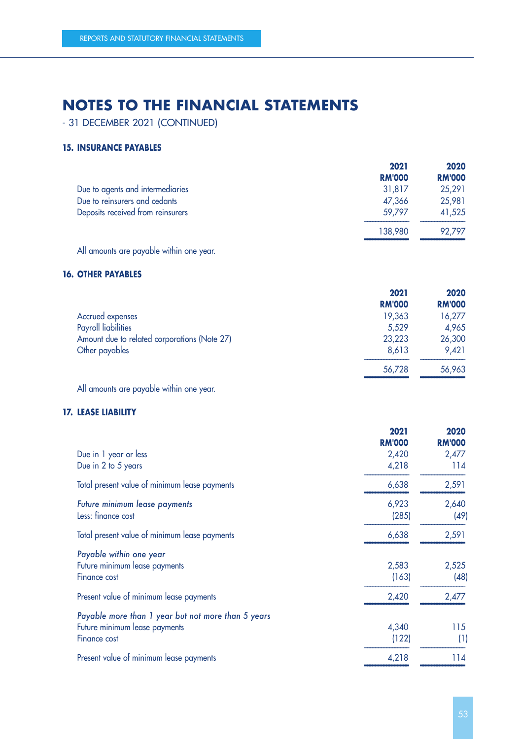- 31 DECEMBER 2021 (CONTINUED)

## **15. INSURANCE PAYABLES**

|                                   | 2021          | 2020          |
|-----------------------------------|---------------|---------------|
|                                   | <b>RM'000</b> | <b>RM'000</b> |
| Due to agents and intermediaries  | 31,817        | 25,291        |
| Due to reinsurers and cedants     | 47,366        | 25,981        |
| Deposits received from reinsurers | 59.797        | 41,525        |
|                                   | 138,980       | 92.797        |

All amounts are payable within one year.

## **16. OTHER PAYABLES**

|                                              | 2021          | 2020          |
|----------------------------------------------|---------------|---------------|
|                                              | <b>RM'000</b> | <b>RM'000</b> |
| Accrued expenses                             | 19,363        | 16,277        |
| <b>Payroll liabilities</b>                   | 5,529         | 4,965         |
| Amount due to related corporations (Note 27) | 23,223        | 26,300        |
| Other payables                               | 8,613         | 9,421         |
|                                              | 56,728        | 56,963        |

All amounts are payable within one year.

## **17. LEASE LIABILITY**

| 2021<br><b>RM'000</b> | 2020<br><b>RM'000</b> |
|-----------------------|-----------------------|
| 2,420                 | 2,477                 |
| 4,218                 | 114                   |
| 6,638                 | 2,591                 |
| 6,923                 | 2,640                 |
| (285)                 | (49)                  |
| 6,638                 | 2,591                 |
|                       |                       |
| 2,583                 | 2,525                 |
| (163)                 | (48)                  |
| 2,420                 | 2,477                 |
|                       |                       |
| 4,340                 | 115                   |
| (122)                 | (1)                   |
| 4,218                 | 114                   |
|                       |                       |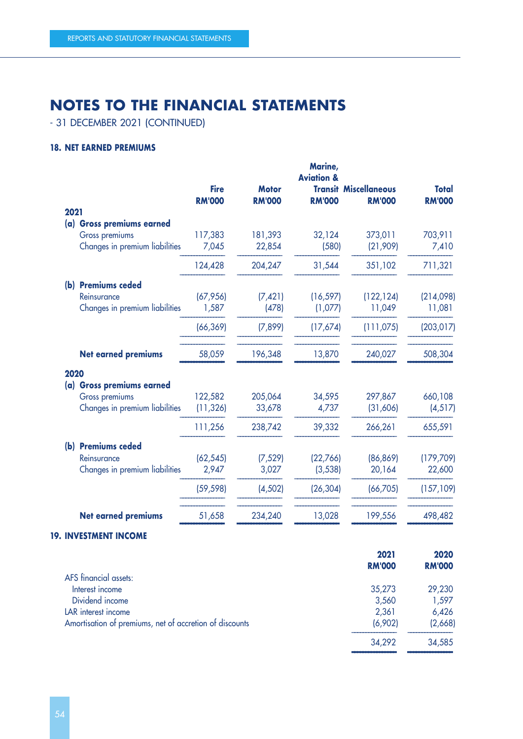- 31 DECEMBER 2021 (CONTINUED)

## **18. NET EARNED PREMIUMS**

|                                             | <b>Fire</b><br><b>RM'000</b> | <b>Motor</b><br><b>RM'000</b> | Marine,<br><b>Aviation &amp;</b><br><b>RM'000</b> | <b>Transit Miscellaneous</b><br><b>RM'000</b> | <b>Total</b><br><b>RM'000</b> |
|---------------------------------------------|------------------------------|-------------------------------|---------------------------------------------------|-----------------------------------------------|-------------------------------|
| 2021                                        |                              |                               |                                                   |                                               |                               |
| (a) Gross premiums earned<br>Gross premiums | 117,383                      | 181,393                       | 32,124                                            | 373,011                                       | 703,911                       |
| Changes in premium liabilities              | 7,045                        | 22,854                        | (580)                                             | (21,909)                                      | 7,410                         |
|                                             | 124,428                      | 204,247                       | 31,544                                            | 351,102                                       | 711,321                       |
| <b>Premiums ceded</b><br>(b)                |                              |                               |                                                   |                                               |                               |
| Reinsurance                                 | (67, 956)                    | (7, 421)                      | (16, 597)                                         | (122, 124)                                    | (214,098)                     |
| Changes in premium liabilities              | 1,587                        | (478)                         | (1,077)                                           | 11,049                                        | 11,081                        |
|                                             | (66, 369)                    | (7,899)                       | (17,674)                                          | (111, 075)                                    | (203, 017)                    |
| <b>Net earned premiums</b>                  | 58,059                       | 196,348                       | 13,870                                            | 240,027                                       | 508,304                       |
| 2020                                        |                              |                               |                                                   |                                               |                               |
| (a) Gross premiums earned                   |                              |                               |                                                   |                                               |                               |
| Gross premiums                              | 122,582                      | 205,064                       | 34,595                                            | 297,867                                       | 660,108                       |
| Changes in premium liabilities              | (11, 326)                    | 33,678                        | 4,737                                             | (31,606)                                      | (4, 517)                      |
|                                             | 111,256                      | 238,742                       | 39,332                                            | 266,261                                       | 655,591                       |
| (b) Premiums ceded                          |                              |                               |                                                   |                                               |                               |
| Reinsurance                                 | (62, 545)                    | (7, 529)                      | (22,766)                                          | (86, 869)                                     | (179, 709)                    |
| Changes in premium liabilities              | 2,947                        | 3,027                         | (3, 538)                                          | 20,164                                        | 22,600                        |
|                                             | (59, 598)                    | (4, 502)                      | (26, 304)                                         | (66, 705)                                     | (157, 109)                    |
| <b>Net earned premiums</b>                  | 51,658                       | 234,240                       | 13,028                                            | 199,556                                       | 498,482                       |

#### –––––––––––––––– –––––––––––––––– –––––––––––––––– –––––––––––––––– –––––––––––––––– **19. INVESTMENT INCOME**

|                                                         | 2021          | 2020          |
|---------------------------------------------------------|---------------|---------------|
|                                                         | <b>RM'000</b> | <b>RM'000</b> |
| AFS financial assets:                                   |               |               |
| Interest income                                         | 35,273        | 29,230        |
| Dividend income                                         | 3,560         | 1,597         |
| LAR interest income                                     | 2,361         | 6,426         |
| Amortisation of premiums, net of accretion of discounts | (6,902)       | (2,668)       |
|                                                         | 34,292        | 34,585        |

 $\mathbf{r}$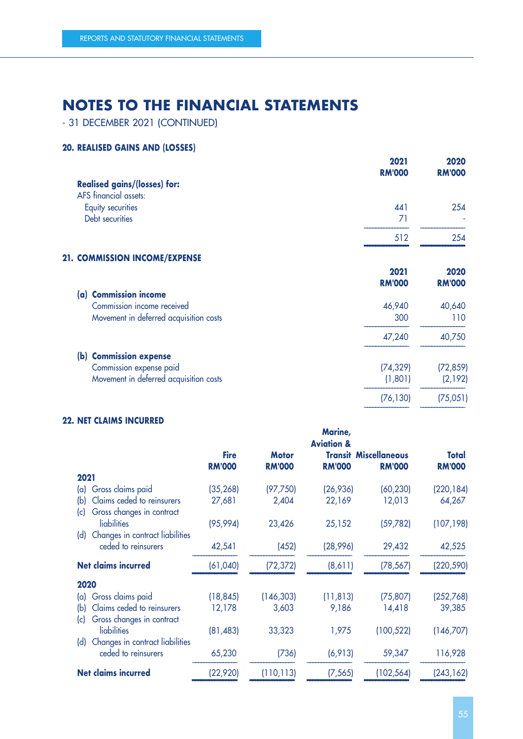- 31 DECEMBER 2021 (CONTINUED)

# **20. REALISED GAINS AND (LOSSES)**

|                                        | 2021<br><b>RM'000</b> | 2020<br><b>RM'000</b> |
|----------------------------------------|-----------------------|-----------------------|
| <b>Realised gains/(losses) for:</b>    |                       |                       |
| <b>AFS</b> financial assets:           |                       |                       |
| Equity securities                      | 441                   | 254                   |
| Debt securities                        | 71                    |                       |
|                                        | 512                   | 254                   |
| 21. COMMISSION INCOME/EXPENSE          |                       |                       |
|                                        | 2021                  | 2020                  |
|                                        | <b>RM'000</b>         | <b>RM'000</b>         |
| (a) Commission income                  |                       |                       |
| Commission income received             | 46,940                | 40,640                |
| Movement in deferred acquisition costs | 300                   | 110                   |
|                                        | 47,240                | 40,750                |
| (b) Commission expense                 |                       |                       |
| Commission expense paid                | (74, 329)             | (72, 859)             |
| Movement in deferred acquisition costs | (1,801)               | (2,192)               |

–––––––––––––––– ––––––––––––––––

–––––––––––––––– ––––––––––––––––

## **22. NET CLAIMS INCURRED**

| <b>Fire</b> | <b>Motor</b><br><b>RM'000</b>                                                                                                      | <b>Aviation &amp;</b><br><b>RM'000</b> | <b>RM'000</b>             | Total<br><b>RM'000</b>                                                                                                                        |
|-------------|------------------------------------------------------------------------------------------------------------------------------------|----------------------------------------|---------------------------|-----------------------------------------------------------------------------------------------------------------------------------------------|
|             |                                                                                                                                    |                                        |                           |                                                                                                                                               |
|             |                                                                                                                                    |                                        |                           | (220, 184)                                                                                                                                    |
|             |                                                                                                                                    |                                        |                           | 64,267                                                                                                                                        |
|             |                                                                                                                                    |                                        |                           | (107, 198)                                                                                                                                    |
|             | (452)                                                                                                                              |                                        | 29,432                    | 42,525                                                                                                                                        |
|             | (72, 372)                                                                                                                          | (8,611)                                | (78, 567)                 | (220, 590)                                                                                                                                    |
|             |                                                                                                                                    |                                        |                           |                                                                                                                                               |
|             | (146, 303)                                                                                                                         |                                        | (75, 807)                 | (252,768)                                                                                                                                     |
|             | 3,603                                                                                                                              | 9,186                                  | 14,418                    | 39,385                                                                                                                                        |
|             |                                                                                                                                    |                                        |                           | (146,707)                                                                                                                                     |
|             | (736)                                                                                                                              |                                        | 59,347                    | 116,928                                                                                                                                       |
|             | (110, 113)                                                                                                                         |                                        | (102, 564)                | (243, 162)                                                                                                                                    |
|             | <b>RM'000</b><br>(35, 268)<br>27,681<br>(95, 994)<br>42,541<br>(61, 040)<br>(18, 845)<br>12,178<br>(81, 483)<br>65,230<br>(22,920) | (97, 750)<br>2,404<br>23,426<br>33,323 | 22,169<br>25,152<br>1,975 | <b>Transit Miscellaneous</b><br>(26, 936)<br>(60, 230)<br>12,013<br>(59, 782)<br>(28, 996)<br>(11, 813)<br>(100, 522)<br>(6, 913)<br>(7, 565) |

(76,130) (75,051)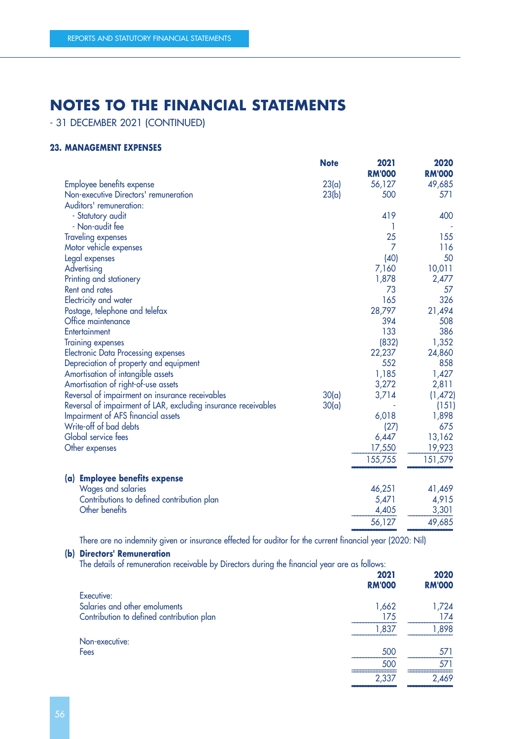- 31 DECEMBER 2021 (CONTINUED)

## **23. MANAGEMENT EXPENSES**

|                                                                | <b>Note</b> | 2021<br><b>RM'000</b> | 2020<br><b>RM'000</b> |
|----------------------------------------------------------------|-------------|-----------------------|-----------------------|
| Employee benefits expense                                      | 23(a)       | 56,127                | 49,685                |
| Non-executive Directors' remuneration                          | 23(b)       | 500                   | 571                   |
| Auditors' remuneration:                                        |             |                       |                       |
| - Statutory audit                                              |             | 419                   | 400                   |
| - Non-audit fee                                                |             |                       |                       |
| <b>Traveling expenses</b>                                      |             | 25                    | 155                   |
| Motor vehicle expenses                                         |             | $\overline{7}$        | 116                   |
| Legal expenses                                                 |             | (40)                  | 50                    |
| Advertising                                                    |             | 7,160                 | 10,011                |
| Printing and stationery                                        |             | 1,878                 | 2,477                 |
| Rent and rates                                                 |             | 73                    | 57                    |
| Electricity and water                                          |             | 165                   | 326                   |
| Postage, telephone and telefax                                 |             | 28,797                | 21,494                |
| Office maintenance                                             |             | 394                   | 508                   |
| Entertainment                                                  |             | 133                   | 386                   |
| <b>Training expenses</b>                                       |             | (832)                 | 1,352                 |
| <b>Electronic Data Processing expenses</b>                     |             | 22,237                | 24,860                |
| Depreciation of property and equipment                         |             | 552                   | 858                   |
| Amortisation of intangible assets                              |             | 1,185                 | 1,427                 |
| Amortisation of right-of-use assets                            |             | 3,272                 | 2,811                 |
| Reversal of impairment on insurance receivables                | 30(a)       | 3,714                 | (1,472)               |
| Reversal of impairment of LAR, excluding insurance receivables | 30(a)       |                       | (151)                 |
| Impairment of AFS financial assets                             |             | 6,018                 | 1,898                 |
| Write-off of bad debts                                         |             | (27)                  | 675                   |
| Global service fees                                            |             | 6,447                 | 13,162                |
| Other expenses                                                 |             | 17,550                | 19,923                |
|                                                                |             | 155,755               | 151,579               |
| (a) Employee benefits expense                                  |             |                       |                       |
| Wages and salaries                                             |             | 46,251                | 41,469                |
| Contributions to defined contribution plan                     |             | 5,471                 | 4,915                 |
| Other benefits                                                 |             | 4,405                 | 3,301                 |
|                                                                |             | 56,127                | 49,685                |

There are no indemnity given or insurance effected for auditor for the current financial year (2020: Nil)

## **(b) Directors' Remuneration**

The details of remuneration receivable by Directors during the financial year are as follows:

| <b>RM'000</b> | 2020<br><b>RM'000</b> |
|---------------|-----------------------|
|               |                       |
| 1,662         | 1,724                 |
| 175           | 174                   |
| 1,837         | 1,898                 |
|               |                       |
| 500           | 571                   |
| 500           | 571                   |
| 2,337         | 2,469                 |
|               | 2021                  |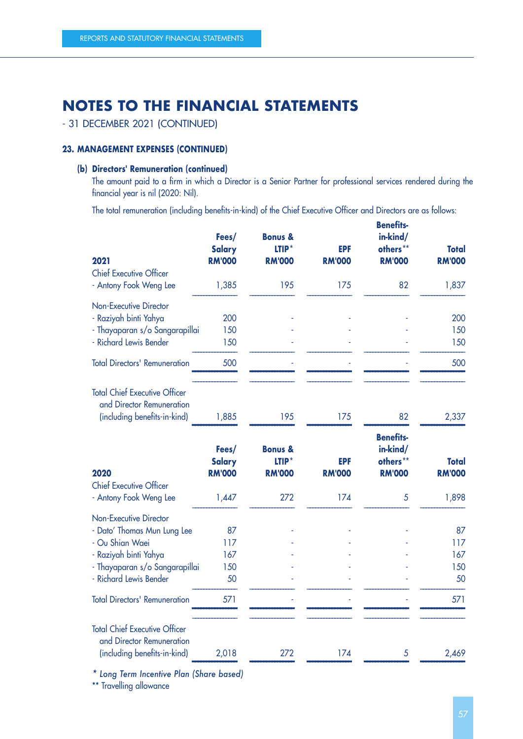# - 31 DECEMBER 2021 (CONTINUED)

## **23. MANAGEMENT EXPENSES (CONTINUED)**

## **(b) Directors' Remuneration (continued)**

The amount paid to a firm in which a Director is a Senior Partner for professional services rendered during the financial year is nil (2020: Nil).

The total remuneration (including benefits-in-kind) of the Chief Executive Officer and Directors are as follows:

| 2021                                                                                              | Fees/<br><b>Salary</b><br><b>RM'000</b> | <b>Bonus &amp;</b><br>$LTIP*$<br><b>RM'000</b> | <b>EPF</b><br><b>RM'000</b> | <b>Benetits-</b><br>in-kind/<br>others**<br><b>RM'000</b> | <b>Total</b><br><b>RM'000</b> |
|---------------------------------------------------------------------------------------------------|-----------------------------------------|------------------------------------------------|-----------------------------|-----------------------------------------------------------|-------------------------------|
| <b>Chief Executive Officer</b>                                                                    |                                         |                                                |                             |                                                           |                               |
| - Antony Fook Weng Lee                                                                            | 1,385                                   | 195                                            | 175                         | 82                                                        | 1,837                         |
| <b>Non-Executive Director</b>                                                                     |                                         |                                                |                             |                                                           |                               |
| - Raziyah binti Yahya                                                                             | 200                                     |                                                |                             |                                                           | 200                           |
| - Thayaparan s/o Sangarapillai                                                                    | 150                                     |                                                |                             |                                                           | 150                           |
| - Richard Lewis Bender                                                                            | 150                                     |                                                |                             |                                                           | 150                           |
| <b>Total Directors' Remuneration</b>                                                              | 500                                     |                                                |                             |                                                           | 500                           |
| <b>Total Chief Executive Officer</b><br>and Director Remuneration<br>(including benefits-in-kind) | 1,885                                   | 195                                            | 175                         | 82                                                        | 2,337                         |
| 2020                                                                                              | Fees/<br><b>Salary</b><br><b>RM'000</b> | <b>Bonus &amp;</b><br>LTIP*<br><b>RM'000</b>   | <b>EPF</b><br><b>RM'000</b> | <b>Benefits-</b><br>in-kind/<br>others**<br><b>RM'000</b> | Total<br><b>RM'000</b>        |
| <b>Chief Executive Officer</b>                                                                    |                                         |                                                |                             |                                                           |                               |
| - Antony Fook Weng Lee                                                                            | 1,447                                   | 272                                            | 174                         | $\overline{5}$                                            | 1,898                         |
| <b>Non-Executive Director</b>                                                                     |                                         |                                                |                             |                                                           |                               |
| - Dato' Thomas Mun Lung Lee                                                                       | 87                                      |                                                |                             |                                                           | 87                            |
| - Ou Shian Waei                                                                                   | 117                                     |                                                |                             |                                                           | 117                           |
| - Raziyah binti Yahya                                                                             | 167                                     |                                                |                             |                                                           | 167                           |
| - Thayaparan s/o Sangarapillai                                                                    | 150                                     |                                                |                             |                                                           | 150                           |
| - Richard Lewis Bender                                                                            | 50                                      |                                                |                             |                                                           | 50                            |
| <b>Total Directors' Remuneration</b>                                                              | 571                                     |                                                |                             |                                                           | 571                           |
| <b>Total Chief Executive Officer</b><br>and Director Remuneration                                 |                                         |                                                |                             |                                                           | 2,469                         |
| (including benefits-in-kind)                                                                      | 2,018                                   | 272                                            | 174                         | 5                                                         |                               |

–––––––––––––––– –––––––––––––––– –––––––––––––––– –––––––––––––––– –––––––––––––––– *\* Long Term Incentive Plan (Share based)*

\*\* Travelling allowance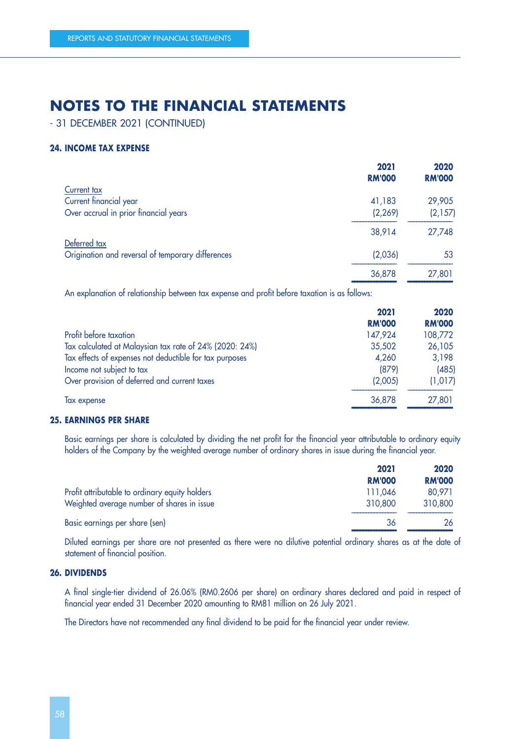- 31 DECEMBER 2021 (CONTINUED)

### **24. INCOME TAX EXPENSE**

| 2021          | 2020          |
|---------------|---------------|
| <b>RM'000</b> | <b>RM'000</b> |
|               |               |
| 41,183        | 29,905        |
| (2, 269)      | (2,157)       |
| 38,914        | 27,748        |
|               |               |
| (2,036)       | 53            |
| 36,878        | 27,801        |
|               |               |

An explanation of relationship between tax expense and profit before taxation is as follows:

|                                                         | 2021          | 2020          |
|---------------------------------------------------------|---------------|---------------|
|                                                         | <b>RM'000</b> | <b>RM'000</b> |
| Profit before taxation                                  | 147,924       | 108,772       |
| Tax calculated at Malaysian tax rate of 24% (2020: 24%) | 35,502        | 26,105        |
| Tax effects of expenses not deductible for tax purposes | 4,260         | 3,198         |
| Income not subject to tax                               | (879)         | (485)         |
| Over provision of deferred and current taxes            | (2,005)       | (1,017)       |
| Tax expense                                             | 36,878        | 27,801        |
|                                                         |               |               |

#### **25. EARNINGS PER SHARE**

Basic earnings per share is calculated by dividing the net profit for the financial year attributable to ordinary equity holders of the Company by the weighted average number of ordinary shares in issue during the financial year.

|                                                | 2021          | 2020          |
|------------------------------------------------|---------------|---------------|
|                                                | <b>RM'000</b> | <b>RM'000</b> |
| Profit attributable to ordinary equity holders | 111.046       | 80,971        |
| Weighted average number of shares in issue     | 310,800       | 310,800       |
| Basic earnings per share (sen)                 | 36            | 26            |

Diluted earnings per share are not presented as there were no dilutive potential ordinary shares as at the date of statement of financial position.

## **26. DIVIDENDS**

A final single-tier dividend of 26.06% (RM0.2606 per share) on ordinary shares declared and paid in respect of financial year ended 31 December 2020 amounting to RM81 million on 26 July 2021.

The Directors have not recommended any final dividend to be paid for the financial year under review.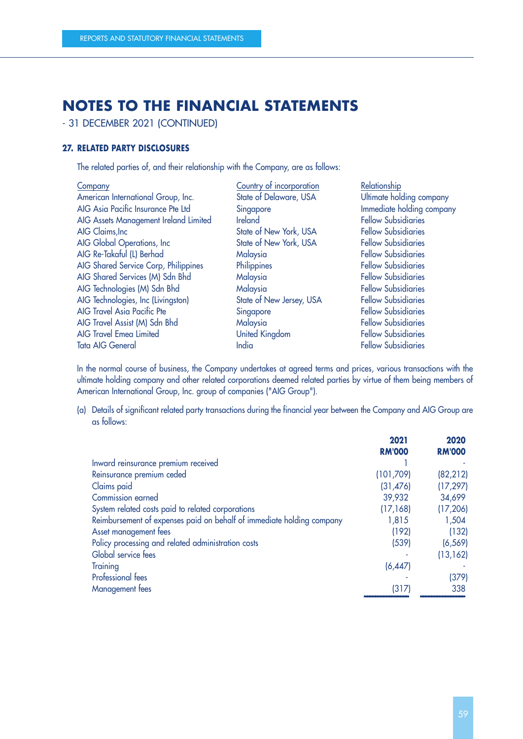- 31 DECEMBER 2021 (CONTINUED)

## **27. RELATED PARTY DISCLOSURES**

The related parties of, and their relationship with the Company, are as follows:

| Company                               | Country of incorporation | Relationship               |
|---------------------------------------|--------------------------|----------------------------|
| American International Group, Inc.    | State of Delaware, USA   | Ultimate holding company   |
| AIG Asia Pacific Insurance Pte Ltd    | Singapore                | Immediate holding company  |
| AIG Assets Management Ireland Limited | <b>Ireland</b>           | <b>Fellow Subsidiaries</b> |
| AIG Claims, Inc                       | State of New York, USA   | <b>Fellow Subsidiaries</b> |
| AIG Global Operations, Inc            | State of New York, USA   | <b>Fellow Subsidiaries</b> |
| AIG Re-Takaful (L) Berhad             | Malaysia                 | <b>Fellow Subsidiaries</b> |
| AIG Shared Service Corp, Philippines  | Philippines              | <b>Fellow Subsidiaries</b> |
| AIG Shared Services (M) Sdn Bhd       | Malaysia                 | <b>Fellow Subsidiaries</b> |
| AIG Technologies (M) Sdn Bhd          | Malaysia                 | <b>Fellow Subsidiaries</b> |
| AIG Technologies, Inc (Livingston)    | State of New Jersey, USA | <b>Fellow Subsidiaries</b> |
| <b>AIG Travel Asia Pacific Pte</b>    | Singapore                | <b>Fellow Subsidiaries</b> |
| AIG Travel Assist (M) Sdn Bhd         | Malaysia                 | <b>Fellow Subsidiaries</b> |
| <b>AIG Travel Emea Limited</b>        | United Kingdom           | <b>Fellow Subsidiaries</b> |
| <b>Tata AIG General</b>               | India                    | <b>Fellow Subsidiaries</b> |
|                                       |                          |                            |

In the normal course of business, the Company undertakes at agreed terms and prices, various transactions with the ultimate holding company and other related corporations deemed related parties by virtue of them being members of American International Group, Inc. group of companies ("AIG Group").

(a) Details of significant related party transactions during the financial year between the Company and AIG Group are as follows:

|                                                                       | 2021          | 2020          |
|-----------------------------------------------------------------------|---------------|---------------|
|                                                                       | <b>RM'000</b> | <b>RM'000</b> |
| Inward reinsurance premium received                                   |               |               |
| Reinsurance premium ceded                                             | (101, 709)    | (82, 212)     |
| Claims paid                                                           | (31, 476)     | (17, 297)     |
| Commission earned                                                     | 39,932        | 34,699        |
| System related costs paid to related corporations                     | (17, 168)     | (17, 206)     |
| Reimbursement of expenses paid on behalf of immediate holding company | 1,815         | 1,504         |
| Asset management fees                                                 | (192)         | (132)         |
| Policy processing and related administration costs                    | (539)         | (6, 569)      |
| Global service fees                                                   |               | (13, 162)     |
| Training                                                              | (6, 447)      |               |
| <b>Professional fees</b>                                              |               | (379)         |
| Management fees                                                       | (317)         | 338           |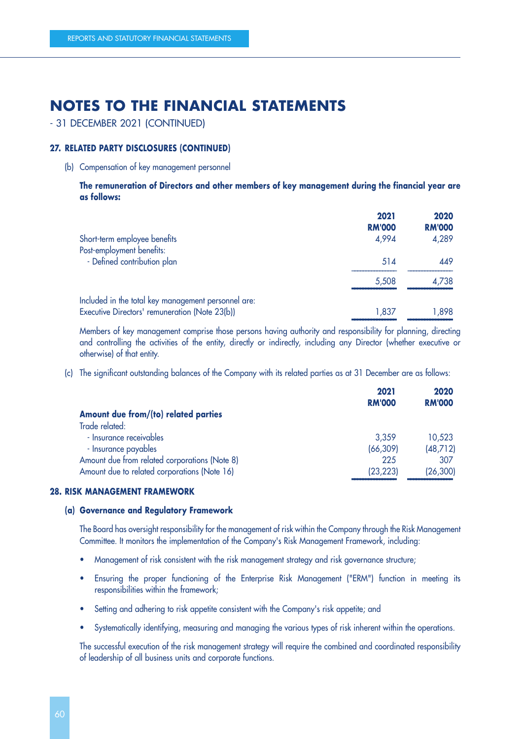- 31 DECEMBER 2021 (CONTINUED)

## **27. RELATED PARTY DISCLOSURES (CONTINUED)**

(b) Compensation of key management personnel

**The remuneration of Directors and other members of key management during the financial year are as follows:**

|                                                                                                       | 2021<br><b>RM'000</b> | 2020<br><b>RM'000</b> |
|-------------------------------------------------------------------------------------------------------|-----------------------|-----------------------|
| Short-term employee benefits                                                                          | 4,994                 | 4,289                 |
| Post-employment benefits:                                                                             |                       |                       |
| - Defined contribution plan                                                                           | 514                   | 449                   |
|                                                                                                       | 5,508                 | 4,738                 |
| Included in the total key management personnel are:<br>Executive Directors' remuneration (Note 23(b)) | 1,837                 | 1,898                 |

Members of key management comprise those persons having authority and responsibility for planning, directing and controlling the activities of the entity, directly or indirectly, including any Director (whether executive or otherwise) of that entity.

(c) The significant outstanding balances of the Company with its related parties as at 31 December are as follows:

|                                               | 2021<br><b>RM'000</b> | 2020<br><b>RM'000</b> |
|-----------------------------------------------|-----------------------|-----------------------|
| Amount due from/(to) related parties          |                       |                       |
| Trade related:                                |                       |                       |
| - Insurance receivables                       | 3,359                 | 10,523                |
| - Insurance payables                          | (66, 309)             | (48, 712)             |
| Amount due from related corporations (Note 8) | 225                   | 307                   |
| Amount due to related corporations (Note 16)  | (23, 223)             | (26, 300)             |
|                                               |                       |                       |

#### –––––––––––––––– –––––––––––––––– **28. RISK MANAGEMENT FRAMEWORK**

### **(a) Governance and Regulatory Framework**

The Board has oversight responsibility for the management of risk within the Company through the Risk Management Committee. It monitors the implementation of the Company's Risk Management Framework, including:

- Management of risk consistent with the risk management strategy and risk governance structure;
- Ensuring the proper functioning of the Enterprise Risk Management ("ERM") function in meeting its responsibilities within the framework;
- Setting and adhering to risk appetite consistent with the Company's risk appetite; and
- Systematically identifying, measuring and managing the various types of risk inherent within the operations.

The successful execution of the risk management strategy will require the combined and coordinated responsibility of leadership of all business units and corporate functions.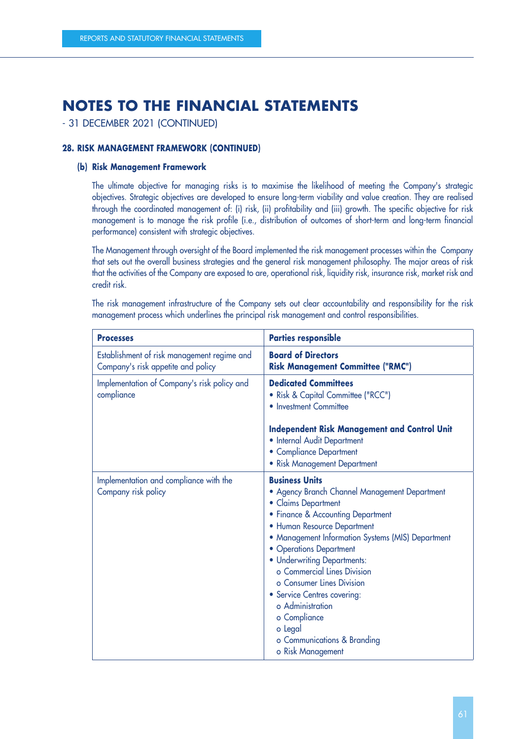- 31 DECEMBER 2021 (CONTINUED)

### **28. RISK MANAGEMENT FRAMEWORK (CONTINUED)**

### **(b) Risk Management Framework**

The ultimate objective for managing risks is to maximise the likelihood of meeting the Company's strategic objectives. Strategic objectives are developed to ensure long-term viability and value creation. They are realised through the coordinated management of: (i) risk, (ii) profitability and (iii) growth. The specific objective for risk management is to manage the risk profile (i.e., distribution of outcomes of short-term and long-term financial performance) consistent with strategic objectives.

The Management through oversight of the Board implemented the risk management processes within the Company that sets out the overall business strategies and the general risk management philosophy. The major areas of risk that the activities of the Company are exposed to are, operational risk, liquidity risk, insurance risk, market risk and credit risk.

The risk management infrastructure of the Company sets out clear accountability and responsibility for the risk management process which underlines the principal risk management and control responsibilities.

| <b>Processes</b>                                                                  | <b>Parties responsible</b>                                                                                                                                                                                                                                                                                                                                                                                                                                                     |
|-----------------------------------------------------------------------------------|--------------------------------------------------------------------------------------------------------------------------------------------------------------------------------------------------------------------------------------------------------------------------------------------------------------------------------------------------------------------------------------------------------------------------------------------------------------------------------|
| Establishment of risk management regime and<br>Company's risk appetite and policy | <b>Board of Directors</b><br><b>Risk Management Committee ("RMC")</b>                                                                                                                                                                                                                                                                                                                                                                                                          |
| Implementation of Company's risk policy and<br>compliance                         | <b>Dedicated Committees</b><br>• Risk & Capital Committee ("RCC")<br>• Investment Committee<br><b>Independent Risk Management and Control Unit</b><br>• Internal Audit Department<br>• Compliance Department<br>• Risk Management Department                                                                                                                                                                                                                                   |
| Implementation and compliance with the<br>Company risk policy                     | <b>Business Units</b><br>• Agency Branch Channel Management Department<br>• Claims Department<br>• Finance & Accounting Department<br>• Human Resource Department<br>• Management Information Systems (MIS) Department<br>• Operations Department<br>• Underwriting Departments:<br>o Commercial Lines Division<br>o Consumer Lines Division<br>• Service Centres covering:<br>o Administration<br>o Compliance<br>o Legal<br>o Communications & Branding<br>o Risk Management |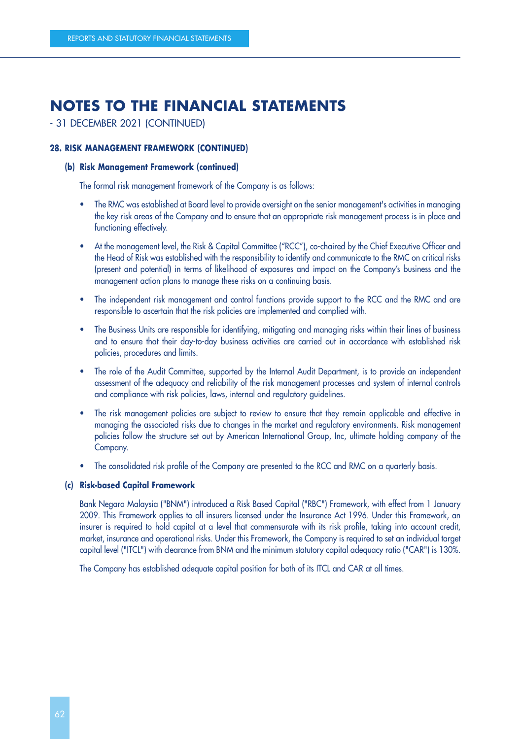# - 31 DECEMBER 2021 (CONTINUED)

### **28. RISK MANAGEMENT FRAMEWORK (CONTINUED)**

### **(b) Risk Management Framework (continued)**

The formal risk management framework of the Company is as follows:

- The RMC was established at Board level to provide oversight on the senior management's activities in managing the key risk areas of the Company and to ensure that an appropriate risk management process is in place and functioning effectively.
- At the management level, the Risk & Capital Committee ("RCC"), co-chaired by the Chief Executive Officer and the Head of Risk was established with the responsibility to identify and communicate to the RMC on critical risks (present and potential) in terms of likelihood of exposures and impact on the Company's business and the management action plans to manage these risks on a continuing basis.
- The independent risk management and control functions provide support to the RCC and the RMC and are responsible to ascertain that the risk policies are implemented and complied with.
- The Business Units are responsible for identifying, mitigating and managing risks within their lines of business and to ensure that their day-to-day business activities are carried out in accordance with established risk policies, procedures and limits.
- The role of the Audit Committee, supported by the Internal Audit Department, is to provide an independent assessment of the adequacy and reliability of the risk management processes and system of internal controls and compliance with risk policies, laws, internal and regulatory guidelines.
- The risk management policies are subject to review to ensure that they remain applicable and effective in managing the associated risks due to changes in the market and regulatory environments. Risk management policies follow the structure set out by American International Group, Inc, ultimate holding company of the Company.
- The consolidated risk profile of the Company are presented to the RCC and RMC on a quarterly basis.

## **(c) Risk-based Capital Framework**

Bank Negara Malaysia ("BNM") introduced a Risk Based Capital ("RBC") Framework, with effect from 1 January 2009. This Framework applies to all insurers licensed under the Insurance Act 1996. Under this Framework, an insurer is required to hold capital at a level that commensurate with its risk profile, taking into account credit, market, insurance and operational risks. Under this Framework, the Company is required to set an individual target capital level ("ITCL") with clearance from BNM and the minimum statutory capital adequacy ratio ("CAR") is 130%.

The Company has established adequate capital position for both of its ITCL and CAR at all times.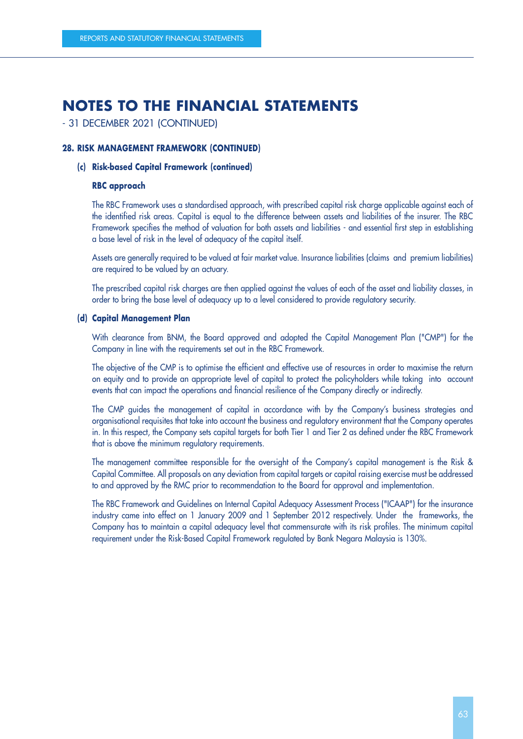## - 31 DECEMBER 2021 (CONTINUED)

### **28. RISK MANAGEMENT FRAMEWORK (CONTINUED)**

### **(c) Risk-based Capital Framework (continued)**

### **RBC approach**

The RBC Framework uses a standardised approach, with prescribed capital risk charge applicable against each of the identified risk areas. Capital is equal to the difference between assets and liabilities of the insurer. The RBC Framework specifies the method of valuation for both assets and liabilities - and essential first step in establishing a base level of risk in the level of adequacy of the capital itself.

Assets are generally required to be valued at fair market value. Insurance liabilities (claims and premium liabilities) are required to be valued by an actuary.

The prescribed capital risk charges are then applied against the values of each of the asset and liability classes, in order to bring the base level of adequacy up to a level considered to provide regulatory security.

#### **(d) Capital Management Plan**

With clearance from BNM, the Board approved and adopted the Capital Management Plan ("CMP") for the Company in line with the requirements set out in the RBC Framework.

The objective of the CMP is to optimise the efficient and effective use of resources in order to maximise the return on equity and to provide an appropriate level of capital to protect the policyholders while taking into account events that can impact the operations and financial resilience of the Company directly or indirectly.

The CMP guides the management of capital in accordance with by the Company's business strategies and organisational requisites that take into account the business and regulatory environment that the Company operates in. In this respect, the Company sets capital targets for both Tier 1 and Tier 2 as defined under the RBC Framework that is above the minimum regulatory requirements.

The management committee responsible for the oversight of the Company's capital management is the Risk & Capital Committee. All proposals on any deviation from capital targets or capital raising exercise must be addressed to and approved by the RMC prior to recommendation to the Board for approval and implementation.

The RBC Framework and Guidelines on Internal Capital Adequacy Assessment Process ("ICAAP") for the insurance industry came into effect on 1 January 2009 and 1 September 2012 respectively. Under the frameworks, the Company has to maintain a capital adequacy level that commensurate with its risk profiles. The minimum capital requirement under the Risk-Based Capital Framework regulated by Bank Negara Malaysia is 130%.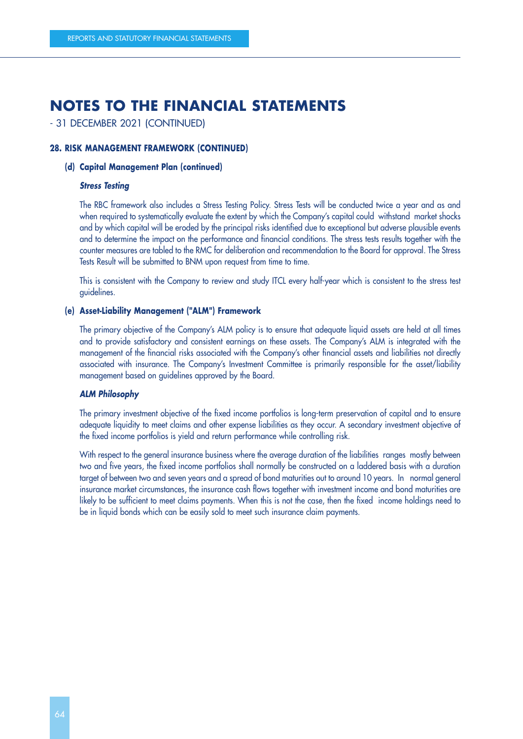## - 31 DECEMBER 2021 (CONTINUED)

### **28. RISK MANAGEMENT FRAMEWORK (CONTINUED)**

### **(d) Capital Management Plan (continued)**

#### **Stress Testing**

The RBC framework also includes a Stress Testing Policy. Stress Tests will be conducted twice a year and as and when required to systematically evaluate the extent by which the Company's capital could withstand market shocks and by which capital will be eroded by the principal risks identified due to exceptional but adverse plausible events and to determine the impact on the performance and financial conditions. The stress tests results together with the counter measures are tabled to the RMC for deliberation and recommendation to the Board for approval. The Stress Tests Result will be submitted to BNM upon request from time to time.

This is consistent with the Company to review and study ITCL every half-year which is consistent to the stress test guidelines.

#### **(e) Asset-Liability Management ("ALM") Framework**

The primary objective of the Company's ALM policy is to ensure that adequate liquid assets are held at all times and to provide satisfactory and consistent earnings on these assets. The Company's ALM is integrated with the management of the financial risks associated with the Company's other financial assets and liabilities not directly associated with insurance. The Company's Investment Committee is primarily responsible for the asset/liability management based on guidelines approved by the Board.

#### **ALM Philosophy**

The primary investment objective of the fixed income portfolios is long-term preservation of capital and to ensure adequate liquidity to meet claims and other expense liabilities as they occur. A secondary investment objective of the fixed income portfolios is yield and return performance while controlling risk.

With respect to the general insurance business where the average duration of the liabilities ranges mostly between two and five years, the fixed income portfolios shall normally be constructed on a laddered basis with a duration target of between two and seven years and a spread of bond maturities out to around 10 years. In normal general insurance market circumstances, the insurance cash flows together with investment income and bond maturities are likely to be sufficient to meet claims payments. When this is not the case, then the fixed income holdings need to be in liquid bonds which can be easily sold to meet such insurance claim payments.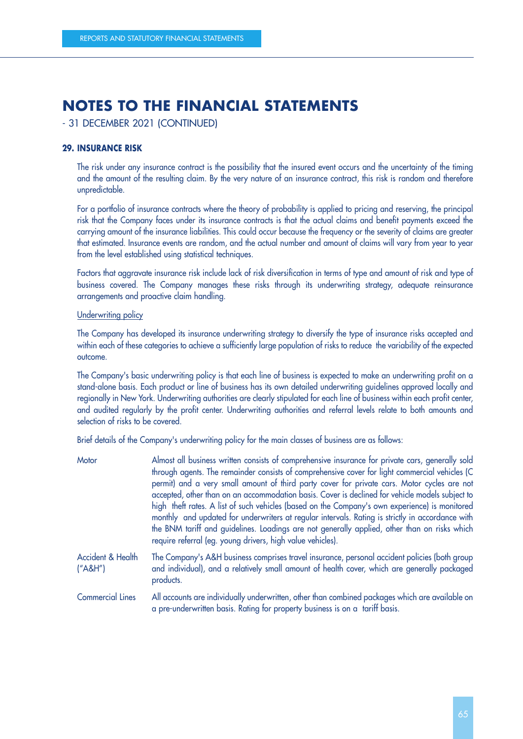- 31 DECEMBER 2021 (CONTINUED)

## **29. INSURANCE RISK**

The risk under any insurance contract is the possibility that the insured event occurs and the uncertainty of the timing and the amount of the resulting claim. By the very nature of an insurance contract, this risk is random and therefore unpredictable.

For a portfolio of insurance contracts where the theory of probability is applied to pricing and reserving, the principal risk that the Company faces under its insurance contracts is that the actual claims and benefit payments exceed the carrying amount of the insurance liabilities. This could occur because the frequency or the severity of claims are greater that estimated. Insurance events are random, and the actual number and amount of claims will vary from year to year from the level established using statistical techniques.

Factors that aggravate insurance risk include lack of risk diversification in terms of type and amount of risk and type of business covered. The Company manages these risks through its underwriting strategy, adequate reinsurance arrangements and proactive claim handling.

### Underwriting policy

The Company has developed its insurance underwriting strategy to diversify the type of insurance risks accepted and within each of these categories to achieve a sufficiently large population of risks to reduce the variability of the expected outcome.

The Company's basic underwriting policy is that each line of business is expected to make an underwriting profit on a stand-alone basis. Each product or line of business has its own detailed underwriting guidelines approved locally and regionally in New York. Underwriting authorities are clearly stipulated for each line of business within each profit center, and audited regularly by the profit center. Underwriting authorities and referral levels relate to both amounts and selection of risks to be covered.

Brief details of the Company's underwriting policy for the main classes of business are as follows:

| Motor                          | Almost all business written consists of comprehensive insurance for private cars, generally sold<br>through agents. The remainder consists of comprehensive cover for light commercial vehicles (C<br>permit) and a very small amount of third party cover for private cars. Motor cycles are not<br>accepted, other than on an accommodation basis. Cover is declined for vehicle models subject to<br>high theft rates. A list of such vehicles (based on the Company's own experience) is monitored<br>monthly and updated for underwriters at regular intervals. Rating is strictly in accordance with<br>the BNM tariff and guidelines. Loadings are not generally applied, other than on risks which<br>require referral (eg. young drivers, high value vehicles). |
|--------------------------------|--------------------------------------------------------------------------------------------------------------------------------------------------------------------------------------------------------------------------------------------------------------------------------------------------------------------------------------------------------------------------------------------------------------------------------------------------------------------------------------------------------------------------------------------------------------------------------------------------------------------------------------------------------------------------------------------------------------------------------------------------------------------------|
| Accident & Health<br>(''AAH'') | The Company's A&H business comprises travel insurance, personal accident policies (both group<br>and individual), and a relatively small amount of health cover, which are generally packaged<br>products.                                                                                                                                                                                                                                                                                                                                                                                                                                                                                                                                                               |
| <b>Commercial Lines</b>        | All accounts are individually underwritten, other than combined packages which are available on<br>a pre-underwritten basis. Rating for property business is on a tariff basis.                                                                                                                                                                                                                                                                                                                                                                                                                                                                                                                                                                                          |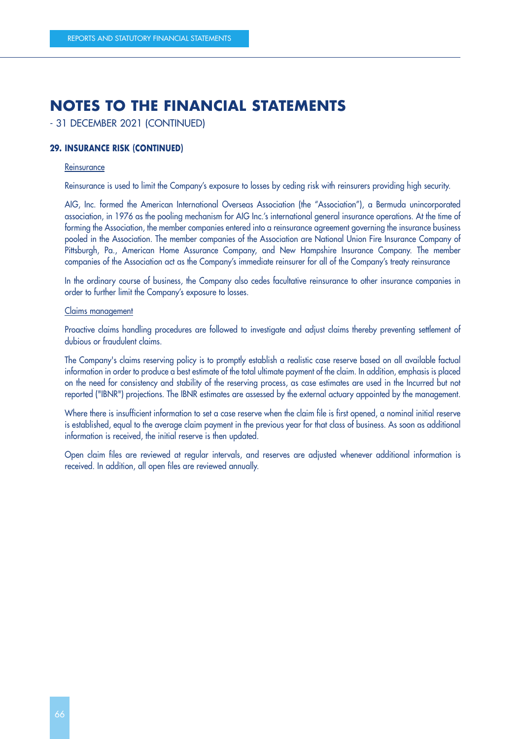- 31 DECEMBER 2021 (CONTINUED)

## **29. INSURANCE RISK (CONTINUED)**

#### **Reinsurance**

Reinsurance is used to limit the Company's exposure to losses by ceding risk with reinsurers providing high security.

AIG, Inc. formed the American International Overseas Association (the "Association"), a Bermuda unincorporated association, in 1976 as the pooling mechanism for AIG Inc.'s international general insurance operations. At the time of forming the Association, the member companies entered into a reinsurance agreement governing the insurance business pooled in the Association. The member companies of the Association are National Union Fire Insurance Company of Pittsburgh, Pa., American Home Assurance Company, and New Hampshire Insurance Company. The member companies of the Association act as the Company's immediate reinsurer for all of the Company's treaty reinsurance

In the ordinary course of business, the Company also cedes facultative reinsurance to other insurance companies in order to further limit the Company's exposure to losses.

#### Claims management

Proactive claims handling procedures are followed to investigate and adjust claims thereby preventing settlement of dubious or fraudulent claims.

The Company's claims reserving policy is to promptly establish a realistic case reserve based on all available factual information in order to produce a best estimate of the total ultimate payment of the claim. In addition, emphasis is placed on the need for consistency and stability of the reserving process, as case estimates are used in the Incurred but not reported ("IBNR") projections. The IBNR estimates are assessed by the external actuary appointed by the management.

Where there is insufficient information to set a case reserve when the claim file is first opened, a nominal initial reserve is established, equal to the average claim payment in the previous year for that class of business. As soon as additional information is received, the initial reserve is then updated.

Open claim files are reviewed at regular intervals, and reserves are adjusted whenever additional information is received. In addition, all open files are reviewed annually.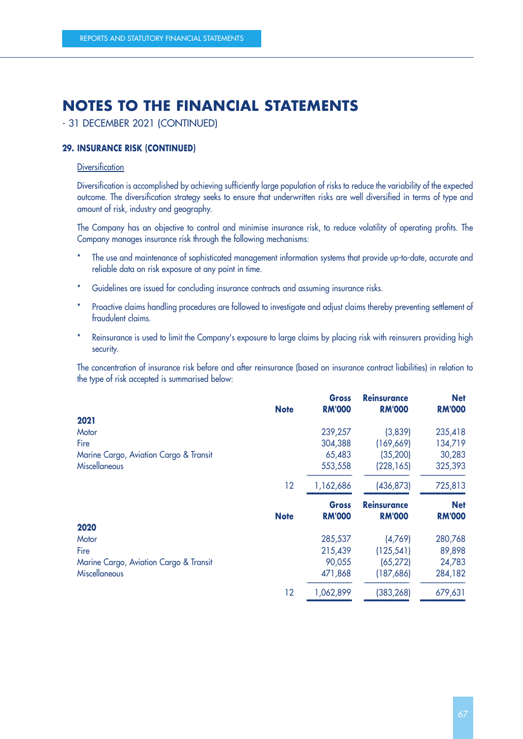- 31 DECEMBER 2021 (CONTINUED)

### **29. INSURANCE RISK (CONTINUED)**

## **Diversification**

Diversification is accomplished by achieving sufficiently large population of risks to reduce the variability of the expected outcome. The diversification strategy seeks to ensure that underwritten risks are well diversified in terms of type and amount of risk, industry and geography.

The Company has an objective to control and minimise insurance risk, to reduce volatility of operating profits. The Company manages insurance risk through the following mechanisms:

- The use and maintenance of sophisticated management information systems that provide up-to-date, accurate and reliable data on risk exposure at any point in time.
- \* Guidelines are issued for concluding insurance contracts and assuming insurance risks.
- \* Proactive claims handling procedures are followed to investigate and adjust claims thereby preventing settlement of fraudulent claims.
- \* Reinsurance is used to limit the Company's exposure to large claims by placing risk with reinsurers providing high security.

The concentration of insurance risk before and after reinsurance (based on insurance contract liabilities) in relation to the type of risk accepted is summarised below:

|    | <b>Gross</b>               | <b>Reinsurance</b>                                   | <b>Net</b><br><b>RM'000</b>                             |
|----|----------------------------|------------------------------------------------------|---------------------------------------------------------|
|    |                            |                                                      |                                                         |
|    |                            |                                                      |                                                         |
|    |                            |                                                      | 235,418                                                 |
|    |                            |                                                      | 134,719                                                 |
|    | 65,483                     | (35, 200)                                            | 30,283                                                  |
|    | 553,558                    | (228, 165)                                           | 325,393                                                 |
| 12 | 1,162,686                  | (436, 873)                                           | 725,813                                                 |
|    | <b>Gross</b>               | <b>Reinsurance</b>                                   | <b>Net</b>                                              |
|    |                            |                                                      | <b>RM'000</b>                                           |
|    |                            |                                                      |                                                         |
|    |                            |                                                      |                                                         |
|    | 285,537                    | (4,769)                                              | 280,768                                                 |
|    | 215,439                    | (125, 541)                                           | 89,898                                                  |
|    | 90,055                     | (65, 272)                                            | 24,783                                                  |
|    | 471,868                    | (187,686)                                            | 284,182                                                 |
|    | <b>Note</b><br><b>Note</b> | <b>RM'000</b><br>239,257<br>304,388<br><b>RM'000</b> | <b>RM'000</b><br>(3,839)<br>(169, 669)<br><b>RM'000</b> |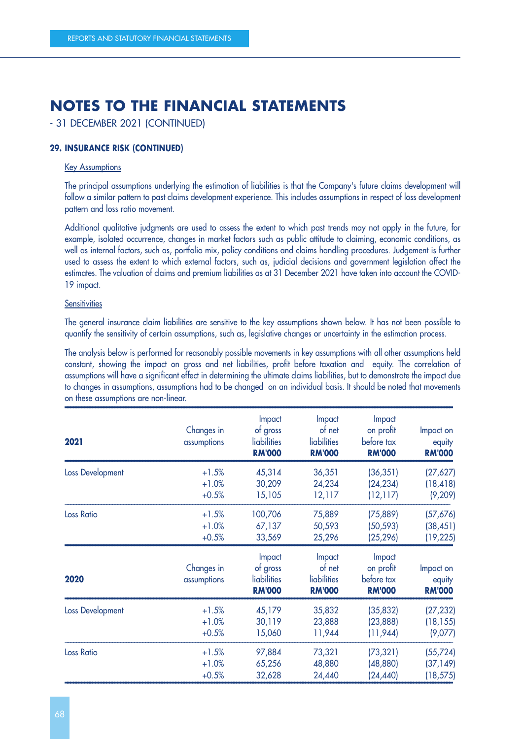- 31 DECEMBER 2021 (CONTINUED)

### **29. INSURANCE RISK (CONTINUED)**

### Key Assumptions

The principal assumptions underlying the estimation of liabilities is that the Company's future claims development will follow a similar pattern to past claims development experience. This includes assumptions in respect of loss development pattern and loss ratio movement.

Additional qualitative judgments are used to assess the extent to which past trends may not apply in the future, for example, isolated occurrence, changes in market factors such as public attitude to claiming, economic conditions, as well as internal factors, such as, portfolio mix, policy conditions and claims handling procedures. Judgement is further used to assess the extent to which external factors, such as, judicial decisions and government legislation affect the estimates. The valuation of claims and premium liabilities as at 31 December 2021 have taken into account the COVID-19 impact.

#### **Sensitivities**

The general insurance claim liabilities are sensitive to the key assumptions shown below. It has not been possible to quantify the sensitivity of certain assumptions, such as, legislative changes or uncertainty in the estimation process.

The analysis below is performed for reasonably possible movements in key assumptions with all other assumptions held constant, showing the impact on gross and net liabilities, profit before taxation and equity. The correlation of assumptions will have a significant effect in determining the ultimate claims liabilities, but to demonstrate the impact due to changes in assumptions, assumptions had to be changed on an individual basis. It should be noted that movements on these assumptions are non-linear.

| 2021              | Changes in<br>assumptions | Impact<br>of gross<br>liabilities<br><b>RM'000</b> | Impact<br>of net<br>liabilities<br><b>RM'000</b> | Impact<br>on profit<br>before tax<br><b>RM'000</b> | Impact on<br>equity<br><b>RM'000</b> |
|-------------------|---------------------------|----------------------------------------------------|--------------------------------------------------|----------------------------------------------------|--------------------------------------|
| Loss Development  | $+1.5%$                   | 45,314                                             | 36,351                                           | (36, 351)                                          | (27,627)                             |
|                   | $+1.0%$                   | 30,209                                             | 24,234                                           | (24, 234)                                          | (18, 418)                            |
|                   | $+0.5%$                   | 15,105                                             | 12,117                                           | (12, 117)                                          | (9, 209)                             |
| <b>Loss Ratio</b> | $+1.5%$                   | 100,706                                            | 75,889                                           | (75, 889)                                          | (57,676)                             |
|                   | $+1.0%$                   | 67,137                                             | 50,593                                           | (50, 593)                                          | (38, 451)                            |
|                   | $+0.5%$                   | 33,569                                             | 25,296                                           | (25, 296)                                          | (19, 225)                            |
| 2020              | Changes in<br>assumptions | Impact<br>of gross<br>liabilities<br><b>RM'000</b> | Impact<br>of net<br>liabilities<br><b>RM'000</b> | Impact<br>on profit<br>before tax<br><b>RM'000</b> | Impact on<br>equity<br><b>RM'000</b> |
| Loss Development  | $+1.5%$                   | 45,179                                             | 35,832                                           | (35, 832)                                          | (27, 232)                            |
|                   | $+1.0%$                   | 30,119                                             | 23,888                                           | (23, 888)                                          | (18, 155)                            |
|                   | $+0.5%$                   | 15,060                                             | 11,944                                           | (11, 944)                                          | (9,077)                              |
| <b>Loss Ratio</b> | $+1.5%$                   | 97,884                                             | 73,321                                           | (73, 321)                                          | (55, 724)                            |
|                   | $+1.0%$                   | 65,256                                             | 48,880                                           | (48, 880)                                          | (37, 149)                            |
|                   | $+0.5%$                   | 32,628                                             | 24,440                                           | (24, 440)                                          | (18, 575)                            |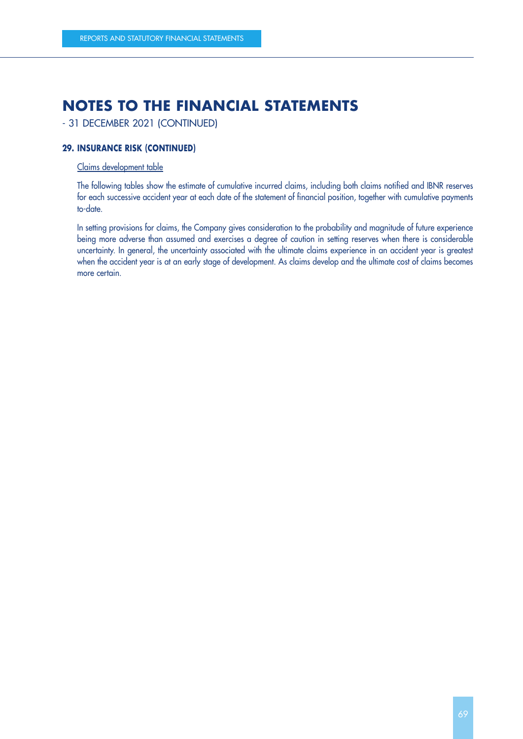- 31 DECEMBER 2021 (CONTINUED)

### **29. INSURANCE RISK (CONTINUED)**

## Claims development table

The following tables show the estimate of cumulative incurred claims, including both claims notified and IBNR reserves for each successive accident year at each date of the statement of financial position, together with cumulative payments to-date.

In setting provisions for claims, the Company gives consideration to the probability and magnitude of future experience being more adverse than assumed and exercises a degree of caution in setting reserves when there is considerable uncertainty. In general, the uncertainty associated with the ultimate claims experience in an accident year is greatest when the accident year is at an early stage of development. As claims develop and the ultimate cost of claims becomes more certain.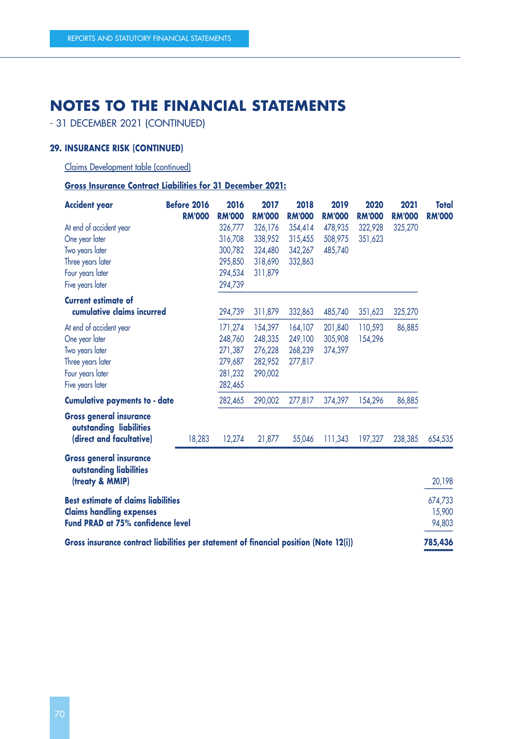- 31 DECEMBER 2021 (CONTINUED)

# **29. INSURANCE RISK (CONTINUED)**

Claims Development table (continued)

**Gross Insurance Contract Liabilities for 31 December 2021:**

| <b>Accident year</b>                                                                  | Before 2016   | 2016          | 2017          | 2018          | 2019          | 2020          | 2021          | <b>Total</b>  |
|---------------------------------------------------------------------------------------|---------------|---------------|---------------|---------------|---------------|---------------|---------------|---------------|
|                                                                                       | <b>RM'000</b> | <b>RM'000</b> | <b>RM'000</b> | <b>RM'000</b> | <b>RM'000</b> | <b>RM'000</b> | <b>RM'000</b> | <b>RM'000</b> |
| At end of accident year                                                               |               | 326,777       | 326,176       | 354,414       | 478,935       | 322,928       | 325,270       |               |
| One year later                                                                        |               | 316,708       | 338,952       | 315,455       | 508,975       | 351,623       |               |               |
| Two years later                                                                       |               | 300,782       | 324,480       | 342,267       | 485,740       |               |               |               |
| Three years later                                                                     |               | 295,850       | 318,690       | 332,863       |               |               |               |               |
| Four years later                                                                      |               | 294,534       | 311,879       |               |               |               |               |               |
| Five years later                                                                      |               | 294,739       |               |               |               |               |               |               |
| <b>Current estimate of</b>                                                            |               |               |               |               |               |               |               |               |
| cumulative claims incurred                                                            |               | 294,739       | 311,879       | 332,863       | 485,740       | 351,623       | 325,270       |               |
| At end of accident year                                                               |               | 171,274       | 154,397       | 164,107       | 201,840       | 110,593       | 86,885        |               |
| One year later                                                                        |               | 248,760       | 248,335       | 249,100       | 305,908       | 154,296       |               |               |
| Two years later                                                                       |               | 271,387       | 276,228       | 268,239       | 374,397       |               |               |               |
| Three years later                                                                     |               | 279,687       | 282,952       | 277,817       |               |               |               |               |
| Four years later                                                                      |               | 281,232       | 290,002       |               |               |               |               |               |
| Five years later                                                                      |               | 282,465       |               |               |               |               |               |               |
| <b>Cumulative payments to - date</b>                                                  |               | 282,465       | 290,002       | 277,817       | 374,397       | 154,296       | 86,885        |               |
| <b>Gross general insurance</b><br>outstanding liabilities                             |               |               |               |               |               |               |               |               |
| (direct and facultative)                                                              | 18,283        | 12,274        | 21,877        | 55,046        | 111,343       | 197,327       | 238,385       | 654,535       |
| <b>Gross general insurance</b><br>outstanding liabilities                             |               |               |               |               |               |               |               |               |
| (treaty & MMIP)                                                                       |               |               |               |               |               |               |               | 20,198        |
| <b>Best estimate of claims liabilities</b>                                            |               |               |               |               |               |               |               | 674,733       |
| <b>Claims handling expenses</b>                                                       |               |               |               |               |               |               |               | 15,900        |
| Fund PRAD at 75% confidence level                                                     |               |               |               |               |               |               |               | 94,803        |
|                                                                                       |               |               |               |               |               |               |               |               |
| Gross insurance contract liabilities per statement of financial position (Note 12(i)) |               |               |               |               |               |               |               | 785,436       |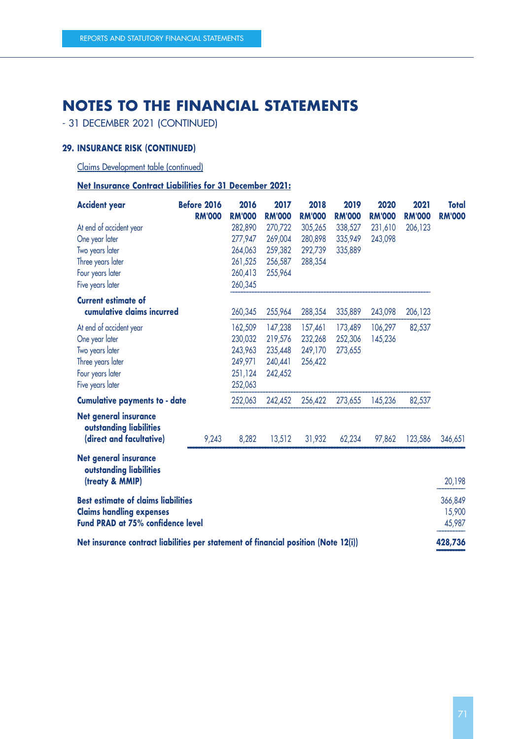- 31 DECEMBER 2021 (CONTINUED)

### **29. INSURANCE RISK (CONTINUED)**

Claims Development table (continued)

**Net Insurance Contract Liabilities for 31 December 2021:**

| <b>Accident year</b>                                                                | <b>Before 2016</b> | 2016          | 2017          | 2018          | 2019          | 2020          | 2021          | <b>Total</b>  |
|-------------------------------------------------------------------------------------|--------------------|---------------|---------------|---------------|---------------|---------------|---------------|---------------|
|                                                                                     | <b>RM'000</b>      | <b>RM'000</b> | <b>RM'000</b> | <b>RM'000</b> | <b>RM'000</b> | <b>RM'000</b> | <b>RM'000</b> | <b>RM'000</b> |
| At end of accident year                                                             |                    | 282,890       | 270,722       | 305,265       | 338,527       | 231,610       | 206,123       |               |
| One year later                                                                      |                    | 277,947       | 269,004       | 280,898       | 335,949       | 243,098       |               |               |
| Two years later                                                                     |                    | 264,063       | 259,382       | 292,739       | 335,889       |               |               |               |
| Three years later                                                                   |                    | 261,525       | 256,587       | 288,354       |               |               |               |               |
| Four years later                                                                    |                    | 260,413       | 255,964       |               |               |               |               |               |
| Five years later                                                                    |                    | 260,345       |               |               |               |               |               |               |
| <b>Current estimate of</b>                                                          |                    |               |               |               |               |               |               |               |
| cumulative claims incurred                                                          |                    | 260,345       | 255,964       | 288,354       | 335,889       | 243,098       | 206,123       |               |
| At end of accident year                                                             |                    | 162,509       | 147,238       | 157,461       | 173,489       | 106,297       | 82,537        |               |
| One year later                                                                      |                    | 230,032       | 219,576       | 232,268       | 252,306       | 145,236       |               |               |
| Two years later                                                                     |                    | 243,963       | 235,448       | 249,170       | 273,655       |               |               |               |
| Three years later                                                                   |                    | 249,971       | 240,441       | 256,422       |               |               |               |               |
| Four years later                                                                    |                    | 251,124       | 242,452       |               |               |               |               |               |
| Five years later                                                                    |                    | 252,063       |               |               |               |               |               |               |
| <b>Cumulative payments to - date</b>                                                |                    | 252,063       | 242,452       | 256,422       | 273,655       | 145,236       | 82,537        |               |
| <b>Net general insurance</b><br>outstanding liabilities                             |                    |               |               |               |               |               |               |               |
| (direct and facultative)                                                            | 9,243              | 8,282         | 13,512        | 31,932        | 62,234        | 97,862        | 123,586       | 346,651       |
| <b>Net general insurance</b><br>outstanding liabilities<br>(treaty & MMIP)          |                    |               |               |               |               |               |               | 20,198        |
|                                                                                     |                    |               |               |               |               |               |               |               |
| <b>Best estimate of claims liabilities</b>                                          |                    |               |               |               |               |               |               | 366,849       |
| <b>Claims handling expenses</b>                                                     |                    |               |               |               |               |               |               | 15,900        |
| Fund PRAD at 75% confidence level                                                   |                    |               |               |               |               |               |               | 45,987        |
| Net insurance contract liabilities per statement of financial position (Note 12(i)) |                    |               |               |               |               |               |               | 428,736       |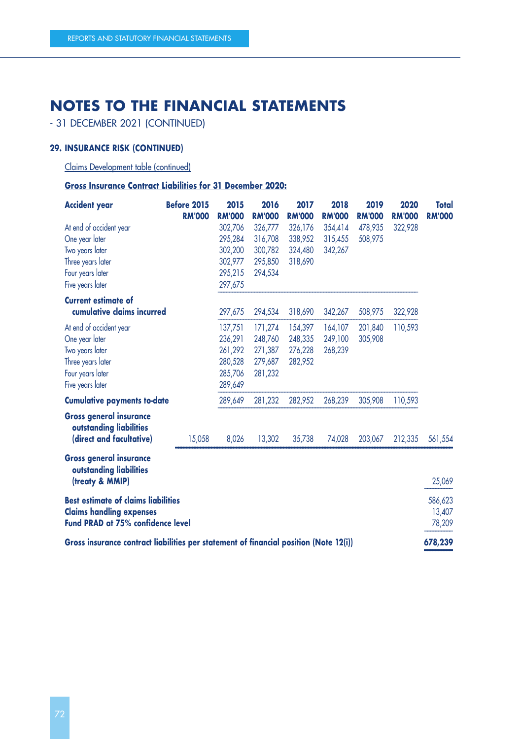- 31 DECEMBER 2021 (CONTINUED)

### **29. INSURANCE RISK (CONTINUED)**

Claims Development table (continued)

**Gross Insurance Contract Liabilities for 31 December 2020:**

| <b>Accident year</b>                                                                  | <b>Before 2015</b> | 2015          | 2016          | 2017          | 2018          | 2019          | 2020          | <b>Total</b>  |
|---------------------------------------------------------------------------------------|--------------------|---------------|---------------|---------------|---------------|---------------|---------------|---------------|
|                                                                                       | <b>RM'000</b>      | <b>RM'000</b> | <b>RM'000</b> | <b>RM'000</b> | <b>RM'000</b> | <b>RM'000</b> | <b>RM'000</b> | <b>RM'000</b> |
| At end of accident year                                                               |                    | 302,706       | 326,777       | 326,176       | 354,414       | 478,935       | 322,928       |               |
| One year later                                                                        |                    | 295,284       | 316,708       | 338,952       | 315,455       | 508,975       |               |               |
| Two years later                                                                       |                    | 302,200       | 300,782       | 324,480       | 342,267       |               |               |               |
| Three years later                                                                     |                    | 302,977       | 295,850       | 318,690       |               |               |               |               |
| Four years later                                                                      |                    | 295,215       | 294,534       |               |               |               |               |               |
| Five years later                                                                      |                    | 297,675       |               |               |               |               |               |               |
| <b>Current estimate of</b>                                                            |                    |               |               |               |               |               |               |               |
| cumulative claims incurred                                                            |                    | 297,675       | 294,534       | 318,690       | 342,267       | 508,975       | 322,928       |               |
| At end of accident year                                                               |                    | 137,751       | 171,274       | 154,397       | 164,107       | 201,840       | 110,593       |               |
| One year later                                                                        |                    | 236,291       | 248,760       | 248,335       | 249,100       | 305,908       |               |               |
| Two years later                                                                       |                    | 261,292       | 271,387       | 276,228       | 268,239       |               |               |               |
| Three years later                                                                     |                    | 280,528       | 279,687       | 282,952       |               |               |               |               |
| Four years later                                                                      |                    | 285,706       | 281,232       |               |               |               |               |               |
| Five years later                                                                      |                    | 289,649       |               |               |               |               |               |               |
| <b>Cumulative payments to-date</b>                                                    |                    | 289,649       | 281,232       | 282,952       | 268,239       | 305,908       | 110,593       |               |
| <b>Gross general insurance</b><br>outstanding liabilities<br>(direct and facultative) | 15,058             | 8,026         | 13,302        | 35,738        | 74,028        | 203,067       | 212,335       | 561,554       |
| <b>Gross general insurance</b><br>outstanding liabilities<br>(treaty & MMIP)          |                    |               |               |               |               |               |               | 25,069        |
|                                                                                       |                    |               |               |               |               |               |               |               |
| <b>Best estimate of claims liabilities</b>                                            |                    |               |               |               |               |               |               | 586,623       |
| <b>Claims handling expenses</b><br>Fund PRAD at 75% confidence level                  |                    |               |               |               |               |               |               | 13,407        |
|                                                                                       |                    |               |               |               |               |               |               | 78,209        |
| Gross insurance contract liabilities per statement of financial position (Note 12(i)) |                    |               |               |               |               |               |               | 678,239       |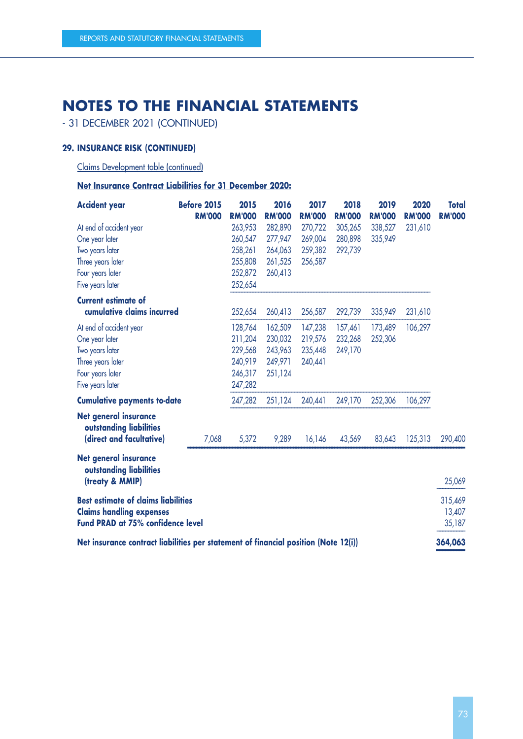- 31 DECEMBER 2021 (CONTINUED)

### **29. INSURANCE RISK (CONTINUED)**

Claims Development table (continued)

**Net Insurance Contract Liabilities for 31 December 2020:**

| <b>Accident year</b>                                                                | <b>Before 2015</b> | 2015          | 2016          | 2017          | 2018          | 2019          | 2020          | <b>Total</b>  |
|-------------------------------------------------------------------------------------|--------------------|---------------|---------------|---------------|---------------|---------------|---------------|---------------|
|                                                                                     | <b>RM'000</b>      | <b>RM'000</b> | <b>RM'000</b> | <b>RM'000</b> | <b>RM'000</b> | <b>RM'000</b> | <b>RM'000</b> | <b>RM'000</b> |
| At end of accident year                                                             |                    | 263,953       | 282,890       | 270,722       | 305,265       | 338,527       | 231,610       |               |
| One year later                                                                      |                    | 260,547       | 277,947       | 269,004       | 280,898       | 335,949       |               |               |
| Two years later                                                                     |                    | 258,261       | 264,063       | 259,382       | 292,739       |               |               |               |
| Three years later                                                                   |                    | 255,808       | 261,525       | 256,587       |               |               |               |               |
| Four years later                                                                    |                    | 252,872       | 260,413       |               |               |               |               |               |
| Five years later                                                                    |                    | 252,654       |               |               |               |               |               |               |
| <b>Current estimate of</b>                                                          |                    |               |               |               |               |               |               |               |
| cumulative claims incurred                                                          |                    | 252,654       | 260,413       | 256,587       | 292,739       | 335,949       | 231,610       |               |
| At end of accident year                                                             |                    | 128,764       | 162,509       | 147,238       | 157,461       | 173,489       | 106,297       |               |
| One year later                                                                      |                    | 211,204       | 230,032       | 219,576       | 232,268       | 252,306       |               |               |
| Two years later                                                                     |                    | 229,568       | 243,963       | 235,448       | 249,170       |               |               |               |
| Three years later                                                                   |                    | 240,919       | 249,971       | 240,441       |               |               |               |               |
| Four years later                                                                    |                    | 246,317       | 251,124       |               |               |               |               |               |
| Five years later                                                                    |                    | 247,282       |               |               |               |               |               |               |
| <b>Cumulative payments to-date</b>                                                  |                    | 247,282       | 251,124       | 240,441       | 249,170       | 252,306       | 106,297       |               |
| <b>Net general insurance</b><br>outstanding liabilities                             |                    |               |               |               |               |               |               |               |
| (direct and facultative)                                                            | 7,068              | 5,372         | 9,289         | 16,146        | 43,569        | 83,643        | 125,313       | 290,400       |
| <b>Net general insurance</b><br>outstanding liabilities<br>(treaty & MMIP)          |                    |               |               |               |               |               |               | 25,069        |
|                                                                                     |                    |               |               |               |               |               |               |               |
| <b>Best estimate of claims liabilities</b>                                          |                    |               |               |               |               |               |               | 315,469       |
| <b>Claims handling expenses</b>                                                     |                    |               |               |               |               |               |               | 13,407        |
| Fund PRAD at 75% confidence level                                                   |                    |               |               |               |               |               |               | 35,187        |
| Net insurance contract liabilities per statement of financial position (Note 12(i)) |                    |               |               |               |               |               |               | 364,063       |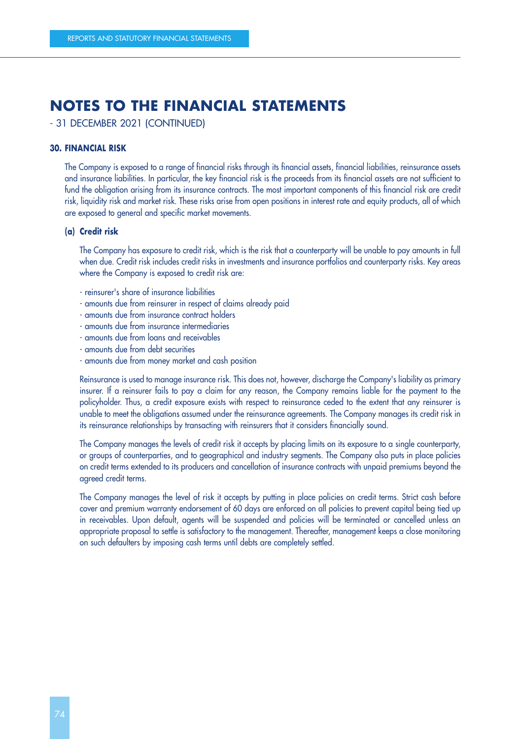- 31 DECEMBER 2021 (CONTINUED)

#### **30. FINANCIAL RISK**

The Company is exposed to a range of financial risks through its financial assets, financial liabilities, reinsurance assets and insurance liabilities. In particular, the key financial risk is the proceeds from its financial assets are not sufficient to fund the obligation arising from its insurance contracts. The most important components of this financial risk are credit risk, liquidity risk and market risk. These risks arise from open positions in interest rate and equity products, all of which are exposed to general and specific market movements.

#### **(a) Credit risk**

The Company has exposure to credit risk, which is the risk that a counterparty will be unable to pay amounts in full when due. Credit risk includes credit risks in investments and insurance portfolios and counterparty risks. Key areas where the Company is exposed to credit risk are:

- reinsurer's share of insurance liabilities
- amounts due from reinsurer in respect of claims already paid
- amounts due from insurance contract holders
- amounts due from insurance intermediaries
- amounts due from loans and receivables
- amounts due from debt securities
- amounts due from money market and cash position

Reinsurance is used to manage insurance risk. This does not, however, discharge the Company's liability as primary insurer. If a reinsurer fails to pay a claim for any reason, the Company remains liable for the payment to the policyholder. Thus, a credit exposure exists with respect to reinsurance ceded to the extent that any reinsurer is unable to meet the obligations assumed under the reinsurance agreements. The Company manages its credit risk in its reinsurance relationships by transacting with reinsurers that it considers financially sound.

The Company manages the levels of credit risk it accepts by placing limits on its exposure to a single counterparty, or groups of counterparties, and to geographical and industry segments. The Company also puts in place policies on credit terms extended to its producers and cancellation of insurance contracts with unpaid premiums beyond the agreed credit terms.

The Company manages the level of risk it accepts by putting in place policies on credit terms. Strict cash before cover and premium warranty endorsement of 60 days are enforced on all policies to prevent capital being tied up in receivables. Upon default, agents will be suspended and policies will be terminated or cancelled unless an appropriate proposal to settle is satisfactory to the management. Thereafter, management keeps a close monitoring on such defaulters by imposing cash terms until debts are completely settled.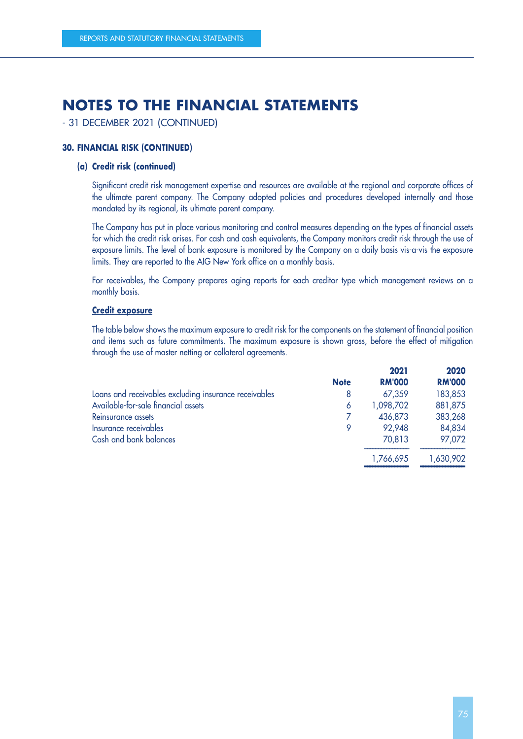- 31 DECEMBER 2021 (CONTINUED)

#### **30. FINANCIAL RISK (CONTINUED)**

#### **(a) Credit risk (continued)**

Significant credit risk management expertise and resources are available at the regional and corporate offices of the ultimate parent company. The Company adopted policies and procedures developed internally and those mandated by its regional, its ultimate parent company.

The Company has put in place various monitoring and control measures depending on the types of financial assets for which the credit risk arises. For cash and cash equivalents, the Company monitors credit risk through the use of exposure limits. The level of bank exposure is monitored by the Company on a daily basis vis-a-vis the exposure limits. They are reported to the AIG New York office on a monthly basis.

For receivables, the Company prepares aging reports for each creditor type which management reviews on a monthly basis.

#### **Credit exposure**

The table below shows the maximum exposure to credit risk for the components on the statement of financial position and items such as future commitments. The maximum exposure is shown gross, before the effect of mitigation through the use of master netting or collateral agreements.

|                                                       |             | 2021          | 2020          |
|-------------------------------------------------------|-------------|---------------|---------------|
|                                                       | <b>Note</b> | <b>RM'000</b> | <b>RM'000</b> |
| Loans and receivables excluding insurance receivables | 8           | 67,359        | 183,853       |
| Available-for-sale financial assets                   | 6           | 1,098,702     | 881,875       |
| Reinsurance assets                                    |             | 436,873       | 383,268       |
| Insurance receivables                                 | 9           | 92,948        | 84,834        |
| Cash and bank balances                                |             | 70,813        | 97,072        |
|                                                       |             | 1,766,695     | 1,630,902     |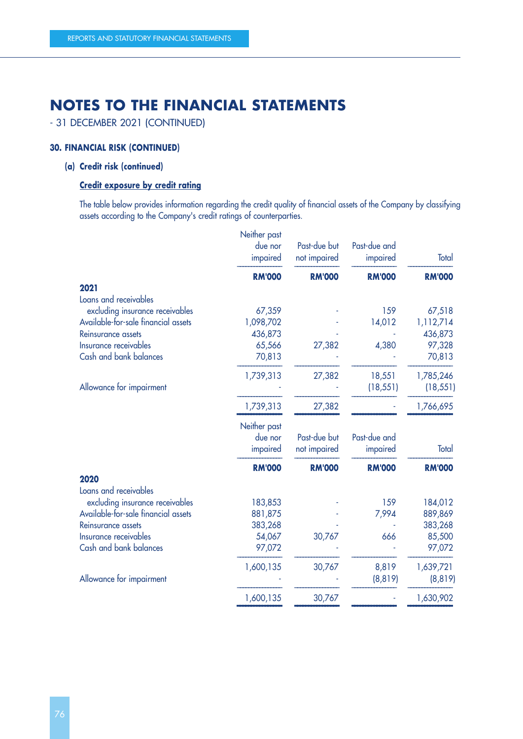- 31 DECEMBER 2021 (CONTINUED)

#### **30. FINANCIAL RISK (CONTINUED)**

### **(a) Credit risk (continued)**

#### **Credit exposure by credit rating**

The table below provides information regarding the credit quality of financial assets of the Company by classifying assets according to the Company's credit ratings of counterparties.

|                                     | Neither past<br>due nor<br>impaired | Past-due but<br>not impaired | Past-due and<br>impaired | Total         |
|-------------------------------------|-------------------------------------|------------------------------|--------------------------|---------------|
|                                     | <b>RM'000</b>                       | <b>RM'000</b>                | <b>RM'000</b>            | <b>RM'000</b> |
| 2021                                |                                     |                              |                          |               |
| Loans and receivables               |                                     |                              |                          |               |
| excluding insurance receivables     | 67,359                              |                              | 159                      | 67,518        |
| Available-for-sale financial assets | 1,098,702                           |                              | 14,012                   | 1,112,714     |
| Reinsurance assets                  | 436,873                             |                              |                          | 436,873       |
| Insurance receivables               | 65,566                              | 27,382                       | 4,380                    | 97,328        |
| Cash and bank balances              | 70,813                              |                              |                          | 70,813        |
|                                     | 1,739,313                           | 27,382                       | 18,551                   | 1,785,246     |
| Allowance for impairment            |                                     |                              | (18, 551)                | (18, 551)     |
|                                     | 1,739,313                           | 27,382                       |                          | 1,766,695     |
|                                     | Neither past                        |                              |                          |               |
|                                     | due nor                             | Past-due but                 | Past-due and             |               |
|                                     | impaired                            | not impaired                 | impaired                 | Total         |
|                                     | <b>RM'000</b>                       | <b>RM'000</b>                | <b>RM'000</b>            | <b>RM'000</b> |
| 2020                                |                                     |                              |                          |               |
| Loans and receivables               |                                     |                              |                          |               |
| excluding insurance receivables     | 183,853                             |                              | 159                      | 184,012       |
| Available-for-sale financial assets | 881,875                             |                              | 7,994                    | 889,869       |
| Reinsurance assets                  | 383,268                             |                              |                          | 383,268       |
| Insurance receivables               | 54,067                              | 30,767                       | 666                      | 85,500        |
| Cash and bank balances              | 97,072                              |                              |                          | 97,072        |
|                                     | 1,600,135                           | 30,767                       | 8,819                    | 1,639,721     |
| Allowance for impairment            |                                     |                              | (8, 819)                 | (8, 819)      |
|                                     | 1,600,135                           | 30,767                       |                          | 1,630,902     |
|                                     |                                     |                              |                          |               |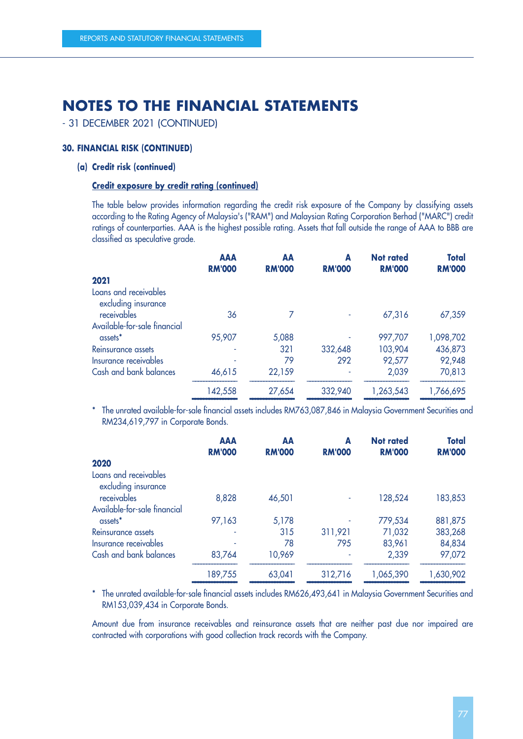- 31 DECEMBER 2021 (CONTINUED)

#### **30. FINANCIAL RISK (CONTINUED)**

#### **(a) Credit risk (continued)**

#### **Credit exposure by credit rating (continued)**

The table below provides information regarding the credit risk exposure of the Company by classifying assets according to the Rating Agency of Malaysia's ("RAM") and Malaysian Rating Corporation Berhad ("MARC") credit ratings of counterparties. AAA is the highest possible rating. Assets that fall outside the range of AAA to BBB are classified as speculative grade.

|                                              | <b>AAA</b><br><b>RM'000</b> | AA<br><b>RM'000</b> | A<br><b>RM'000</b> | <b>Not rated</b><br><b>RM'000</b> | <b>Total</b><br><b>RM'000</b> |
|----------------------------------------------|-----------------------------|---------------------|--------------------|-----------------------------------|-------------------------------|
| 2021                                         |                             |                     |                    |                                   |                               |
| Loans and receivables<br>excluding insurance |                             |                     |                    |                                   |                               |
| receivables                                  | 36                          |                     |                    | 67,316                            | 67,359                        |
| Available-for-sale financial                 |                             |                     |                    |                                   |                               |
| assets <sup>*</sup>                          | 95,907                      | 5,088               |                    | 997,707                           | 1,098,702                     |
| Reinsurance assets                           |                             | 321                 | 332,648            | 103,904                           | 436,873                       |
| Insurance receivables                        |                             | 79                  | 292                | 92,577                            | 92,948                        |
| Cash and bank balances                       | 46,615                      | 22,159              |                    | 2,039                             | 70,813                        |
|                                              | 142,558                     | 27,654              | 332,940            | 1,263,543                         | 1,766,695                     |

 –––––––––––––––– –––––––––––––––– –––––––––––––––– –––––––––––––––– –––––––––––––––– \* The unrated available-for-sale financial assets includes RM763,087,846 in Malaysia Government Securities and RM234,619,797 in Corporate Bonds.

|                                              | <b>AAA</b>    | AA            | A             | <b>Not rated</b> | <b>Total</b>  |
|----------------------------------------------|---------------|---------------|---------------|------------------|---------------|
|                                              | <b>RM'000</b> | <b>RM'000</b> | <b>RM'000</b> | <b>RM'000</b>    | <b>RM'000</b> |
| 2020                                         |               |               |               |                  |               |
| Loans and receivables<br>excluding insurance |               |               |               |                  |               |
| receivables                                  | 8,828         | 46,501        | ٠             | 128,524          | 183,853       |
| Available-for-sale financial                 |               |               |               |                  |               |
| assets <sup>*</sup>                          | 97,163        | 5,178         |               | 779,534          | 881,875       |
| Reinsurance assets                           |               | 315           | 311,921       | 71,032           | 383,268       |
| Insurance receivables                        |               | 78            | 795           | 83,961           | 84,834        |
| Cash and bank balances                       | 83,764        | 10,969        | ٠             | 2,339            | 97,072        |
|                                              | 189,755       | 63,041        | 312,716       | 1,065,390        | 1,630,902     |

\* The unrated available-for-sale financial assets includes RM626,493,641 in Malaysia Government Securities and RM153,039,434 in Corporate Bonds.

Amount due from insurance receivables and reinsurance assets that are neither past due nor impaired are contracted with corporations with good collection track records with the Company.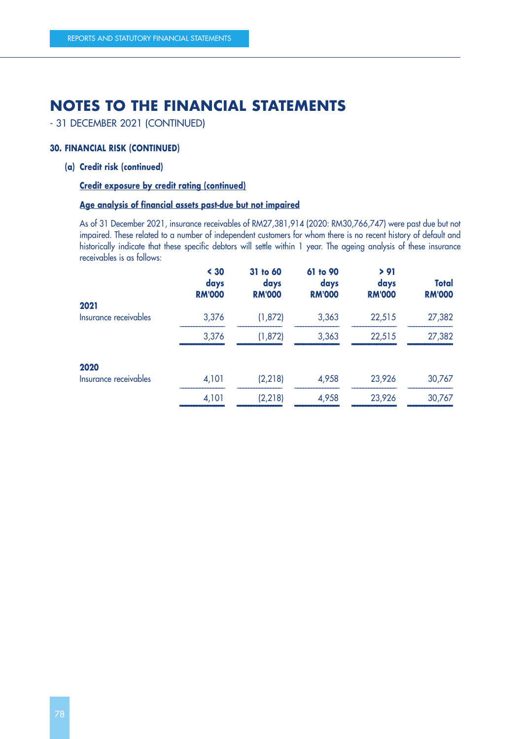- 31 DECEMBER 2021 (CONTINUED)

#### **30. FINANCIAL RISK (CONTINUED)**

#### **(a) Credit risk (continued)**

#### **Credit exposure by credit rating (continued)**

#### **Age analysis of financial assets past-due but not impaired**

As of 31 December 2021, insurance receivables of RM27,381,914 (2020: RM30,766,747) were past due but not impaired. These related to a number of independent customers for whom there is no recent history of default and historically indicate that these specific debtors will settle within 1 year. The ageing analysis of these insurance receivables is as follows:

| $30$<br>days<br><b>RM'000</b> | 31 to 60<br>days<br><b>RM'000</b> | 61 to 90<br>days<br><b>RM'000</b> | > 91<br>days<br><b>RM'000</b> | <b>Total</b><br><b>RM'000</b> |
|-------------------------------|-----------------------------------|-----------------------------------|-------------------------------|-------------------------------|
|                               |                                   |                                   |                               | 27,382                        |
|                               |                                   |                                   |                               |                               |
|                               |                                   |                                   |                               | 27,382                        |
|                               |                                   |                                   |                               |                               |
| 4,101                         | (2, 218)                          | 4,958                             | 23,926                        | 30,767                        |
| 4,101                         | (2, 218)                          | 4,958                             | 23,926                        | 30,767                        |
|                               | 3,376<br>3,376                    | (1, 872)<br>(1, 872)              | 3,363<br>3,363                | 22,515<br>22,515              |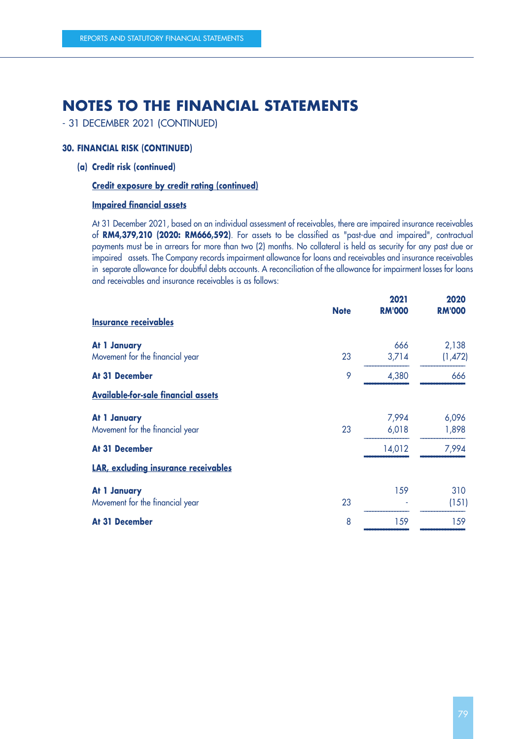- 31 DECEMBER 2021 (CONTINUED)

#### **30. FINANCIAL RISK (CONTINUED)**

**(a) Credit risk (continued)**

#### **Credit exposure by credit rating (continued)**

#### **Impaired financial assets**

At 31 December 2021, based on an individual assessment of receivables, there are impaired insurance receivables of **RM4,379,210 (2020: RM666,592)**. For assets to be classified as "past-due and impaired", contractual payments must be in arrears for more than two (2) months. No collateral is held as security for any past due or impaired assets. The Company records impairment allowance for loans and receivables and insurance receivables in separate allowance for doubtful debts accounts. A reconciliation of the allowance for impairment losses for loans and receivables and insurance receivables is as follows:

| <b>Insurance receivables</b>                    | <b>Note</b> | 2021<br><b>RM'000</b> | 2020<br><b>RM'000</b> |
|-------------------------------------------------|-------------|-----------------------|-----------------------|
| At 1 January<br>Movement for the financial year | 23          | 666<br>3,714          | 2,138<br>(1,472)      |
| At 31 December                                  | 9           | 4,380                 | 666                   |
| <b>Available-for-sale financial assets</b>      |             |                       |                       |
| At 1 January<br>Movement for the financial year | 23          | 7,994<br>6,018        | 6,096<br>1,898        |
| At 31 December                                  |             | 14,012                | 7,994                 |
| LAR, excluding insurance receivables            |             |                       |                       |
| At 1 January<br>Movement for the financial year | 23          | 159                   | 310<br>(151)          |
| At 31 December                                  | 8           | 159                   | 159                   |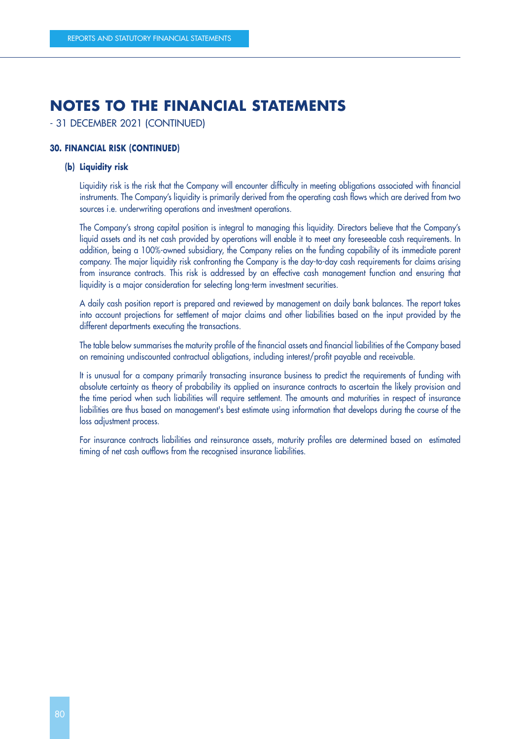- 31 DECEMBER 2021 (CONTINUED)

#### **30. FINANCIAL RISK (CONTINUED)**

#### **(b) Liquidity risk**

Liquidity risk is the risk that the Company will encounter difficulty in meeting obligations associated with financial instruments. The Company's liquidity is primarily derived from the operating cash flows which are derived from two sources i.e. underwriting operations and investment operations.

The Company's strong capital position is integral to managing this liquidity. Directors believe that the Company's liquid assets and its net cash provided by operations will enable it to meet any foreseeable cash requirements. In addition, being a 100%-owned subsidiary, the Company relies on the funding capability of its immediate parent company. The major liquidity risk confronting the Company is the day-to-day cash requirements for claims arising from insurance contracts. This risk is addressed by an effective cash management function and ensuring that liquidity is a major consideration for selecting long-term investment securities.

A daily cash position report is prepared and reviewed by management on daily bank balances. The report takes into account projections for settlement of major claims and other liabilities based on the input provided by the different departments executing the transactions.

The table below summarises the maturity profile of the financial assets and financial liabilities of the Company based on remaining undiscounted contractual obligations, including interest/profit payable and receivable.

It is unusual for a company primarily transacting insurance business to predict the requirements of funding with absolute certainty as theory of probability its applied on insurance contracts to ascertain the likely provision and the time period when such liabilities will require settlement. The amounts and maturities in respect of insurance liabilities are thus based on management's best estimate using information that develops during the course of the loss adjustment process.

For insurance contracts liabilities and reinsurance assets, maturity profiles are determined based on estimated timing of net cash outflows from the recognised insurance liabilities.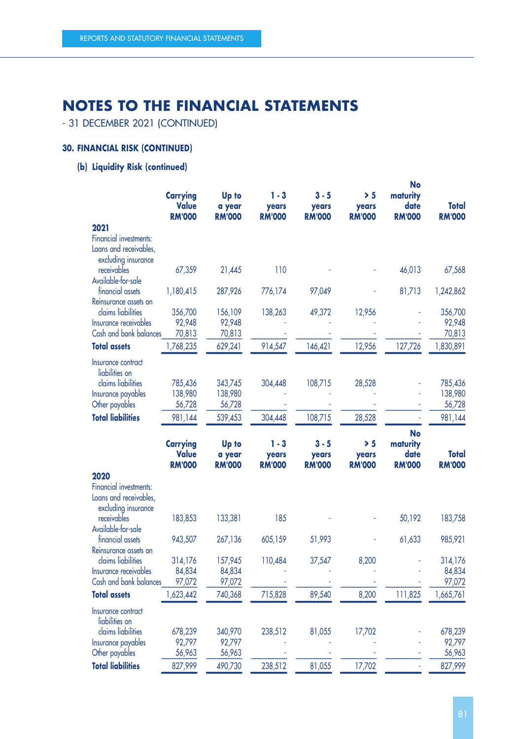- 31 DECEMBER 2021 (CONTINUED)

### **30. FINANCIAL RISK (CONTINUED)**

### **(b) Liquidity Risk (continued)**

|                                               | <b>Carrying</b><br><b>Value</b><br><b>RM'000</b> | Up to<br>a year<br><b>RM'000</b> | $1 - 3$<br>years<br><b>RM'000</b> | $3 - 5$<br>years<br><b>RM'000</b> | > 5<br>years<br><b>RM'000</b> | <b>No</b><br>maturity<br>date<br><b>RM'000</b> | Total<br><b>RM'000</b> |
|-----------------------------------------------|--------------------------------------------------|----------------------------------|-----------------------------------|-----------------------------------|-------------------------------|------------------------------------------------|------------------------|
| 2021                                          |                                                  |                                  |                                   |                                   |                               |                                                |                        |
| Financial investments:                        |                                                  |                                  |                                   |                                   |                               |                                                |                        |
| Loans and receivables,                        |                                                  |                                  |                                   |                                   |                               |                                                |                        |
| excluding insurance                           |                                                  |                                  |                                   |                                   |                               |                                                |                        |
| receivables                                   | 67,359                                           | 21,445                           | 110                               |                                   |                               | 46,013                                         | 67,568                 |
| Available-for-sale<br>financial assets        | 1,180,415                                        | 287,926                          | 776,174                           | 97,049                            |                               | 81,713                                         | 1,242,862              |
| Reinsurance assets on                         |                                                  |                                  |                                   |                                   |                               |                                                |                        |
| claims liabilities                            | 356,700                                          | 156,109                          | 138,263                           | 49,372                            | 12,956                        |                                                | 356,700                |
| Insurance receivables                         | 92,948                                           | 92,948                           |                                   |                                   |                               |                                                | 92,948                 |
| Cash and bank balances                        | 70,813                                           | 70,813                           |                                   |                                   |                               |                                                | 70,813                 |
| <b>Total assets</b>                           | 1,768,235                                        | 629,241                          | 914,547                           | 146,421                           | 12,956                        | 127,726                                        | 1,830,891              |
| Insurance contract                            |                                                  |                                  |                                   |                                   |                               |                                                |                        |
| liabilities on                                |                                                  |                                  |                                   |                                   |                               |                                                |                        |
| claims liabilities                            | 785,436                                          | 343,745                          | 304,448                           | 108,715                           | 28,528                        |                                                | 785,436                |
| Insurance payables                            | 138,980                                          | 138,980                          |                                   |                                   |                               |                                                | 138,980                |
| Other payables                                | 56,728                                           | 56,728                           |                                   |                                   |                               |                                                | 56,728                 |
| <b>Total liabilities</b>                      | 981,144                                          | 539,453                          | 304,448                           | 108,715                           | 28,528                        |                                                | 981,144                |
|                                               |                                                  |                                  |                                   |                                   |                               | <b>No</b>                                      |                        |
|                                               | <b>Carrying</b>                                  | Up to                            | $1 - 3$                           | $3 - 5$                           | > 5                           | maturity                                       |                        |
|                                               | <b>Value</b>                                     | a year                           | years                             | years                             | years                         | date                                           | Total                  |
|                                               | <b>RM'000</b>                                    | <b>RM'000</b>                    | <b>RM'000</b>                     | <b>RM'000</b>                     | <b>RM'000</b>                 | <b>RM'000</b>                                  | <b>RM'000</b>          |
| 2020                                          |                                                  |                                  |                                   |                                   |                               |                                                |                        |
| Financial investments:                        |                                                  |                                  |                                   |                                   |                               |                                                |                        |
| Loans and receivables,<br>excluding insurance |                                                  |                                  |                                   |                                   |                               |                                                |                        |
| receivables                                   | 183,853                                          | 133,381                          | 185                               |                                   |                               | 50,192                                         | 183,758                |
| Available-for-sale                            |                                                  |                                  |                                   |                                   |                               |                                                |                        |
| financial assets                              | 943,507                                          | 267,136                          | 605,159                           | 51,993                            |                               | 61,633                                         | 985,921                |
| Reinsurance assets on                         |                                                  |                                  |                                   |                                   |                               |                                                |                        |
| claims liabilities                            | 314,176                                          | 157,945                          | 110,484                           | 37,547                            | 8,200                         |                                                | 314,176                |
| Insurance receivables                         | 84,834                                           | 84,834                           |                                   |                                   |                               |                                                | 84,834                 |
| Cash and bank balances                        | 97,072                                           | 97,072                           |                                   |                                   |                               |                                                | 97,072                 |
| <b>Total assets</b>                           | 1,623,442                                        | 740,368                          | 715,828                           | 89,540                            | 8,200                         | 111,825                                        | 1,665,761              |
| Insurance contract                            |                                                  |                                  |                                   |                                   |                               |                                                |                        |
| liabilities on                                |                                                  |                                  |                                   |                                   |                               |                                                |                        |
| claims liabilities                            | 678,239                                          | 340,970                          | 238,512                           | 81,055                            | 17,702                        |                                                | 678,239                |
| Insurance payables                            | 92,797                                           | 92,797                           |                                   |                                   |                               |                                                | 92,797                 |
| Other payables<br><b>Total liabilities</b>    | 56,963<br>827,999                                | 56,963<br>490,730                | 238,512                           | 81,055                            | 17,702                        |                                                | 56,963<br>827,999      |
|                                               |                                                  |                                  |                                   |                                   |                               |                                                |                        |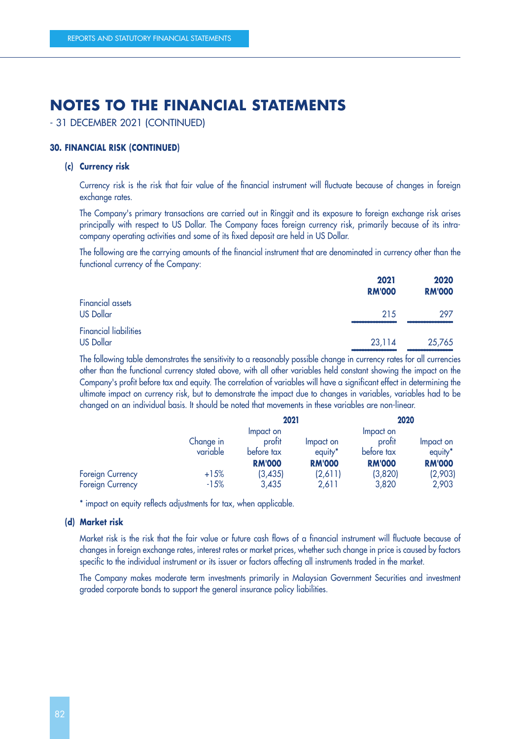- 31 DECEMBER 2021 (CONTINUED)

#### **30. FINANCIAL RISK (CONTINUED)**

#### **(c) Currency risk**

Currency risk is the risk that fair value of the financial instrument will fluctuate because of changes in foreign exchange rates.

The Company's primary transactions are carried out in Ringgit and its exposure to foreign exchange risk arises principally with respect to US Dollar. The Company faces foreign currency risk, primarily because of its intracompany operating activities and some of its fixed deposit are held in US Dollar.

The following are the carrying amounts of the financial instrument that are denominated in currency other than the functional currency of the Company:

|                                                  | 2021<br><b>RM'000</b> | 2020<br><b>RM'000</b> |
|--------------------------------------------------|-----------------------|-----------------------|
| <b>Financial assets</b><br><b>US Dollar</b>      | 215                   | 297                   |
| <b>Financial liabilities</b><br><b>US Dollar</b> | 23,114                | 25,765                |

The following table demonstrates the sensitivity to a reasonably possible change in currency rates for all currencies other than the functional currency stated above, with all other variables held constant showing the impact on the Company's profit before tax and equity. The correlation of variables will have a significant effect in determining the ultimate impact on currency risk, but to demonstrate the impact due to changes in variables, variables had to be changed on an individual basis. It should be noted that movements in these variables are non-linear.

|                                             |                       | 2021                                               |                                                   | 2020                                               |                                                   |
|---------------------------------------------|-----------------------|----------------------------------------------------|---------------------------------------------------|----------------------------------------------------|---------------------------------------------------|
|                                             | Change in<br>variable | Impact on<br>profit<br>before tax<br><b>RM'000</b> | Impact on<br>equity <sup>*</sup><br><b>RM'000</b> | Impact on<br>profit<br>before tax<br><b>RM'000</b> | Impact on<br>equity <sup>*</sup><br><b>RM'000</b> |
| <b>Foreign Currency</b><br>Foreign Currency | $+15%$<br>$-15%$      | (3, 435)<br>3,435                                  | (2,611)<br>2,611                                  | (3,820)<br>3,820                                   | (2,903)<br>2,903                                  |

\* impact on equity reflects adjustments for tax, when applicable.

#### **(d) Market risk**

Market risk is the risk that the fair value or future cash flows of a financial instrument will fluctuate because of changes in foreign exchange rates, interest rates or market prices, whether such change in price is caused by factors specific to the individual instrument or its issuer or factors affecting all instruments traded in the market.

The Company makes moderate term investments primarily in Malaysian Government Securities and investment graded corporate bonds to support the general insurance policy liabilities.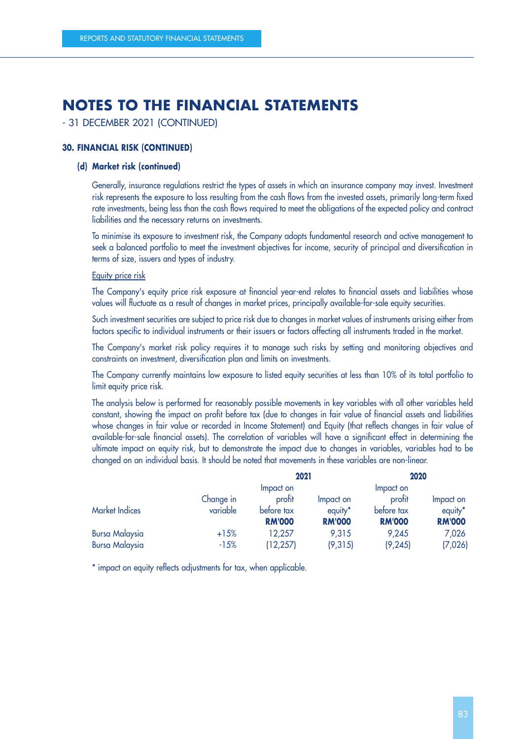- 31 DECEMBER 2021 (CONTINUED)

#### **30. FINANCIAL RISK (CONTINUED)**

#### **(d) Market risk (continued)**

Generally, insurance regulations restrict the types of assets in which an insurance company may invest. Investment risk represents the exposure to loss resulting from the cash flows from the invested assets, primarily long-term fixed rate investments, being less than the cash flows required to meet the obligations of the expected policy and contract liabilities and the necessary returns on investments.

To minimise its exposure to investment risk, the Company adopts fundamental research and active management to seek a balanced portfolio to meet the investment objectives for income, security of principal and diversification in terms of size, issuers and types of industry.

#### Equity price risk

The Company's equity price risk exposure at financial year-end relates to financial assets and liabilities whose values will fluctuate as a result of changes in market prices, principally available-for-sale equity securities.

Such investment securities are subject to price risk due to changes in market values of instruments arising either from factors specific to individual instruments or their issuers or factors affecting all instruments traded in the market.

The Company's market risk policy requires it to manage such risks by setting and monitoring objectives and constraints on investment, diversification plan and limits on investments.

The Company currently maintains low exposure to listed equity securities at less than 10% of its total portfolio to limit equity price risk.

The analysis below is performed for reasonably possible movements in key variables with all other variables held constant, showing the impact on profit before tax (due to changes in fair value of financial assets and liabilities whose changes in fair value or recorded in Income Statement) and Equity (that reflects changes in fair value of available-for-sale financial assets). The correlation of variables will have a significant effect in determining the ultimate impact on equity risk, but to demonstrate the impact due to changes in variables, variables had to be changed on an individual basis. It should be noted that movements in these variables are non-linear.

|                       |           | 2021          |               | 2020          |               |
|-----------------------|-----------|---------------|---------------|---------------|---------------|
|                       |           | Impact on     |               | Impact on     |               |
|                       | Change in | profit        | Impact on     | profit        | Impact on     |
| <b>Market Indices</b> | variable  | before tax    | equity*       | before tax    | equity*       |
|                       |           | <b>RM'000</b> | <b>RM'000</b> | <b>RM'000</b> | <b>RM'000</b> |
| <b>Bursa Malaysia</b> | $+15%$    | 12,257        | 9,315         | 9,245         | 7,026         |
| <b>Bursa Malaysia</b> | $-15%$    | (12, 257)     | (9,315)       | (9, 245)      | (7,026)       |

\* impact on equity reflects adjustments for tax, when applicable.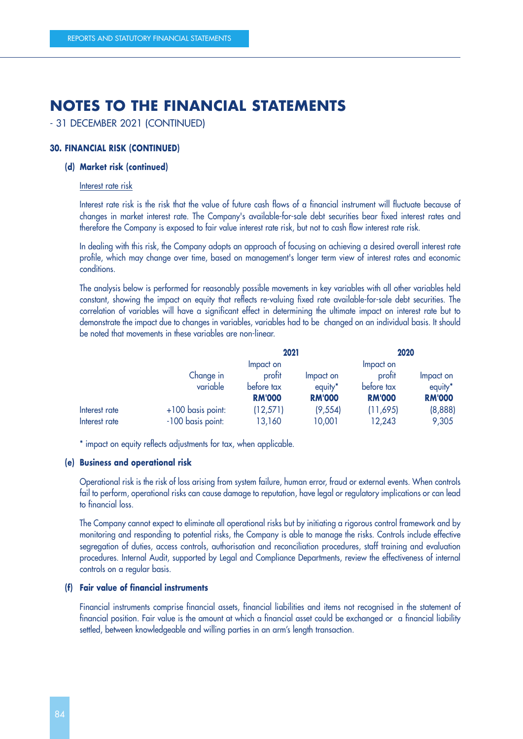- 31 DECEMBER 2021 (CONTINUED)

#### **30. FINANCIAL RISK (CONTINUED)**

#### **(d) Market risk (continued)**

#### Interest rate risk

Interest rate risk is the risk that the value of future cash flows of a financial instrument will fluctuate because of changes in market interest rate. The Company's available-for-sale debt securities bear fixed interest rates and therefore the Company is exposed to fair value interest rate risk, but not to cash flow interest rate risk.

In dealing with this risk, the Company adopts an approach of focusing on achieving a desired overall interest rate profile, which may change over time, based on management's longer term view of interest rates and economic conditions.

The analysis below is performed for reasonably possible movements in key variables with all other variables held constant, showing the impact on equity that reflects re-valuing fixed rate available-for-sale debt securities. The correlation of variables will have a significant effect in determining the ultimate impact on interest rate but to demonstrate the impact due to changes in variables, variables had to be changed on an individual basis. It should be noted that movements in these variables are non-linear.

|               |                     | 2021          |                     | 2020          |                     |
|---------------|---------------------|---------------|---------------------|---------------|---------------------|
|               |                     | Impact on     |                     | Impact on     |                     |
|               | Change in           | profit        | Impact on           | profit        | Impact on           |
|               | variable            | before tax    | equity <sup>*</sup> | before tax    | equity <sup>*</sup> |
|               |                     | <b>RM'000</b> | <b>RM'000</b>       | <b>RM'000</b> | <b>RM'000</b>       |
| Interest rate | $+100$ basis point: | (12, 571)     | (9, 554)            | (11,695)      | (8,888)             |
| Interest rate | -100 basis point:   | 13,160        | 10,001              | 12,243        | 9,305               |

\* impact on equity reflects adjustments for tax, when applicable.

#### **(e) Business and operational risk**

Operational risk is the risk of loss arising from system failure, human error, fraud or external events. When controls fail to perform, operational risks can cause damage to reputation, have legal or regulatory implications or can lead to financial loss.

The Company cannot expect to eliminate all operational risks but by initiating a rigorous control framework and by monitoring and responding to potential risks, the Company is able to manage the risks. Controls include effective segregation of duties, access controls, authorisation and reconciliation procedures, staff training and evaluation procedures. Internal Audit, supported by Legal and Compliance Departments, review the effectiveness of internal controls on a regular basis.

#### **(f) Fair value of financial instruments**

Financial instruments comprise financial assets, financial liabilities and items not recognised in the statement of financial position. Fair value is the amount at which a financial asset could be exchanged or a financial liability settled, between knowledgeable and willing parties in an arm's length transaction.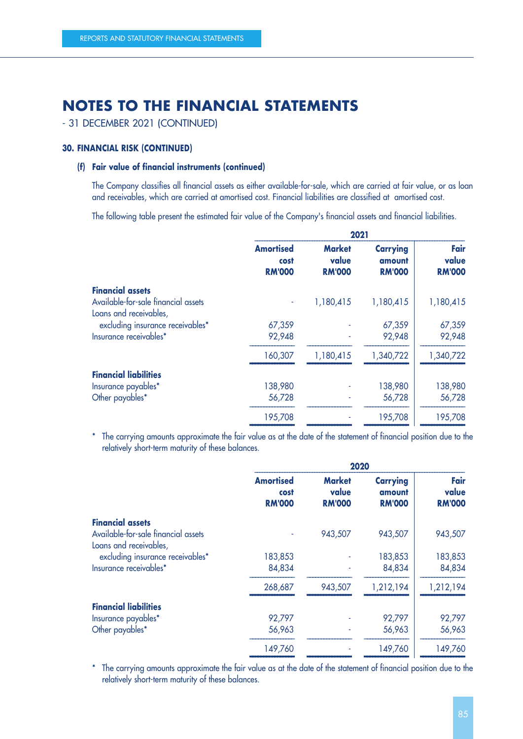- 31 DECEMBER 2021 (CONTINUED)

#### **30. FINANCIAL RISK (CONTINUED)**

#### **(f) Fair value of financial instruments (continued)**

The Company classifies all financial assets as either available-for-sale, which are carried at fair value, or as loan and receivables, which are carried at amortised cost. Financial liabilities are classified at amortised cost.

The following table present the estimated fair value of the Company's financial assets and financial liabilities.

|                                     | 2021                                      |                                         |                                            |                                |
|-------------------------------------|-------------------------------------------|-----------------------------------------|--------------------------------------------|--------------------------------|
|                                     | <b>Amortised</b><br>cost<br><b>RM'000</b> | <b>Market</b><br>value<br><b>RM'000</b> | <b>Carrying</b><br>amount<br><b>RM'000</b> | Fair<br>value<br><b>RM'000</b> |
| <b>Financial assets</b>             |                                           |                                         |                                            |                                |
| Available-for-sale financial assets | ۰                                         | 1,180,415                               | 1,180,415                                  | 1,180,415                      |
| Loans and receivables,              |                                           |                                         |                                            |                                |
| excluding insurance receivables*    | 67,359                                    |                                         | 67,359                                     | 67,359                         |
| Insurance receivables*              | 92,948                                    |                                         | 92,948                                     | 92,948                         |
|                                     | 160,307                                   | 1,180,415                               | 1,340,722                                  | 1,340,722                      |
| <b>Financial liabilities</b>        |                                           |                                         |                                            |                                |
| Insurance payables*                 | 138,980                                   |                                         | 138,980                                    | 138,980                        |
| Other payables*                     | 56,728                                    |                                         | 56,728                                     | 56,728                         |
|                                     | 195,708                                   |                                         | 195,708                                    | 195,708                        |
|                                     |                                           |                                         |                                            |                                |

\* The carrying amounts approximate the fair value as at the date of the statement of financial position due to the relatively short-term maturity of these balances.

| <b>Amortised</b><br>cost<br><b>RM'000</b> | <b>Market</b><br>value<br><b>RM'000</b> | <b>Carrying</b><br>amount<br><b>RM'000</b> | Fair<br>value<br><b>RM'000</b> |
|-------------------------------------------|-----------------------------------------|--------------------------------------------|--------------------------------|
|                                           |                                         |                                            |                                |
| ٠                                         | 943,507                                 | 943,507                                    | 943,507                        |
|                                           |                                         |                                            |                                |
| 183,853                                   |                                         | 183,853                                    | 183,853                        |
| 84,834                                    |                                         | 84,834                                     | 84,834                         |
| 268,687                                   | 943,507                                 | 1,212,194                                  | 1,212,194                      |
|                                           |                                         |                                            |                                |
| 92,797                                    |                                         | 92,797                                     | 92,797                         |
| 56,963                                    |                                         | 56,963                                     | 56,963                         |
| 149,760                                   |                                         | 149,760                                    | 149,760                        |
|                                           |                                         |                                            | 2020                           |

\* The carrying amounts approximate the fair value as at the date of the statement of financial position due to the relatively short-term maturity of these balances.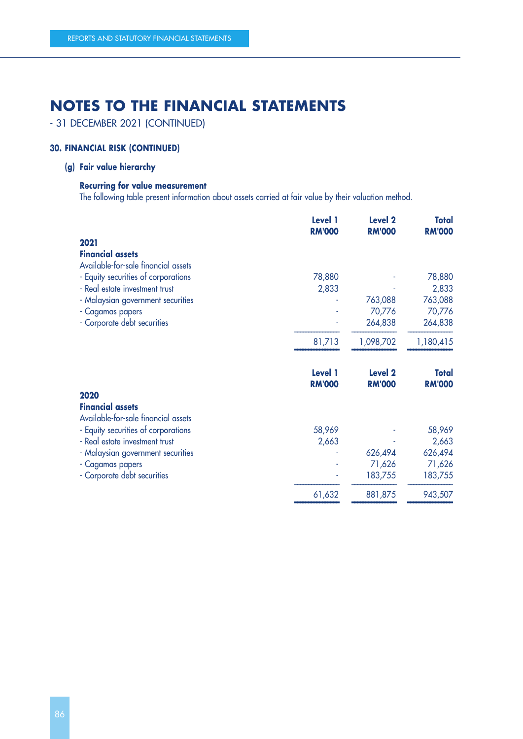- 31 DECEMBER 2021 (CONTINUED)

### **30. FINANCIAL RISK (CONTINUED)**

### **(g) Fair value hierarchy**

#### **Recurring for value measurement**

The following table present information about assets carried at fair value by their valuation method.

|                                     | Level 1<br><b>RM'000</b>        | <b>Level 2</b><br><b>RM'000</b> | <b>Total</b><br><b>RM'000</b> |
|-------------------------------------|---------------------------------|---------------------------------|-------------------------------|
| 2021                                |                                 |                                 |                               |
| <b>Financial assets</b>             |                                 |                                 |                               |
| Available-for-sale financial assets |                                 |                                 |                               |
| - Equity securities of corporations | 78,880                          |                                 | 78,880                        |
| - Real estate investment trust      | 2,833                           |                                 | 2,833                         |
| - Malaysian government securities   |                                 | 763,088                         | 763,088                       |
| - Cagamas papers                    |                                 | 70,776                          | 70,776                        |
| - Corporate debt securities         |                                 | 264,838                         | 264,838                       |
|                                     | 81,713                          | 1,098,702                       | 1,180,415                     |
|                                     | <b>Level 1</b><br><b>RM'000</b> | <b>Level 2</b><br><b>RM'000</b> | <b>Total</b><br><b>RM'000</b> |
| 2020                                |                                 |                                 |                               |
| <b>Financial assets</b>             |                                 |                                 |                               |
| Available-for-sale financial assets |                                 |                                 |                               |
| - Equity securities of corporations | 58,969                          |                                 | 58,969                        |
| - Real estate investment trust      | 2,663                           |                                 | 2,663                         |
| - Malaysian government securities   |                                 | 626,494                         | 626,494                       |
| - Cagamas papers                    |                                 | 71,626                          | 71,626                        |
| - Corporate debt securities         |                                 | 183,755                         | 183,755                       |
|                                     | 61,632                          | 881,875                         | 943,507                       |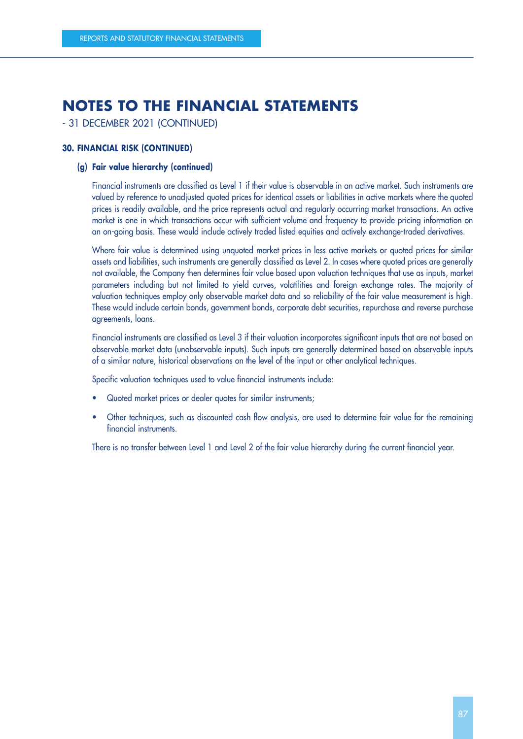- 31 DECEMBER 2021 (CONTINUED)

#### **30. FINANCIAL RISK (CONTINUED)**

#### **(g) Fair value hierarchy (continued)**

Financial instruments are classified as Level 1 if their value is observable in an active market. Such instruments are valued by reference to unadjusted quoted prices for identical assets or liabilities in active markets where the quoted prices is readily available, and the price represents actual and regularly occurring market transactions. An active market is one in which transactions occur with sufficient volume and frequency to provide pricing information on an on-going basis. These would include actively traded listed equities and actively exchange-traded derivatives.

Where fair value is determined using unquoted market prices in less active markets or quoted prices for similar assets and liabilities, such instruments are generally classified as Level 2. In cases where quoted prices are generally not available, the Company then determines fair value based upon valuation techniques that use as inputs, market parameters including but not limited to yield curves, volatilities and foreign exchange rates. The majority of valuation techniques employ only observable market data and so reliability of the fair value measurement is high. These would include certain bonds, government bonds, corporate debt securities, repurchase and reverse purchase agreements, loans.

Financial instruments are classified as Level 3 if their valuation incorporates significant inputs that are not based on observable market data (unobservable inputs). Such inputs are generally determined based on observable inputs of a similar nature, historical observations on the level of the input or other analytical techniques.

Specific valuation techniques used to value financial instruments include:

- Quoted market prices or dealer quotes for similar instruments;
- Other techniques, such as discounted cash flow analysis, are used to determine fair value for the remaining financial instruments.

There is no transfer between Level 1 and Level 2 of the fair value hierarchy during the current financial year.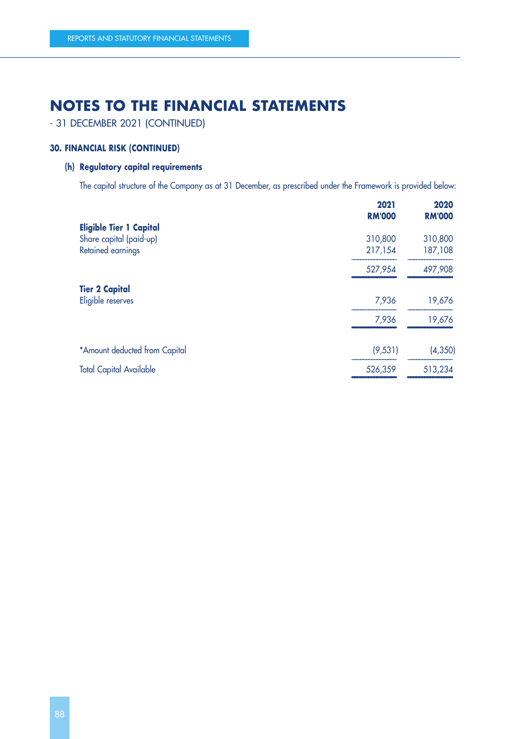- 31 DECEMBER 2021 (CONTINUED)

#### **30. FINANCIAL RISK (CONTINUED)**

### **(h) Regulatory capital requirements**

The capital structure of the Company as at 31 December, as prescribed under the Framework is provided below:

|          | 2020<br><b>RM'000</b> |
|----------|-----------------------|
|          |                       |
| 310,800  | 310,800               |
| 217,154  | 187,108               |
| 527,954  | 497,908               |
|          |                       |
| 7,936    | 19,676                |
| 7,936    | 19,676                |
| (9, 531) | (4, 350)              |
| 526,359  | 513,234               |
|          | 2021<br><b>RM'000</b> |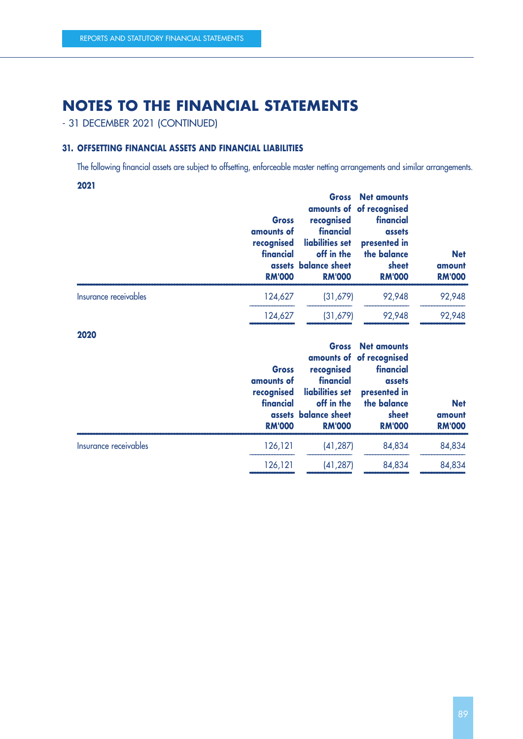- 31 DECEMBER 2021 (CONTINUED)

#### **31. OFFSETTING FINANCIAL ASSETS AND FINANCIAL LIABILITIES**

The following financial assets are subject to offsetting, enforceable master netting arrangements and similar arrangements.

**2021**

|                       | <b>Gross</b><br>amounts of<br>recognised<br>financial<br><b>RM'000</b> | recognised<br>financial<br>liabilities set<br>off in the<br>assets balance sheet<br><b>RM'000</b> | <b>Gross</b> Net amounts<br>amounts of of recognised<br>financial<br>assets<br>presented in<br>the balance<br>sheet<br><b>RM'000</b> | <b>Net</b><br>amount<br><b>RM'000</b> |
|-----------------------|------------------------------------------------------------------------|---------------------------------------------------------------------------------------------------|--------------------------------------------------------------------------------------------------------------------------------------|---------------------------------------|
| Insurance receivables | 124,627                                                                | (31,679)                                                                                          | 92,948                                                                                                                               | 92,948                                |
|                       | 124,627                                                                | (31,679)                                                                                          | 92,948                                                                                                                               | 92,948                                |

 –––––––––––––––– –––––––––––––––– –––––––––––––––– –––––––––––––––– **2020**

|                       | <b>Gross</b><br>amounts of<br>recognised<br>financial<br><b>RM'000</b> | recognised<br>financial<br>liabilities set<br>off in the<br>assets balance sheet<br><b>RM'000</b> | <b>Gross</b> Net amounts<br>amounts of of recognised<br>financial<br>assets<br>presented in<br>the balance<br>sheet<br><b>RM'000</b> | <b>Net</b><br>amount<br><b>RM'000</b> |
|-----------------------|------------------------------------------------------------------------|---------------------------------------------------------------------------------------------------|--------------------------------------------------------------------------------------------------------------------------------------|---------------------------------------|
| Insurance receivables | 126,121                                                                | (41, 287)                                                                                         | 84,834                                                                                                                               | 84,834                                |
|                       | 126,121                                                                | (41, 287)                                                                                         | 84,834                                                                                                                               | 84,834                                |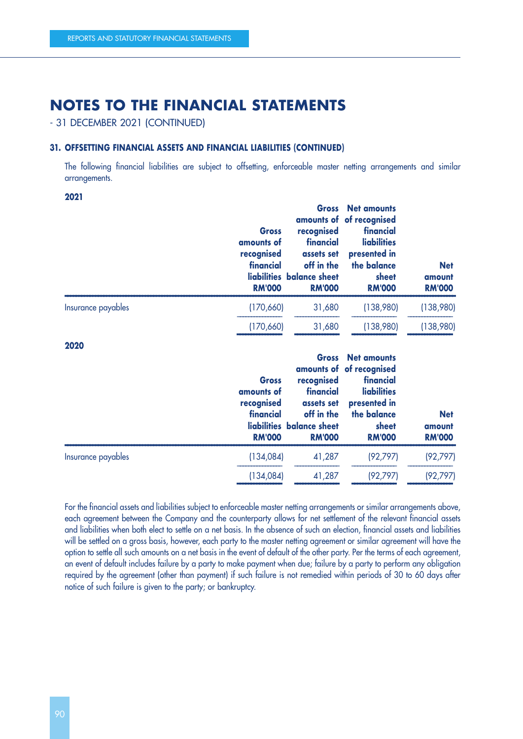- 31 DECEMBER 2021 (CONTINUED)

#### **31. OFFSETTING FINANCIAL ASSETS AND FINANCIAL LIABILITIES (CONTINUED)**

The following financial liabilities are subject to offsetting, enforceable master netting arrangements and similar arrangements.

**2021**

|                    | <b>Gross</b><br>amounts of<br>recognised<br>financial<br><b>RM'000</b> | recognised<br>financial<br>assets set<br>off in the<br>liabilities balance sheet<br><b>RM'000</b> | <b>Gross</b> Net amounts<br>amounts of of recognised<br>financial<br><b>liabilities</b><br>presented in<br>the balance<br>sheet<br><b>RM'000</b> | <b>Net</b><br>amount<br><b>RM'000</b> |
|--------------------|------------------------------------------------------------------------|---------------------------------------------------------------------------------------------------|--------------------------------------------------------------------------------------------------------------------------------------------------|---------------------------------------|
| Insurance payables | (170,660)                                                              | 31,680                                                                                            | (138,980)                                                                                                                                        | (138,980)                             |
|                    | (170,660)                                                              | 31,680                                                                                            | (138,980)                                                                                                                                        | (138,980)                             |
| ----               |                                                                        |                                                                                                   |                                                                                                                                                  |                                       |

**2020**

|                    | <b>Gross</b><br>amounts of<br>recognised<br>financial<br><b>RM'000</b> | recognised<br>financial<br>assets set<br>off in the<br>liabilities balance sheet<br><b>RM'000</b> | <b>Gross</b> Net amounts<br>amounts of of recognised<br>financial<br><b>liabilities</b><br>presented in<br>the balance<br>sheet<br><b>RM'000</b> | <b>Net</b><br>amount<br><b>RM'000</b> |
|--------------------|------------------------------------------------------------------------|---------------------------------------------------------------------------------------------------|--------------------------------------------------------------------------------------------------------------------------------------------------|---------------------------------------|
| Insurance payables | (134,084)                                                              | 41,287                                                                                            | (92, 797)                                                                                                                                        | (92, 797)                             |
|                    | (134,084)                                                              | 41,287                                                                                            | (92, 797)                                                                                                                                        | (92, 797)                             |

For the financial assets and liabilities subject to enforceable master netting arrangements or similar arrangements above, each agreement between the Company and the counterparty allows for net settlement of the relevant financial assets and liabilities when both elect to settle on a net basis. In the absence of such an election, financial assets and liabilities will be settled on a gross basis, however, each party to the master netting agreement or similar agreement will have the option to settle all such amounts on a net basis in the event of default of the other party. Per the terms of each agreement, an event of default includes failure by a party to make payment when due; failure by a party to perform any obligation required by the agreement (other than payment) if such failure is not remedied within periods of 30 to 60 days after notice of such failure is given to the party; or bankruptcy.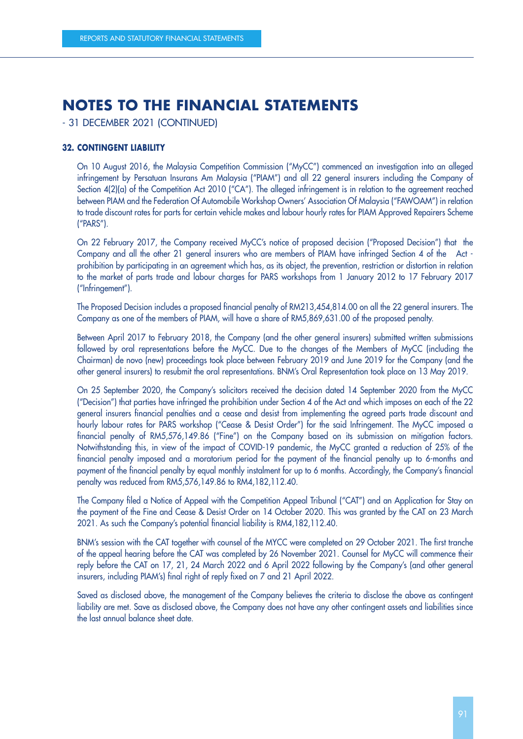- 31 DECEMBER 2021 (CONTINUED)

#### **32. CONTINGENT LIABILITY**

On 10 August 2016, the Malaysia Competition Commission ("MyCC") commenced an investigation into an alleged infringement by Persatuan Insurans Am Malaysia ("PIAM") and all 22 general insurers including the Company of Section 4(2)(a) of the Competition Act 2010 ("CA"). The alleged infringement is in relation to the agreement reached between PIAM and the Federation Of Automobile Workshop Owners' Association Of Malaysia ("FAWOAM") in relation to trade discount rates for parts for certain vehicle makes and labour hourly rates for PIAM Approved Repairers Scheme ("PARS").

On 22 February 2017, the Company received MyCC's notice of proposed decision ("Proposed Decision") that the Company and all the other 21 general insurers who are members of PIAM have infringed Section 4 of the Act prohibition by participating in an agreement which has, as its object, the prevention, restriction or distortion in relation to the market of parts trade and labour charges for PARS workshops from 1 January 2012 to 17 February 2017 ("Infringement").

The Proposed Decision includes a proposed financial penalty of RM213,454,814.00 on all the 22 general insurers. The Company as one of the members of PIAM, will have a share of RM5,869,631.00 of the proposed penalty.

Between April 2017 to February 2018, the Company (and the other general insurers) submitted written submissions followed by oral representations before the MyCC. Due to the changes of the Members of MyCC (including the Chairman) de novo (new) proceedings took place between February 2019 and June 2019 for the Company (and the other general insurers) to resubmit the oral representations. BNM's Oral Representation took place on 13 May 2019.

On 25 September 2020, the Company's solicitors received the decision dated 14 September 2020 from the MyCC ("Decision") that parties have infringed the prohibition under Section 4 of the Act and which imposes on each of the 22 general insurers financial penalties and a cease and desist from implementing the agreed parts trade discount and hourly labour rates for PARS workshop ("Cease & Desist Order") for the said Infringement. The MyCC imposed a financial penalty of RM5,576,149.86 ("Fine") on the Company based on its submission on mitigation factors. Notwithstanding this, in view of the impact of COVID-19 pandemic, the MyCC granted a reduction of 25% of the financial penalty imposed and a moratorium period for the payment of the financial penalty up to 6-months and payment of the financial penalty by equal monthly instalment for up to 6 months. Accordingly, the Company's financial penalty was reduced from RM5,576,149.86 to RM4,182,112.40.

The Company filed a Notice of Appeal with the Competition Appeal Tribunal ("CAT") and an Application for Stay on the payment of the Fine and Cease & Desist Order on 14 October 2020. This was granted by the CAT on 23 March 2021. As such the Company's potential financial liability is RM4,182,112.40.

BNM's session with the CAT together with counsel of the MYCC were completed on 29 October 2021. The first tranche of the appeal hearing before the CAT was completed by 26 November 2021. Counsel for MyCC will commence their reply before the CAT on 17, 21, 24 March 2022 and 6 April 2022 following by the Company's (and other general insurers, including PIAM's) final right of reply fixed on 7 and 21 April 2022.

Saved as disclosed above, the management of the Company believes the criteria to disclose the above as contingent liability are met. Save as disclosed above, the Company does not have any other contingent assets and liabilities since the last annual balance sheet date.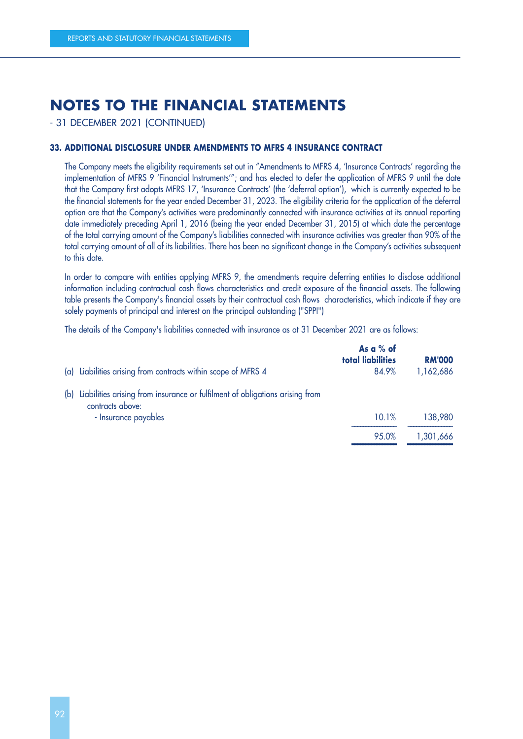- 31 DECEMBER 2021 (CONTINUED)

#### **33. ADDITIONAL DISCLOSURE UNDER AMENDMENTS TO MFRS 4 INSURANCE CONTRACT**

The Company meets the eligibility requirements set out in "Amendments to MFRS 4, 'Insurance Contracts' regarding the implementation of MFRS 9 'Financial Instruments'"; and has elected to defer the application of MFRS 9 until the date that the Company first adopts MFRS 17, 'Insurance Contracts' (the 'deferral option'), which is currently expected to be the financial statements for the year ended December 31, 2023. The eligibility criteria for the application of the deferral option are that the Company's activities were predominantly connected with insurance activities at its annual reporting date immediately preceding April 1, 2016 (being the year ended December 31, 2015) at which date the percentage of the total carrying amount of the Company's liabilities connected with insurance activities was greater than 90% of the total carrying amount of all of its liabilities. There has been no significant change in the Company's activities subsequent to this date.

In order to compare with entities applying MFRS 9, the amendments require deferring entities to disclose additional information including contractual cash flows characteristics and credit exposure of the financial assets. The following table presents the Company's financial assets by their contractual cash flows characteristics, which indicate if they are solely payments of principal and interest on the principal outstanding ("SPPI")

The details of the Company's liabilities connected with insurance as at 31 December 2021 are as follows:

| (a) Liabilities arising from contracts within scope of MFRS 4                                           | As a % of<br>total liabilities<br>84.9% | <b>RM'000</b><br>1,162,686 |
|---------------------------------------------------------------------------------------------------------|-----------------------------------------|----------------------------|
| Liabilities arising from insurance or fulfilment of obligations arising from<br>(b)<br>contracts above: |                                         |                            |
| - Insurance payables                                                                                    | 10.1%                                   | 138,980                    |
|                                                                                                         | 95.0%                                   | 1,301,666                  |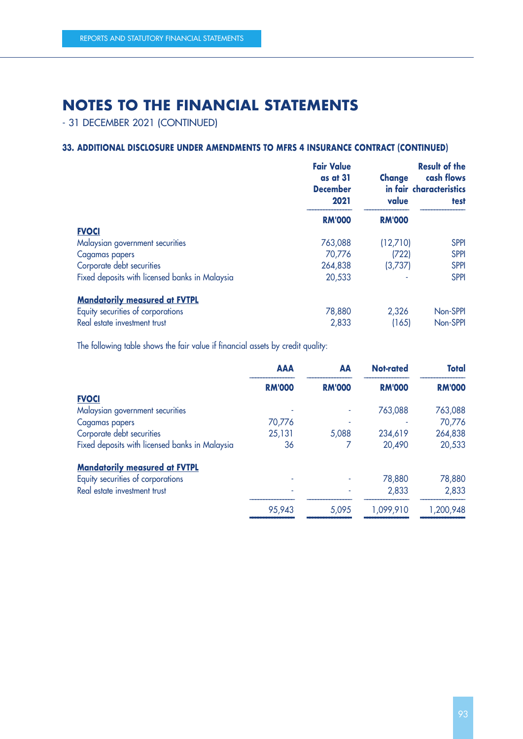- 31 DECEMBER 2021 (CONTINUED)

### **33. ADDITIONAL DISCLOSURE UNDER AMENDMENTS TO MFRS 4 INSURANCE CONTRACT (CONTINUED)**

|                                                | <b>Fair Value</b><br>as at 31<br><b>December</b><br>2021 | <b>Change</b><br>value | <b>Result of the</b><br>cash flows<br>in fair characteristics<br>test |
|------------------------------------------------|----------------------------------------------------------|------------------------|-----------------------------------------------------------------------|
|                                                | <b>RM'000</b>                                            | <b>RM'000</b>          |                                                                       |
| <b>FVOCI</b>                                   |                                                          |                        |                                                                       |
| Malaysian government securities                | 763,088                                                  | (12,710)               | <b>SPPI</b>                                                           |
| Cagamas papers                                 | 70,776                                                   | (722)                  | <b>SPPI</b>                                                           |
| Corporate debt securities                      | 264,838                                                  | (3,737)                | <b>SPPI</b>                                                           |
| Fixed deposits with licensed banks in Malaysia | 20,533                                                   |                        | <b>SPPI</b>                                                           |
| <b>Mandatorily measured at FVTPL</b>           |                                                          |                        |                                                                       |
| Equity securities of corporations              | 78,880                                                   | 2,326                  | Non-SPPI                                                              |
| Real estate investment trust                   | 2,833                                                    | (165)                  | Non-SPPI                                                              |

The following table shows the fair value if financial assets by credit quality:

|                                                | <b>AAA</b>    | AA            | Not-rated     | <b>Total</b>  |
|------------------------------------------------|---------------|---------------|---------------|---------------|
|                                                | <b>RM'000</b> | <b>RM'000</b> | <b>RM'000</b> | <b>RM'000</b> |
| <b>FVOCI</b>                                   |               |               |               |               |
| Malaysian government securities                |               |               | 763,088       | 763,088       |
| Cagamas papers                                 | 70,776        |               |               | 70,776        |
| Corporate debt securities                      | 25,131        | 5,088         | 234,619       | 264,838       |
| Fixed deposits with licensed banks in Malaysia | 36            |               | 20,490        | 20,533        |
| <b>Mandatorily measured at FVTPL</b>           |               |               |               |               |
| Equity securities of corporations              |               |               | 78,880        | 78,880        |
| Real estate investment trust                   |               |               | 2,833         | 2,833         |
|                                                | 95,943        | 5,095         | 1,099,910     | 1,200,948     |